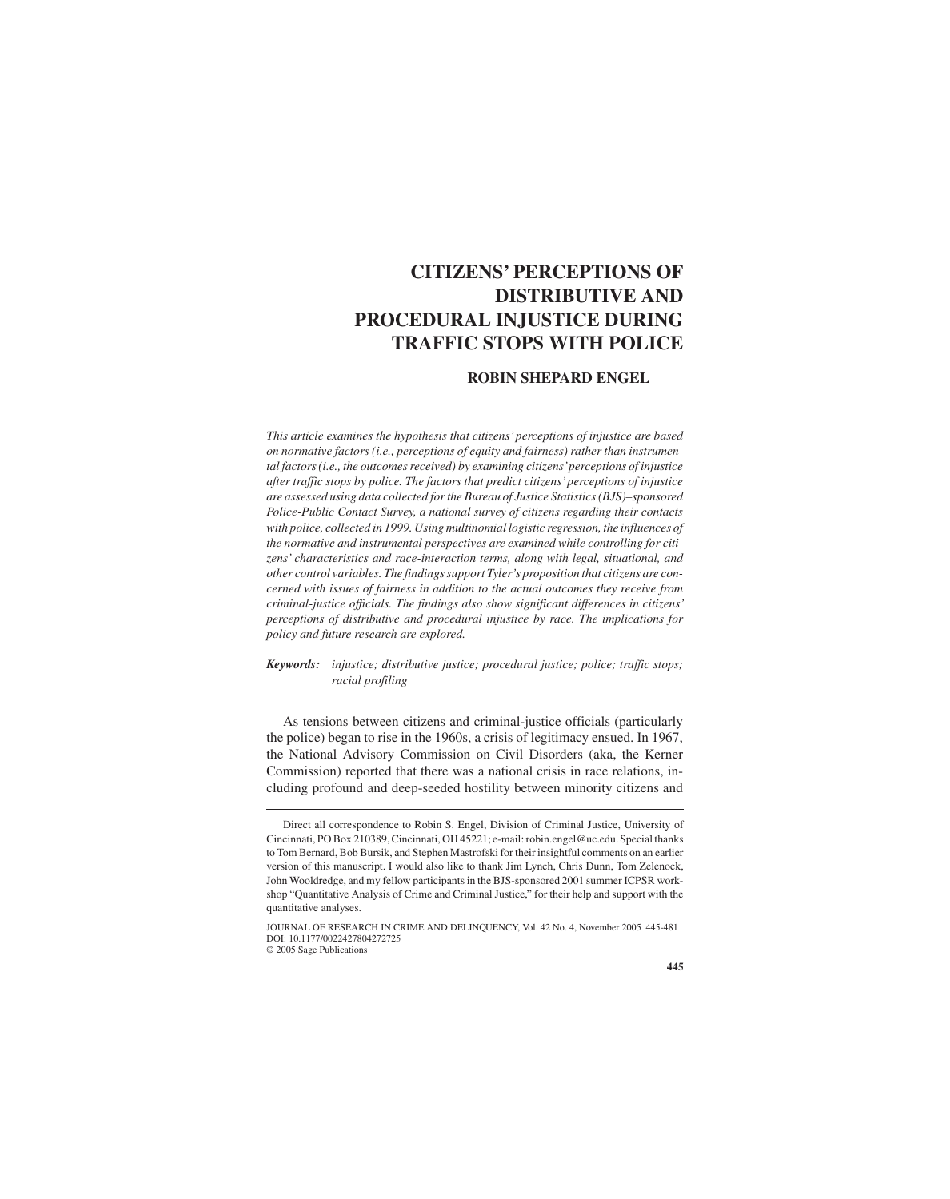# **CITIZENS' PERCEPTIONS OF DISTRIBUTIVE AND PROCEDURAL INJUSTICE DURING TRAFFIC STOPS WITH POLICE**

# **ROBIN SHEPARD ENGEL**

*This article examines the hypothesis that citizens'perceptions of injustice are based on normative factors (i.e., perceptions of equity and fairness) rather than instrumental factors (i.e., the outcomes received) by examining citizens'perceptions of injustice after traffic stops by police. The factors that predict citizens'perceptions of injustice are assessed using data collected for the Bureau of Justice Statistics (BJS)–sponsored Police-Public Contact Survey, a national survey of citizens regarding their contacts with police, collected in 1999. Using multinomial logistic regression, the influences of the normative and instrumental perspectives are examined while controlling for citizens' characteristics and race-interaction terms, along with legal, situational, and other control variables. The findings support Tyler's proposition that citizens are concerned with issues of fairness in addition to the actual outcomes they receive from criminal-justice officials. The findings also show significant differences in citizens' perceptions of distributive and procedural injustice by race. The implications for policy and future research are explored.*

# *Keywords: injustice; distributive justice; procedural justice; police; traffic stops; racial profiling*

As tensions between citizens and criminal-justice officials (particularly the police) began to rise in the 1960s, a crisis of legitimacy ensued. In 1967, the National Advisory Commission on Civil Disorders (aka, the Kerner Commission) reported that there was a national crisis in race relations, including profound and deep-seeded hostility between minority citizens and

Direct all correspondence to Robin S. Engel, Division of Criminal Justice, University of Cincinnati, PO Box 210389, Cincinnati, OH 45221; e-mail: robin.engel@uc.edu. Special thanks to Tom Bernard, Bob Bursik, and Stephen Mastrofski for their insightful comments on an earlier version of this manuscript. I would also like to thank Jim Lynch, Chris Dunn, Tom Zelenock, John Wooldredge, and my fellow participants in the BJS-sponsored 2001 summer ICPSR workshop "Quantitative Analysis of Crime and Criminal Justice," for their help and support with the quantitative analyses.

JOURNAL OF RESEARCH IN CRIME AND DELINQUENCY, Vol. 42 No. 4, November 2005 445-481 DOI: 10.1177/0022427804272725

<sup>© 2005</sup> Sage Publications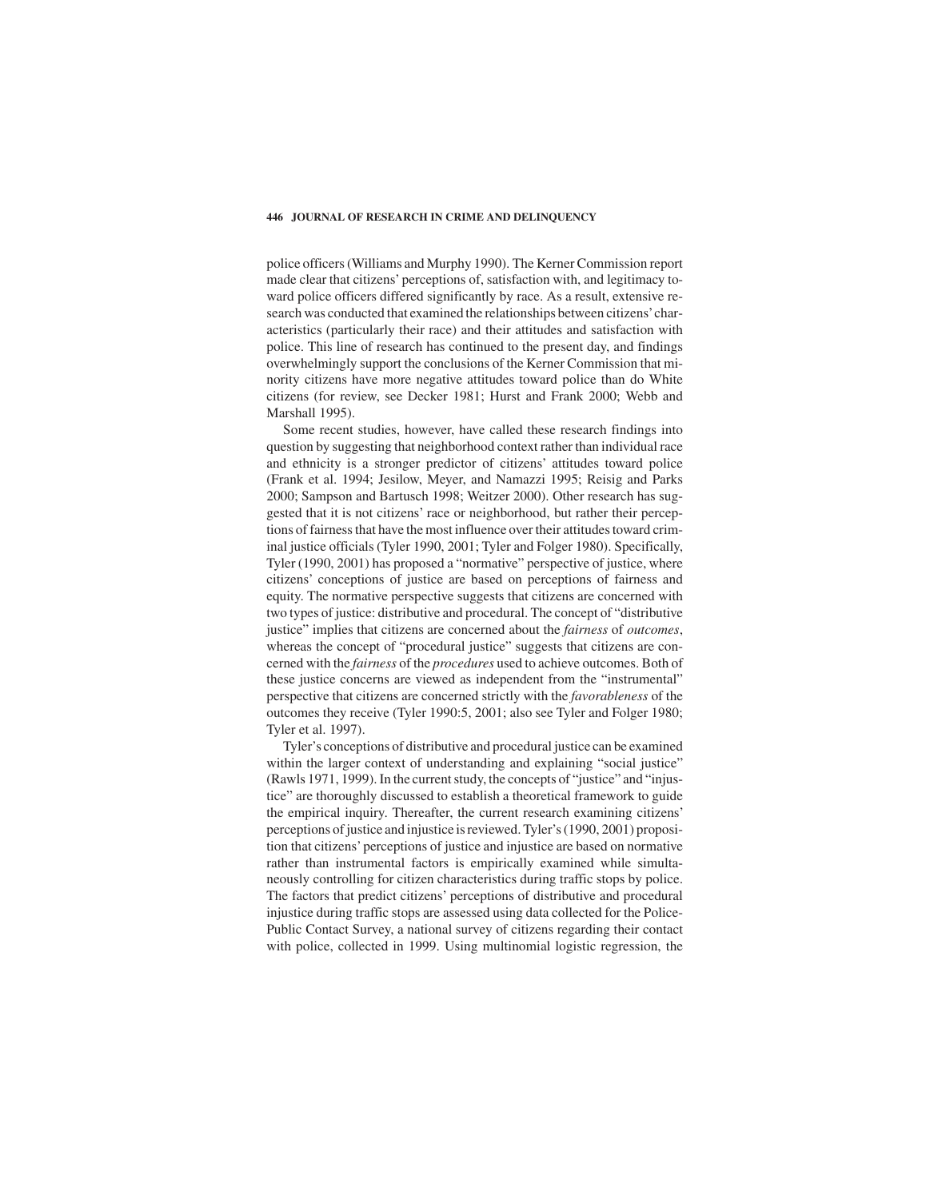police officers (Williams and Murphy 1990). The Kerner Commission report made clear that citizens' perceptions of, satisfaction with, and legitimacy toward police officers differed significantly by race. As a result, extensive research was conducted that examined the relationships between citizens'characteristics (particularly their race) and their attitudes and satisfaction with police. This line of research has continued to the present day, and findings overwhelmingly support the conclusions of the Kerner Commission that minority citizens have more negative attitudes toward police than do White citizens (for review, see Decker 1981; Hurst and Frank 2000; Webb and Marshall 1995).

Some recent studies, however, have called these research findings into question by suggesting that neighborhood context rather than individual race and ethnicity is a stronger predictor of citizens' attitudes toward police (Frank et al. 1994; Jesilow, Meyer, and Namazzi 1995; Reisig and Parks 2000; Sampson and Bartusch 1998; Weitzer 2000). Other research has suggested that it is not citizens' race or neighborhood, but rather their perceptions of fairness that have the most influence over their attitudes toward criminal justice officials (Tyler 1990, 2001; Tyler and Folger 1980). Specifically, Tyler (1990, 2001) has proposed a "normative" perspective of justice, where citizens' conceptions of justice are based on perceptions of fairness and equity. The normative perspective suggests that citizens are concerned with two types of justice: distributive and procedural. The concept of "distributive justice" implies that citizens are concerned about the *fairness* of *outcomes*, whereas the concept of "procedural justice" suggests that citizens are concerned with the *fairness* of the *procedures* used to achieve outcomes. Both of these justice concerns are viewed as independent from the "instrumental" perspective that citizens are concerned strictly with the *favorableness* of the outcomes they receive (Tyler 1990:5, 2001; also see Tyler and Folger 1980; Tyler et al. 1997).

Tyler's conceptions of distributive and procedural justice can be examined within the larger context of understanding and explaining "social justice" (Rawls 1971, 1999). In the current study, the concepts of "justice" and "injustice" are thoroughly discussed to establish a theoretical framework to guide the empirical inquiry. Thereafter, the current research examining citizens' perceptions of justice and injustice is reviewed. Tyler's (1990, 2001) proposition that citizens' perceptions of justice and injustice are based on normative rather than instrumental factors is empirically examined while simultaneously controlling for citizen characteristics during traffic stops by police. The factors that predict citizens' perceptions of distributive and procedural injustice during traffic stops are assessed using data collected for the Police-Public Contact Survey, a national survey of citizens regarding their contact with police, collected in 1999. Using multinomial logistic regression, the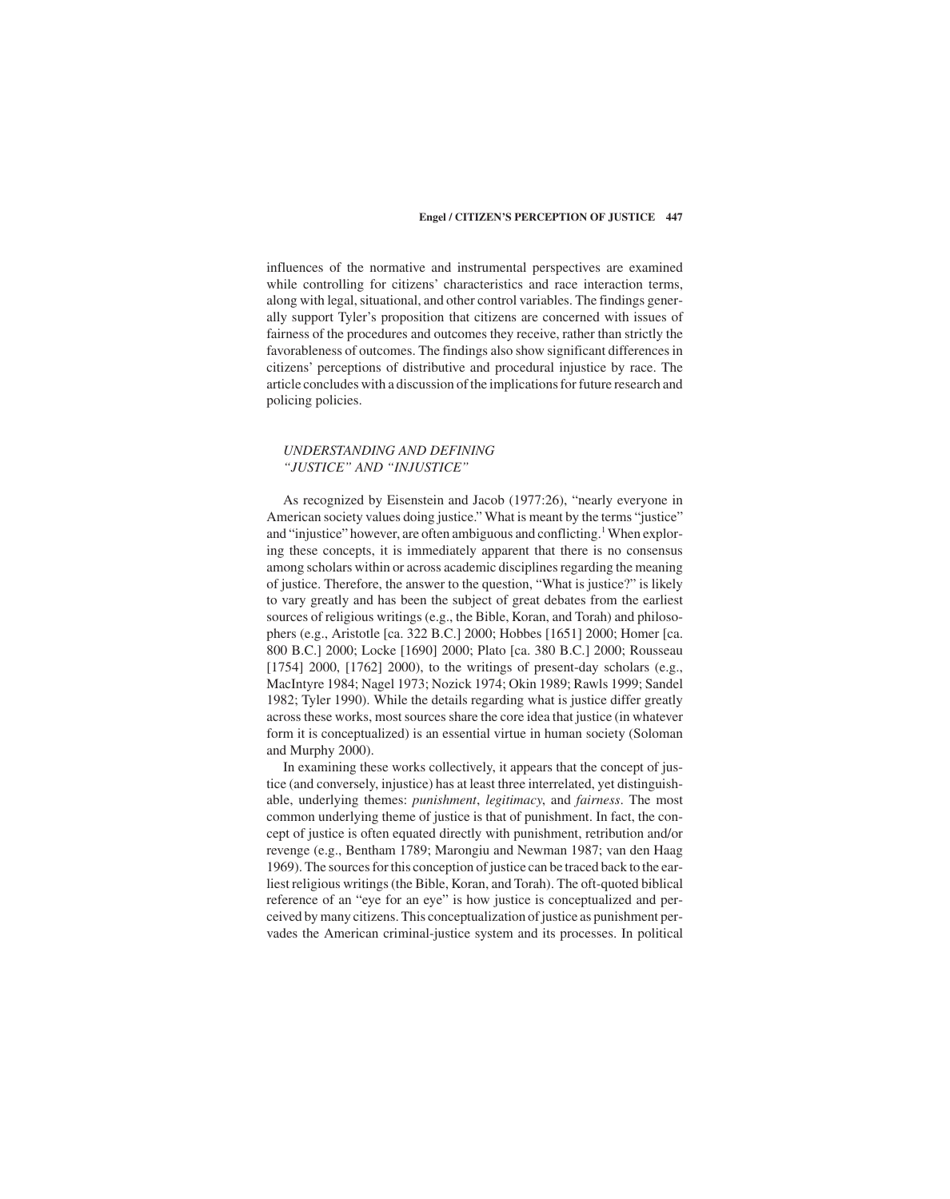influences of the normative and instrumental perspectives are examined while controlling for citizens' characteristics and race interaction terms, along with legal, situational, and other control variables. The findings generally support Tyler's proposition that citizens are concerned with issues of fairness of the procedures and outcomes they receive, rather than strictly the favorableness of outcomes. The findings also show significant differences in citizens' perceptions of distributive and procedural injustice by race. The article concludes with a discussion of the implications for future research and policing policies.

# *UNDERSTANDING AND DEFINING "JUSTICE" AND "INJUSTICE"*

As recognized by Eisenstein and Jacob (1977:26), "nearly everyone in American society values doing justice." What is meant by the terms "justice" and "injustice" however, are often ambiguous and conflicting.<sup>1</sup> When exploring these concepts, it is immediately apparent that there is no consensus among scholars within or across academic disciplines regarding the meaning of justice. Therefore, the answer to the question, "What is justice?" is likely to vary greatly and has been the subject of great debates from the earliest sources of religious writings (e.g., the Bible, Koran, and Torah) and philosophers (e.g., Aristotle [ca. 322 B.C.] 2000; Hobbes [1651] 2000; Homer [ca. 800 B.C.] 2000; Locke [1690] 2000; Plato [ca. 380 B.C.] 2000; Rousseau [1754] 2000, [1762] 2000), to the writings of present-day scholars (e.g., MacIntyre 1984; Nagel 1973; Nozick 1974; Okin 1989; Rawls 1999; Sandel 1982; Tyler 1990). While the details regarding what is justice differ greatly across these works, most sources share the core idea that justice (in whatever form it is conceptualized) is an essential virtue in human society (Soloman and Murphy 2000).

In examining these works collectively, it appears that the concept of justice (and conversely, injustice) has at least three interrelated, yet distinguishable, underlying themes: *punishment*, *legitimacy*, and *fairness*. The most common underlying theme of justice is that of punishment. In fact, the concept of justice is often equated directly with punishment, retribution and/or revenge (e.g., Bentham 1789; Marongiu and Newman 1987; van den Haag 1969). The sources for this conception of justice can be traced back to the earliest religious writings (the Bible, Koran, and Torah). The oft-quoted biblical reference of an "eye for an eye" is how justice is conceptualized and perceived by many citizens. This conceptualization of justice as punishment pervades the American criminal-justice system and its processes. In political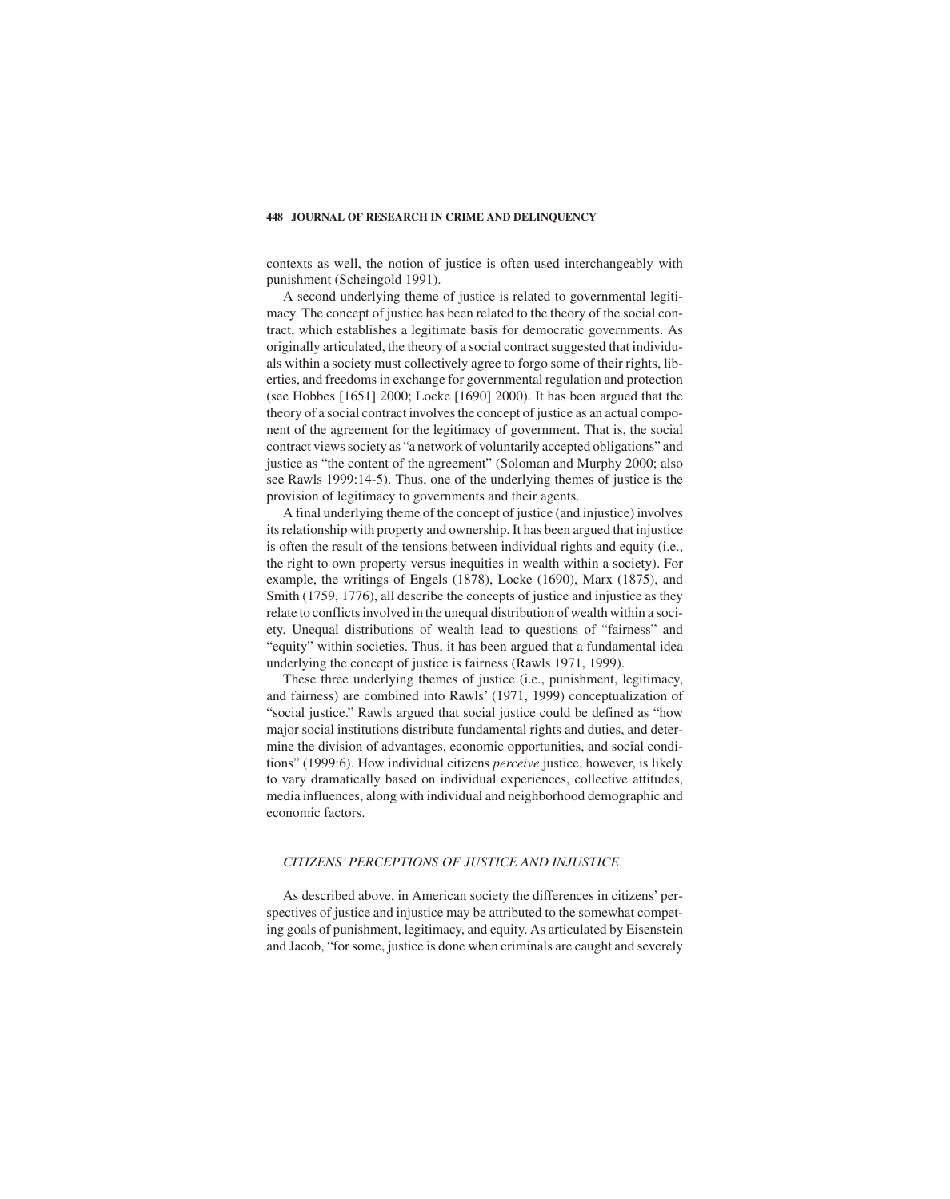contexts as well, the notion of justice is often used interchangeably with punishment (Scheingold 1991).

A second underlying theme of justice is related to governmental legitimacy. The concept of justice has been related to the theory of the social contract, which establishes a legitimate basis for democratic governments. As originally articulated, the theory of a social contract suggested that individuals within a society must collectively agree to forgo some of their rights, liberties, and freedoms in exchange for governmental regulation and protection (see Hobbes [1651] 2000; Locke [1690] 2000). It has been argued that the theory of a social contract involves the concept of justice as an actual component of the agreement for the legitimacy of government. That is, the social contract views society as "a network of voluntarily accepted obligations" and justice as "the content of the agreement" (Soloman and Murphy 2000; also see Rawls 1999:14-5). Thus, one of the underlying themes of justice is the provision of legitimacy to governments and their agents.

A final underlying theme of the concept of justice (and injustice) involves its relationship with property and ownership. It has been argued that injustice is often the result of the tensions between individual rights and equity (i.e., the right to own property versus inequities in wealth within a society). For example, the writings of Engels (1878), Locke (1690), Marx (1875), and Smith (1759, 1776), all describe the concepts of justice and injustice as they relate to conflicts involved in the unequal distribution of wealth within a society. Unequal distributions of wealth lead to questions of "fairness" and "equity" within societies. Thus, it has been argued that a fundamental idea underlying the concept of justice is fairness (Rawls 1971, 1999).

These three underlying themes of justice (i.e., punishment, legitimacy, and fairness) are combined into Rawls' (1971, 1999) conceptualization of "social justice." Rawls argued that social justice could be defined as "how major social institutions distribute fundamental rights and duties, and determine the division of advantages, economic opportunities, and social conditions" (1999:6). How individual citizens *perceive* justice, however, is likely to vary dramatically based on individual experiences, collective attitudes, media influences, along with individual and neighborhood demographic and economic factors.

#### *CITIZENS' PERCEPTIONS OF JUSTICE AND INJUSTICE*

As described above, in American society the differences in citizens' perspectives of justice and injustice may be attributed to the somewhat competing goals of punishment, legitimacy, and equity. As articulated by Eisenstein and Jacob, "for some, justice is done when criminals are caught and severely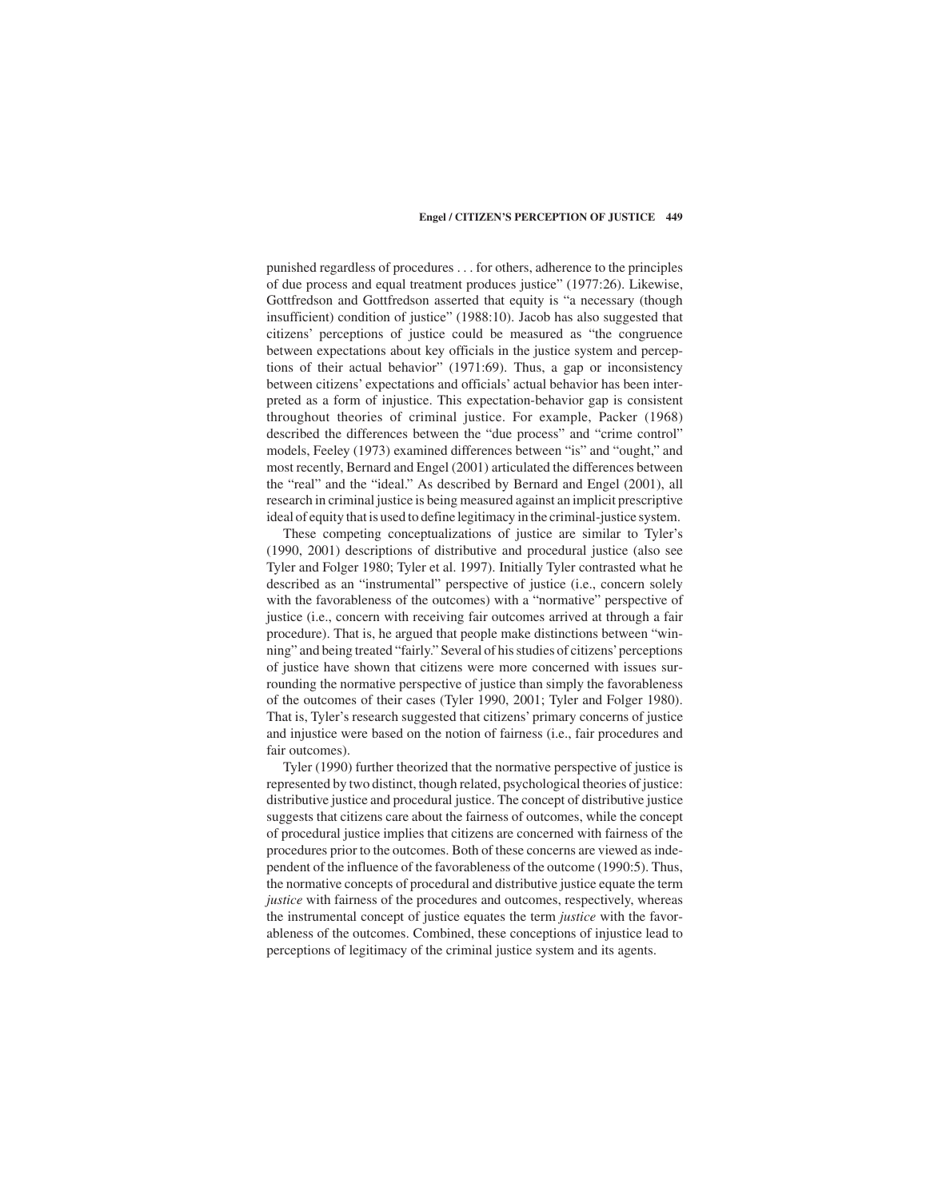punished regardless of procedures . . . for others, adherence to the principles of due process and equal treatment produces justice" (1977:26). Likewise, Gottfredson and Gottfredson asserted that equity is "a necessary (though insufficient) condition of justice" (1988:10). Jacob has also suggested that citizens' perceptions of justice could be measured as "the congruence between expectations about key officials in the justice system and perceptions of their actual behavior" (1971:69). Thus, a gap or inconsistency between citizens' expectations and officials' actual behavior has been interpreted as a form of injustice. This expectation-behavior gap is consistent throughout theories of criminal justice. For example, Packer (1968) described the differences between the "due process" and "crime control" models, Feeley (1973) examined differences between "is" and "ought," and most recently, Bernard and Engel (2001) articulated the differences between the "real" and the "ideal." As described by Bernard and Engel (2001), all research in criminal justice is being measured against an implicit prescriptive ideal of equity that is used to define legitimacy in the criminal-justice system.

These competing conceptualizations of justice are similar to Tyler's (1990, 2001) descriptions of distributive and procedural justice (also see Tyler and Folger 1980; Tyler et al. 1997). Initially Tyler contrasted what he described as an "instrumental" perspective of justice (i.e., concern solely with the favorableness of the outcomes) with a "normative" perspective of justice (*i.e., concern with receiving fair outcomes arrived at through a fair* procedure). That is, he argued that people make distinctions between "winning" and being treated "fairly." Several of his studies of citizens'perceptions of justice have shown that citizens were more concerned with issues surrounding the normative perspective of justice than simply the favorableness of the outcomes of their cases (Tyler 1990, 2001; Tyler and Folger 1980). That is, Tyler's research suggested that citizens' primary concerns of justice and injustice were based on the notion of fairness (i.e., fair procedures and fair outcomes).

Tyler (1990) further theorized that the normative perspective of justice is represented by two distinct, though related, psychological theories of justice: distributive justice and procedural justice. The concept of distributive justice suggests that citizens care about the fairness of outcomes, while the concept of procedural justice implies that citizens are concerned with fairness of the procedures prior to the outcomes. Both of these concerns are viewed as independent of the influence of the favorableness of the outcome (1990:5). Thus, the normative concepts of procedural and distributive justice equate the term *justice* with fairness of the procedures and outcomes, respectively, whereas the instrumental concept of justice equates the term *justice* with the favorableness of the outcomes. Combined, these conceptions of injustice lead to perceptions of legitimacy of the criminal justice system and its agents.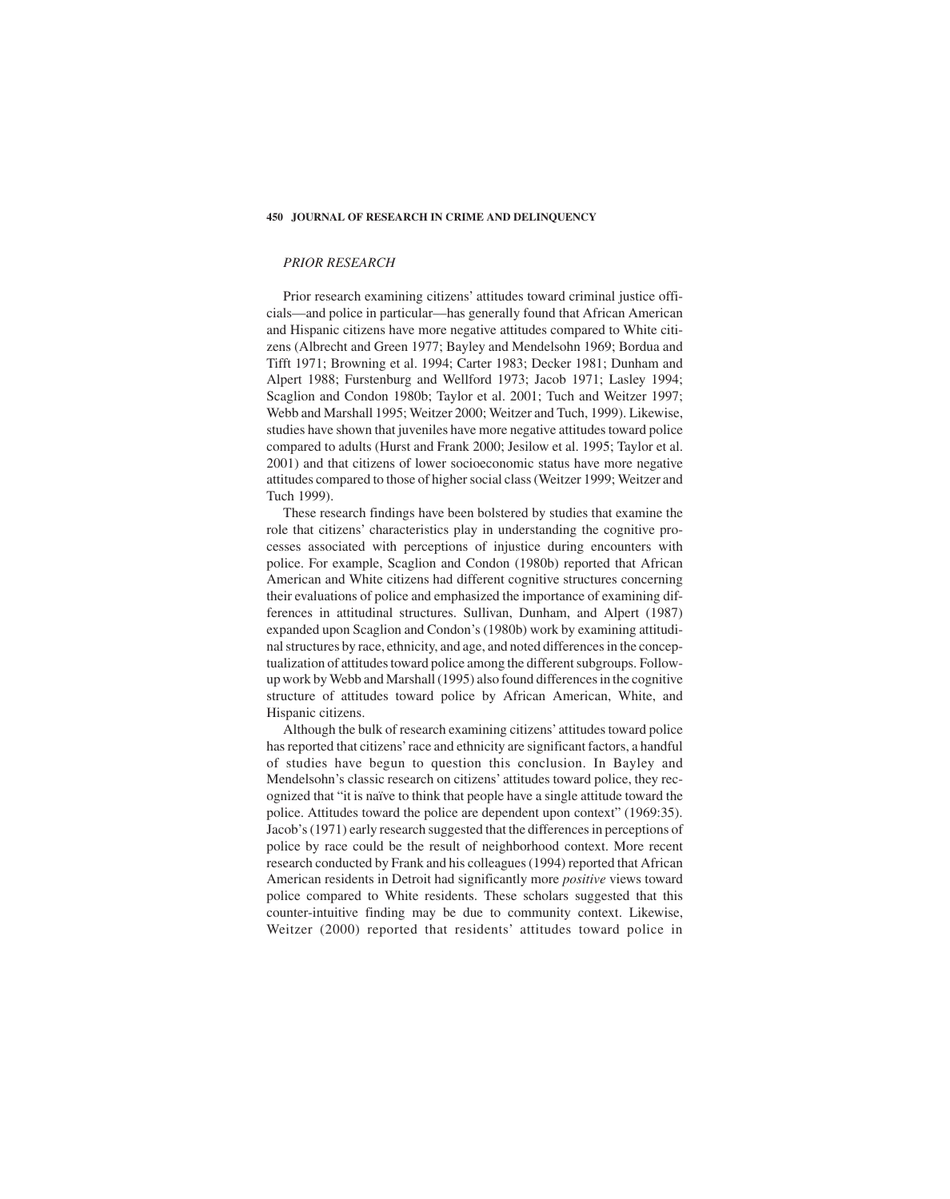## *PRIOR RESEARCH*

Prior research examining citizens' attitudes toward criminal justice officials—and police in particular—has generally found that African American and Hispanic citizens have more negative attitudes compared to White citizens (Albrecht and Green 1977; Bayley and Mendelsohn 1969; Bordua and Tifft 1971; Browning et al. 1994; Carter 1983; Decker 1981; Dunham and Alpert 1988; Furstenburg and Wellford 1973; Jacob 1971; Lasley 1994; Scaglion and Condon 1980b; Taylor et al. 2001; Tuch and Weitzer 1997; Webb and Marshall 1995; Weitzer 2000; Weitzer and Tuch, 1999). Likewise, studies have shown that juveniles have more negative attitudes toward police compared to adults (Hurst and Frank 2000; Jesilow et al. 1995; Taylor et al. 2001) and that citizens of lower socioeconomic status have more negative attitudes compared to those of higher social class (Weitzer 1999; Weitzer and Tuch 1999).

These research findings have been bolstered by studies that examine the role that citizens' characteristics play in understanding the cognitive processes associated with perceptions of injustice during encounters with police. For example, Scaglion and Condon (1980b) reported that African American and White citizens had different cognitive structures concerning their evaluations of police and emphasized the importance of examining differences in attitudinal structures. Sullivan, Dunham, and Alpert (1987) expanded upon Scaglion and Condon's (1980b) work by examining attitudinal structures by race, ethnicity, and age, and noted differences in the conceptualization of attitudes toward police among the different subgroups. Followup work by Webb and Marshall (1995) also found differences in the cognitive structure of attitudes toward police by African American, White, and Hispanic citizens.

Although the bulk of research examining citizens' attitudes toward police has reported that citizens'race and ethnicity are significant factors, a handful of studies have begun to question this conclusion. In Bayley and Mendelsohn's classic research on citizens' attitudes toward police, they recognized that "it is naïve to think that people have a single attitude toward the police. Attitudes toward the police are dependent upon context" (1969:35). Jacob's (1971) early research suggested that the differences in perceptions of police by race could be the result of neighborhood context. More recent research conducted by Frank and his colleagues (1994) reported that African American residents in Detroit had significantly more *positive* views toward police compared to White residents. These scholars suggested that this counter-intuitive finding may be due to community context. Likewise, Weitzer (2000) reported that residents' attitudes toward police in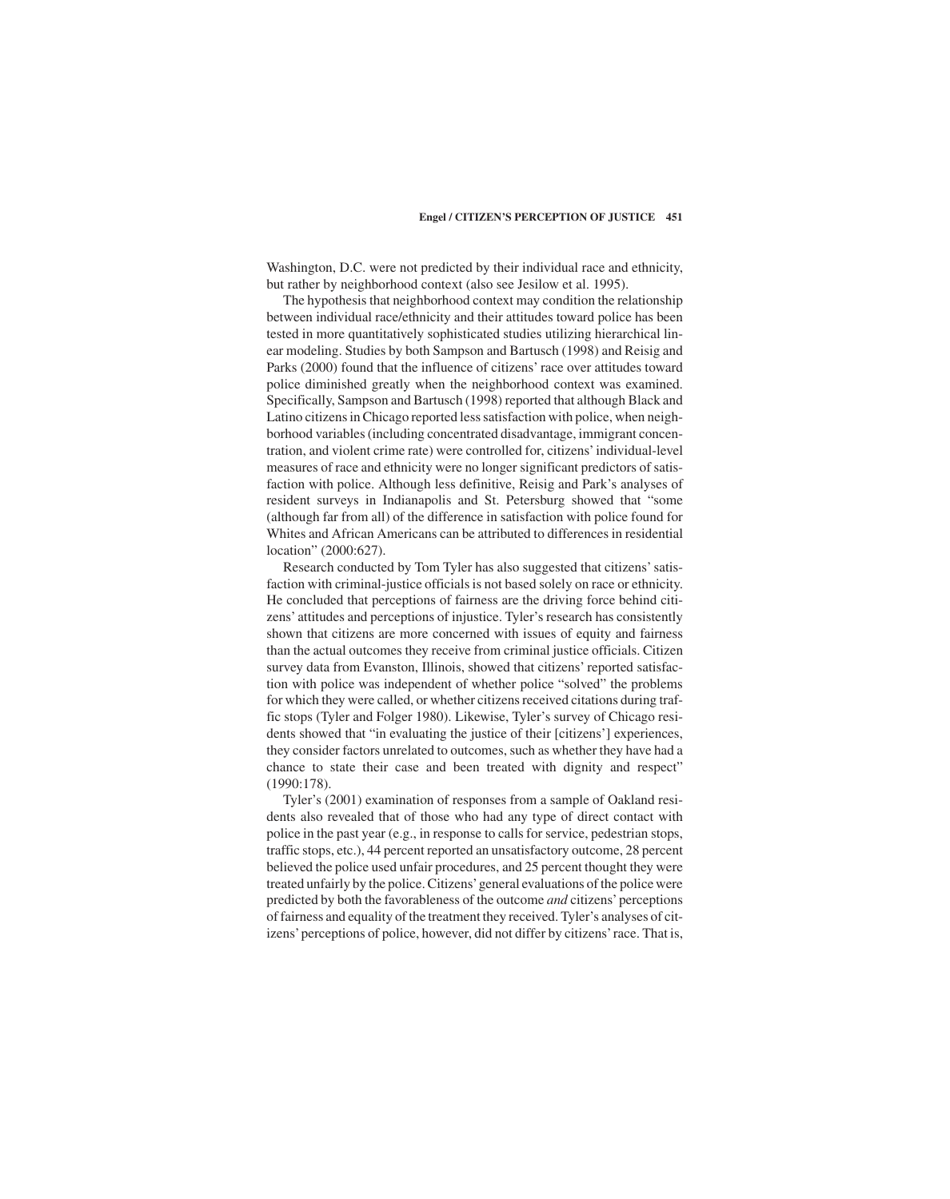Washington, D.C. were not predicted by their individual race and ethnicity, but rather by neighborhood context (also see Jesilow et al. 1995).

The hypothesis that neighborhood context may condition the relationship between individual race/ethnicity and their attitudes toward police has been tested in more quantitatively sophisticated studies utilizing hierarchical linear modeling. Studies by both Sampson and Bartusch (1998) and Reisig and Parks (2000) found that the influence of citizens' race over attitudes toward police diminished greatly when the neighborhood context was examined. Specifically, Sampson and Bartusch (1998) reported that although Black and Latino citizens in Chicago reported less satisfaction with police, when neighborhood variables (including concentrated disadvantage, immigrant concentration, and violent crime rate) were controlled for, citizens' individual-level measures of race and ethnicity were no longer significant predictors of satisfaction with police. Although less definitive, Reisig and Park's analyses of resident surveys in Indianapolis and St. Petersburg showed that "some (although far from all) of the difference in satisfaction with police found for Whites and African Americans can be attributed to differences in residential location" (2000:627).

Research conducted by Tom Tyler has also suggested that citizens' satisfaction with criminal-justice officials is not based solely on race or ethnicity. He concluded that perceptions of fairness are the driving force behind citizens' attitudes and perceptions of injustice. Tyler's research has consistently shown that citizens are more concerned with issues of equity and fairness than the actual outcomes they receive from criminal justice officials. Citizen survey data from Evanston, Illinois, showed that citizens' reported satisfaction with police was independent of whether police "solved" the problems for which they were called, or whether citizens received citations during traffic stops (Tyler and Folger 1980). Likewise, Tyler's survey of Chicago residents showed that "in evaluating the justice of their [citizens'] experiences, they consider factors unrelated to outcomes, such as whether they have had a chance to state their case and been treated with dignity and respect" (1990:178).

Tyler's (2001) examination of responses from a sample of Oakland residents also revealed that of those who had any type of direct contact with police in the past year (e.g., in response to calls for service, pedestrian stops, traffic stops, etc.), 44 percent reported an unsatisfactory outcome, 28 percent believed the police used unfair procedures, and 25 percent thought they were treated unfairly by the police. Citizens'general evaluations of the police were predicted by both the favorableness of the outcome *and* citizens'perceptions of fairness and equality of the treatment they received. Tyler's analyses of citizens'perceptions of police, however, did not differ by citizens'race. That is,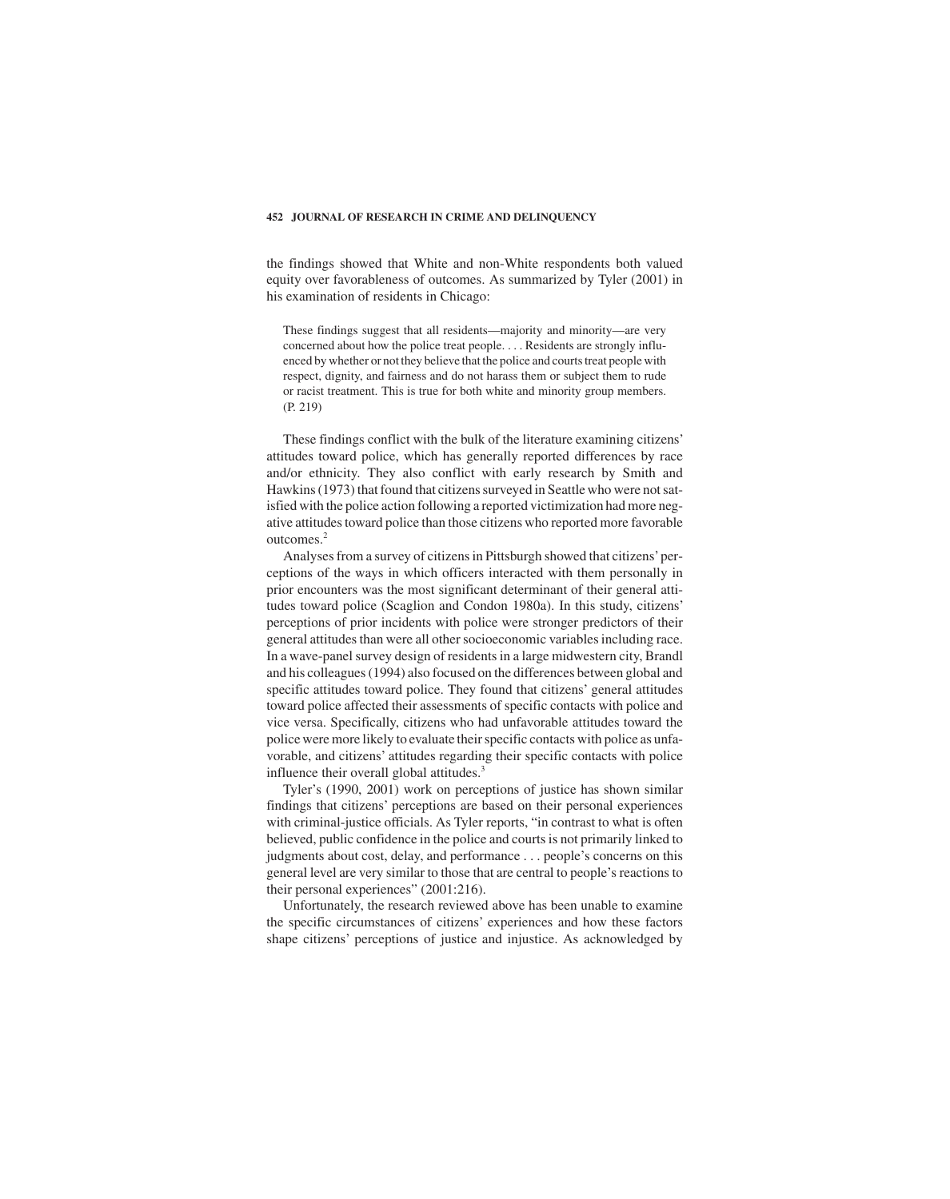the findings showed that White and non-White respondents both valued equity over favorableness of outcomes. As summarized by Tyler (2001) in his examination of residents in Chicago:

These findings suggest that all residents—majority and minority—are very concerned about how the police treat people. . . . Residents are strongly influenced by whether or not they believe that the police and courts treat people with respect, dignity, and fairness and do not harass them or subject them to rude or racist treatment. This is true for both white and minority group members. (P. 219)

These findings conflict with the bulk of the literature examining citizens' attitudes toward police, which has generally reported differences by race and/or ethnicity. They also conflict with early research by Smith and Hawkins (1973) that found that citizens surveyed in Seattle who were not satisfied with the police action following a reported victimization had more negative attitudes toward police than those citizens who reported more favorable outcomes.2

Analyses from a survey of citizens in Pittsburgh showed that citizens'perceptions of the ways in which officers interacted with them personally in prior encounters was the most significant determinant of their general attitudes toward police (Scaglion and Condon 1980a). In this study, citizens' perceptions of prior incidents with police were stronger predictors of their general attitudes than were all other socioeconomic variables including race. In a wave-panel survey design of residents in a large midwestern city, Brandl and his colleagues (1994) also focused on the differences between global and specific attitudes toward police. They found that citizens' general attitudes toward police affected their assessments of specific contacts with police and vice versa. Specifically, citizens who had unfavorable attitudes toward the police were more likely to evaluate their specific contacts with police as unfavorable, and citizens' attitudes regarding their specific contacts with police influence their overall global attitudes.<sup>3</sup>

Tyler's (1990, 2001) work on perceptions of justice has shown similar findings that citizens' perceptions are based on their personal experiences with criminal-justice officials. As Tyler reports, "in contrast to what is often believed, public confidence in the police and courts is not primarily linked to judgments about cost, delay, and performance . . . people's concerns on this general level are very similar to those that are central to people's reactions to their personal experiences" (2001:216).

Unfortunately, the research reviewed above has been unable to examine the specific circumstances of citizens' experiences and how these factors shape citizens' perceptions of justice and injustice. As acknowledged by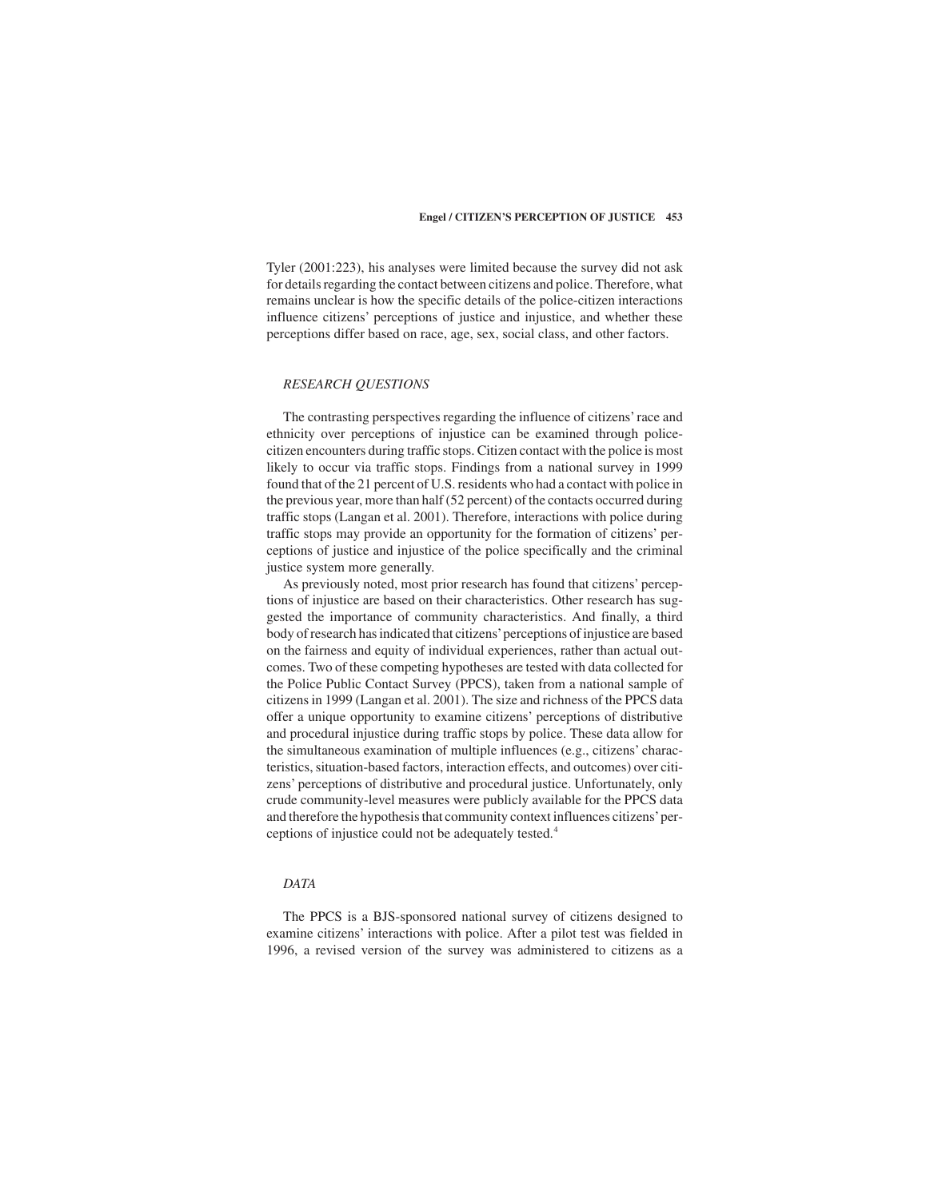Tyler (2001:223), his analyses were limited because the survey did not ask for details regarding the contact between citizens and police. Therefore, what remains unclear is how the specific details of the police-citizen interactions influence citizens' perceptions of justice and injustice, and whether these perceptions differ based on race, age, sex, social class, and other factors.

## *RESEARCH QUESTIONS*

The contrasting perspectives regarding the influence of citizens' race and ethnicity over perceptions of injustice can be examined through policecitizen encounters during traffic stops. Citizen contact with the police is most likely to occur via traffic stops. Findings from a national survey in 1999 found that of the 21 percent of U.S. residents who had a contact with police in the previous year, more than half (52 percent) of the contacts occurred during traffic stops (Langan et al. 2001). Therefore, interactions with police during traffic stops may provide an opportunity for the formation of citizens' perceptions of justice and injustice of the police specifically and the criminal justice system more generally.

As previously noted, most prior research has found that citizens' perceptions of injustice are based on their characteristics. Other research has suggested the importance of community characteristics. And finally, a third body of research has indicated that citizens'perceptions of injustice are based on the fairness and equity of individual experiences, rather than actual outcomes. Two of these competing hypotheses are tested with data collected for the Police Public Contact Survey (PPCS), taken from a national sample of citizens in 1999 (Langan et al. 2001). The size and richness of the PPCS data offer a unique opportunity to examine citizens' perceptions of distributive and procedural injustice during traffic stops by police. These data allow for the simultaneous examination of multiple influences (e.g., citizens' characteristics, situation-based factors, interaction effects, and outcomes) over citizens' perceptions of distributive and procedural justice. Unfortunately, only crude community-level measures were publicly available for the PPCS data and therefore the hypothesis that community context influences citizens'perceptions of injustice could not be adequately tested.<sup>4</sup>

# *DATA*

The PPCS is a BJS-sponsored national survey of citizens designed to examine citizens' interactions with police. After a pilot test was fielded in 1996, a revised version of the survey was administered to citizens as a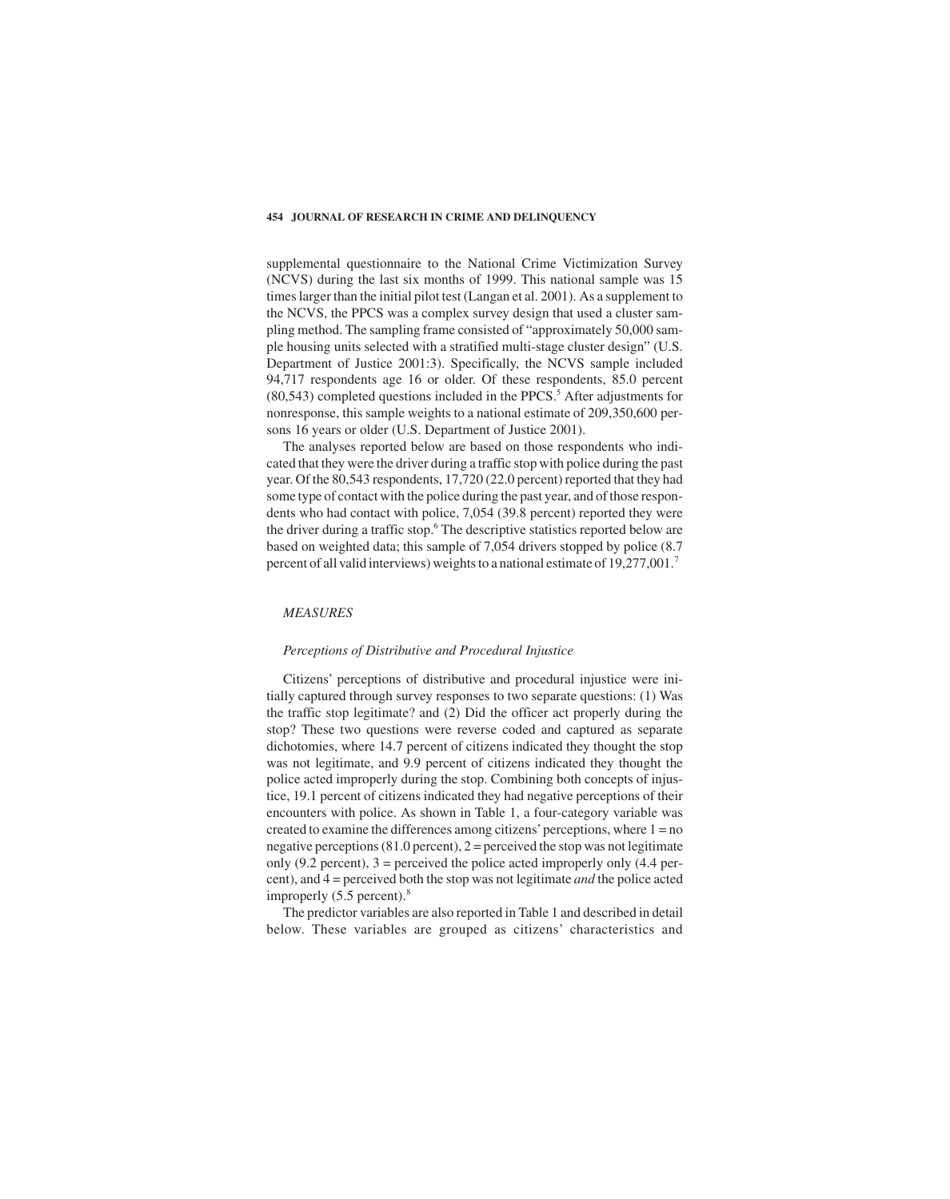supplemental questionnaire to the National Crime Victimization Survey (NCVS) during the last six months of 1999. This national sample was 15 times larger than the initial pilot test (Langan et al. 2001). As a supplement to the NCVS, the PPCS was a complex survey design that used a cluster sampling method. The sampling frame consisted of "approximately 50,000 sample housing units selected with a stratified multi-stage cluster design" (U.S. Department of Justice 2001:3). Specifically, the NCVS sample included 94,717 respondents age 16 or older. Of these respondents, 85.0 percent  $(80,543)$  completed questions included in the PPCS.<sup>5</sup> After adjustments for nonresponse, this sample weights to a national estimate of 209,350,600 persons 16 years or older (U.S. Department of Justice 2001).

The analyses reported below are based on those respondents who indicated that they were the driver during a traffic stop with police during the past year. Of the 80,543 respondents, 17,720 (22.0 percent) reported that they had some type of contact with the police during the past year, and of those respondents who had contact with police, 7,054 (39.8 percent) reported they were the driver during a traffic stop.6 The descriptive statistics reported below are based on weighted data; this sample of 7,054 drivers stopped by police (8.7 percent of all valid interviews) weights to a national estimate of 19,277,001.7

# *MEASURES*

#### *Perceptions of Distributive and Procedural Injustice*

Citizens' perceptions of distributive and procedural injustice were initially captured through survey responses to two separate questions: (1) Was the traffic stop legitimate? and (2) Did the officer act properly during the stop? These two questions were reverse coded and captured as separate dichotomies, where 14.7 percent of citizens indicated they thought the stop was not legitimate, and 9.9 percent of citizens indicated they thought the police acted improperly during the stop. Combining both concepts of injustice, 19.1 percent of citizens indicated they had negative perceptions of their encounters with police. As shown in Table 1, a four-category variable was created to examine the differences among citizens' perceptions, where  $1 = no$ negative perceptions (81.0 percent),  $2$  = perceived the stop was not legitimate only (9.2 percent),  $3$  = perceived the police acted improperly only (4.4 percent), and 4 = perceived both the stop was not legitimate *and* the police acted improperly  $(5.5 \text{ percent})$ .<sup>8</sup>

The predictor variables are also reported in Table 1 and described in detail below. These variables are grouped as citizens' characteristics and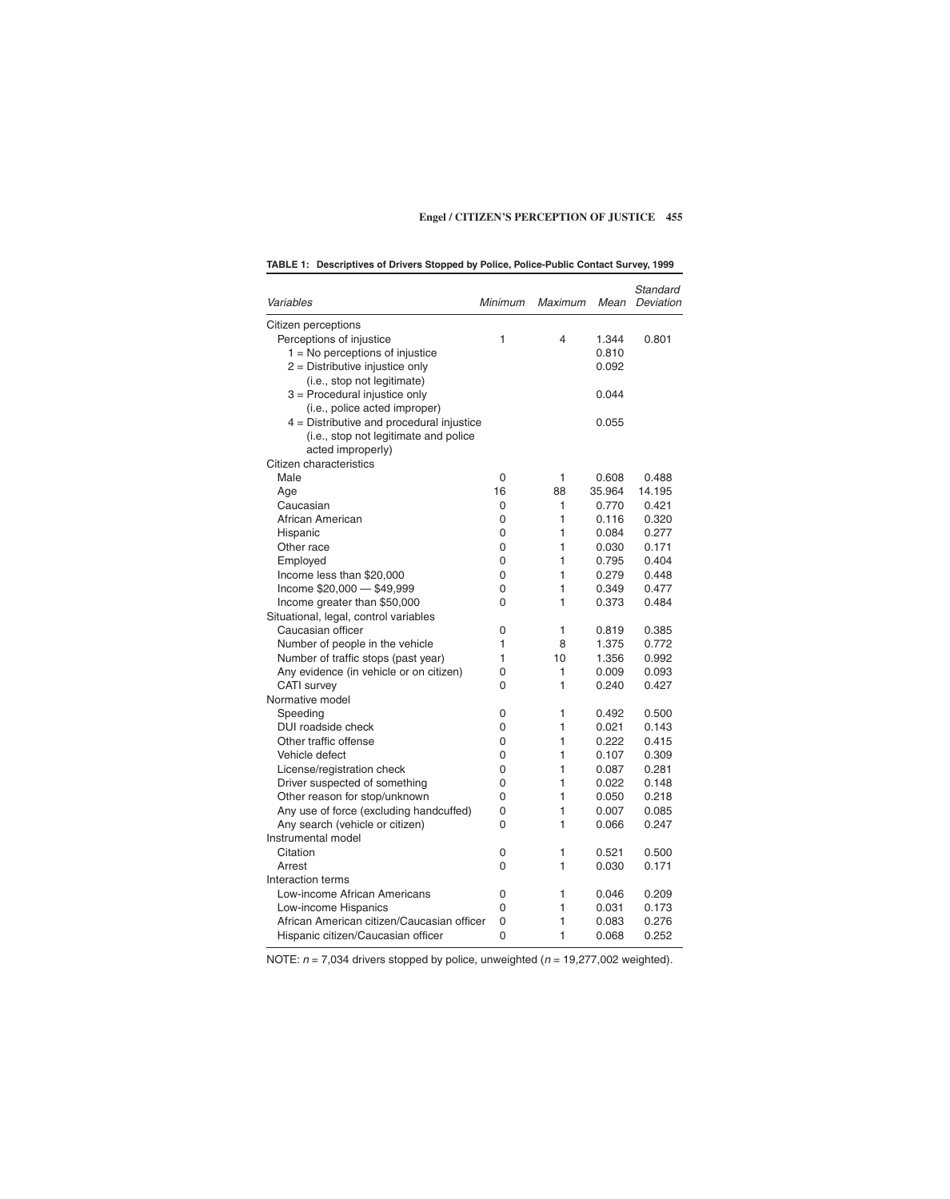| Variables                                   | Minimum        | <b>Maximum</b> | Mean   | <b>Standard</b><br>Deviation |
|---------------------------------------------|----------------|----------------|--------|------------------------------|
| Citizen perceptions                         |                |                |        |                              |
| Perceptions of injustice                    | 1              | 4              | 1.344  | 0.801                        |
| $1 = No$ perceptions of injustice           |                |                | 0.810  |                              |
| 2 = Distributive injustice only             |                |                | 0.092  |                              |
| (i.e., stop not legitimate)                 |                |                |        |                              |
| $3$ = Procedural injustice only             |                |                | 0.044  |                              |
| (i.e., police acted improper)               |                |                |        |                              |
| $4$ = Distributive and procedural injustice |                |                | 0.055  |                              |
| (i.e., stop not legitimate and police       |                |                |        |                              |
| acted improperly)                           |                |                |        |                              |
| Citizen characteristics                     |                |                |        |                              |
| Male                                        | 0              | 1              | 0.608  | 0.488                        |
| Age                                         | 16             | 88             | 35.964 | 14.195                       |
| Caucasian                                   | 0              | 1              | 0.770  | 0.421                        |
| African American                            | 0              | 1              | 0.116  | 0.320                        |
| Hispanic                                    | 0              | 1              | 0.084  | 0.277                        |
| Other race                                  | $\mathbf{0}$   | 1              | 0.030  | 0.171                        |
| Employed                                    | 0              | 1              | 0.795  | 0.404                        |
| Income less than \$20,000                   | 0              | 1              | 0.279  | 0.448                        |
| Income \$20,000 - \$49,999                  | 0              | 1              | 0.349  | 0.477                        |
| Income greater than \$50,000                | 0              | 1              | 0.373  | 0.484                        |
| Situational, legal, control variables       |                |                |        |                              |
| Caucasian officer                           | 0              | 1              | 0.819  | 0.385                        |
| Number of people in the vehicle             | 1              | 8              | 1.375  | 0.772                        |
| Number of traffic stops (past year)         | 1              | 10             | 1.356  | 0.992                        |
| Any evidence (in vehicle or on citizen)     | 0              | 1              | 0.009  | 0.093                        |
| CATI survey                                 | 0              | 1              | 0.240  | 0.427                        |
| Normative model                             |                |                |        |                              |
| Speeding                                    | 0              | 1              | 0.492  | 0.500                        |
| DUI roadside check                          | 0              | 1              | 0.021  | 0.143                        |
| Other traffic offense                       | 0              | 1              | 0.222  | 0.415                        |
| Vehicle defect                              | 0              | 1              | 0.107  | 0.309                        |
| License/registration check                  | 0              | 1              | 0.087  | 0.281                        |
| Driver suspected of something               | 0              | 1              | 0.022  | 0.148                        |
| Other reason for stop/unknown               | 0              | 1              | 0.050  | 0.218                        |
| Any use of force (excluding handcuffed)     | 0              | 1              | 0.007  | 0.085                        |
| Any search (vehicle or citizen)             | $\Omega$       | 1              | 0.066  | 0.247                        |
| Instrumental model                          |                |                |        |                              |
| Citation                                    | 0              | 1              | 0.521  | 0.500                        |
| Arrest                                      | 0              | 1              | 0.030  | 0.171                        |
|                                             |                |                |        |                              |
| Interaction terms                           |                |                |        |                              |
| Low-income African Americans                | 0              | 1              | 0.046  | 0.209                        |
| Low-income Hispanics                        | 0              | 1              | 0.031  | 0.173                        |
| African American citizen/Caucasian officer  | 0              | 1<br>1         | 0.083  | 0.276                        |
| Hispanic citizen/Caucasian officer          | $\overline{0}$ |                | 0.068  | 0.252                        |

**TABLE 1: Descriptives of Drivers Stopped by Police, Police-Public Contact Survey, 1999**

*NOTE: <sup>n</sup> = 7,034 drivers stopped by police, unweighted (<sup>n</sup> = 19,277,002 weighted).*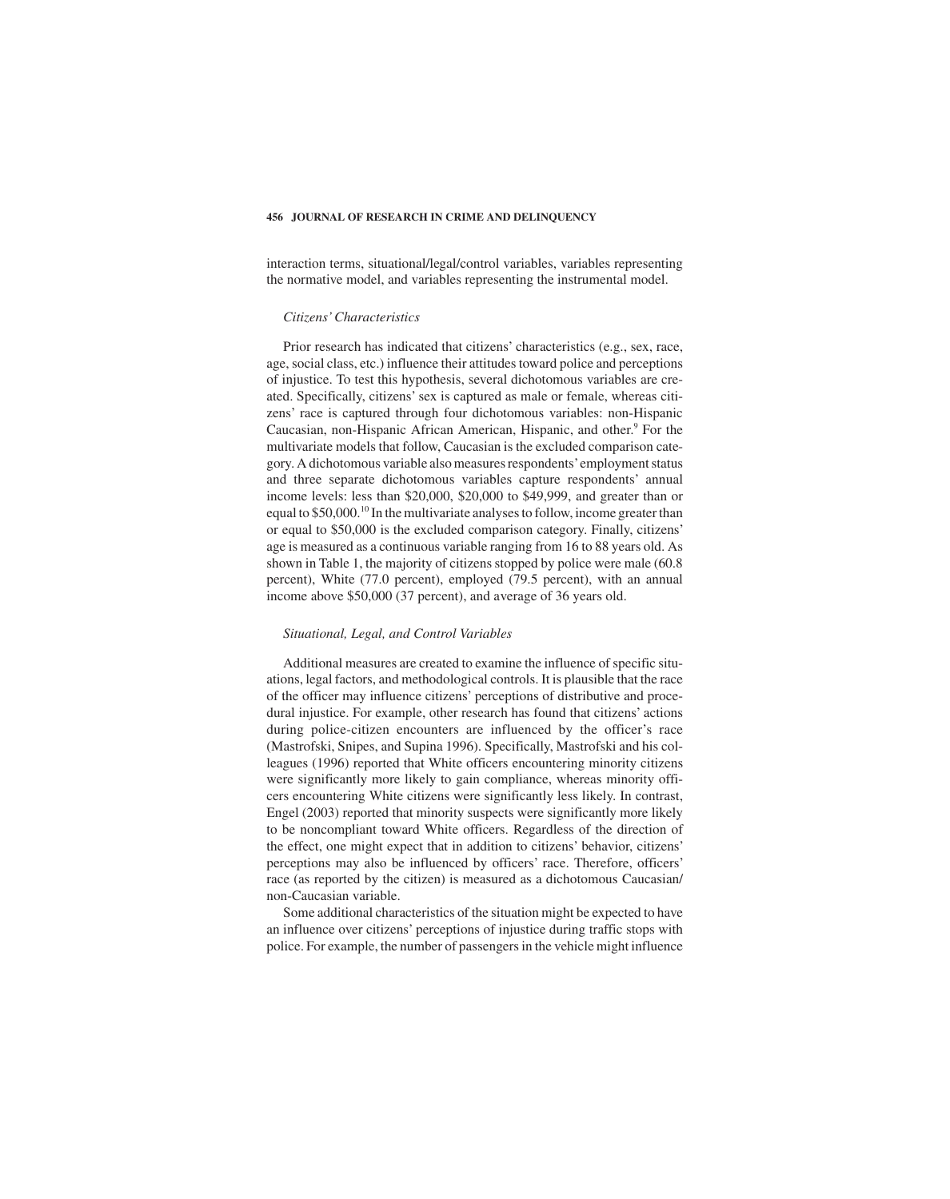interaction terms, situational/legal/control variables, variables representing the normative model, and variables representing the instrumental model.

# *Citizens' Characteristics*

Prior research has indicated that citizens' characteristics (e.g., sex, race, age, social class, etc.) influence their attitudes toward police and perceptions of injustice. To test this hypothesis, several dichotomous variables are created. Specifically, citizens' sex is captured as male or female, whereas citizens' race is captured through four dichotomous variables: non-Hispanic Caucasian, non-Hispanic African American, Hispanic, and other.<sup>9</sup> For the multivariate models that follow, Caucasian is the excluded comparison category. A dichotomous variable also measures respondents'employment status and three separate dichotomous variables capture respondents' annual income levels: less than \$20,000, \$20,000 to \$49,999, and greater than or equal to \$50,000.10 In the multivariate analyses to follow, income greater than or equal to \$50,000 is the excluded comparison category. Finally, citizens' age is measured as a continuous variable ranging from 16 to 88 years old. As shown in Table 1, the majority of citizens stopped by police were male (60.8 percent), White (77.0 percent), employed (79.5 percent), with an annual income above \$50,000 (37 percent), and average of 36 years old.

# *Situational, Legal, and Control Variables*

Additional measures are created to examine the influence of specific situations, legal factors, and methodological controls. It is plausible that the race of the officer may influence citizens' perceptions of distributive and procedural injustice. For example, other research has found that citizens' actions during police-citizen encounters are influenced by the officer's race (Mastrofski, Snipes, and Supina 1996). Specifically, Mastrofski and his colleagues (1996) reported that White officers encountering minority citizens were significantly more likely to gain compliance, whereas minority officers encountering White citizens were significantly less likely. In contrast, Engel (2003) reported that minority suspects were significantly more likely to be noncompliant toward White officers. Regardless of the direction of the effect, one might expect that in addition to citizens' behavior, citizens' perceptions may also be influenced by officers' race. Therefore, officers' race (as reported by the citizen) is measured as a dichotomous Caucasian/ non-Caucasian variable.

Some additional characteristics of the situation might be expected to have an influence over citizens' perceptions of injustice during traffic stops with police. For example, the number of passengers in the vehicle might influence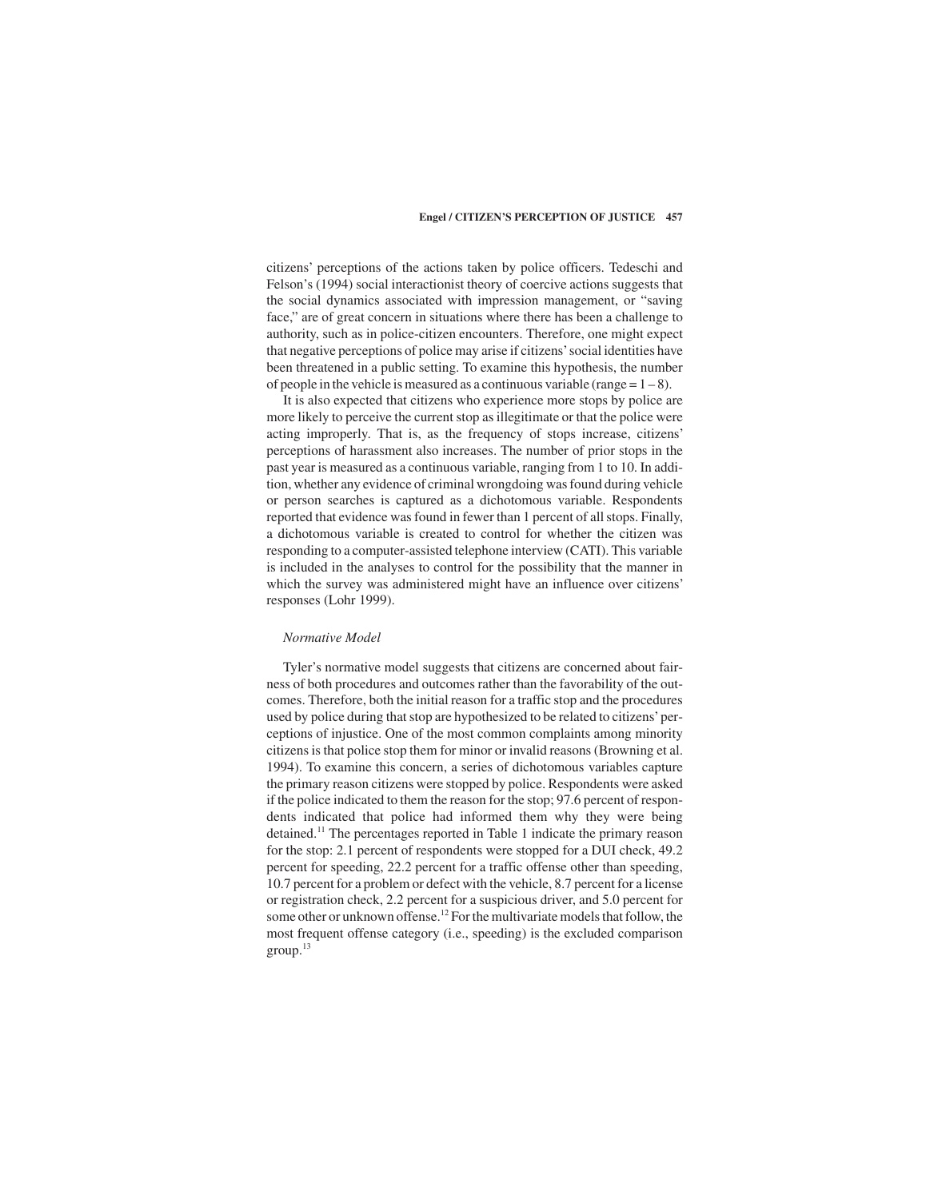citizens' perceptions of the actions taken by police officers. Tedeschi and Felson's (1994) social interactionist theory of coercive actions suggests that the social dynamics associated with impression management, or "saving face," are of great concern in situations where there has been a challenge to authority, such as in police-citizen encounters. Therefore, one might expect that negative perceptions of police may arise if citizens'social identities have been threatened in a public setting. To examine this hypothesis, the number of people in the vehicle is measured as a continuous variable (range  $= 1 - 8$ ).

It is also expected that citizens who experience more stops by police are more likely to perceive the current stop as illegitimate or that the police were acting improperly. That is, as the frequency of stops increase, citizens' perceptions of harassment also increases. The number of prior stops in the past year is measured as a continuous variable, ranging from 1 to 10. In addition, whether any evidence of criminal wrongdoing was found during vehicle or person searches is captured as a dichotomous variable. Respondents reported that evidence was found in fewer than 1 percent of all stops. Finally, a dichotomous variable is created to control for whether the citizen was responding to a computer-assisted telephone interview (CATI). This variable is included in the analyses to control for the possibility that the manner in which the survey was administered might have an influence over citizens' responses (Lohr 1999).

## *Normative Model*

Tyler's normative model suggests that citizens are concerned about fairness of both procedures and outcomes rather than the favorability of the outcomes. Therefore, both the initial reason for a traffic stop and the procedures used by police during that stop are hypothesized to be related to citizens'perceptions of injustice. One of the most common complaints among minority citizens is that police stop them for minor or invalid reasons (Browning et al. 1994). To examine this concern, a series of dichotomous variables capture the primary reason citizens were stopped by police. Respondents were asked if the police indicated to them the reason for the stop; 97.6 percent of respondents indicated that police had informed them why they were being detained.11 The percentages reported in Table 1 indicate the primary reason for the stop: 2.1 percent of respondents were stopped for a DUI check, 49.2 percent for speeding, 22.2 percent for a traffic offense other than speeding, 10.7 percent for a problem or defect with the vehicle, 8.7 percent for a license or registration check, 2.2 percent for a suspicious driver, and 5.0 percent for some other or unknown offense.<sup>12</sup> For the multivariate models that follow, the most frequent offense category (i.e., speeding) is the excluded comparison group.<sup>13</sup>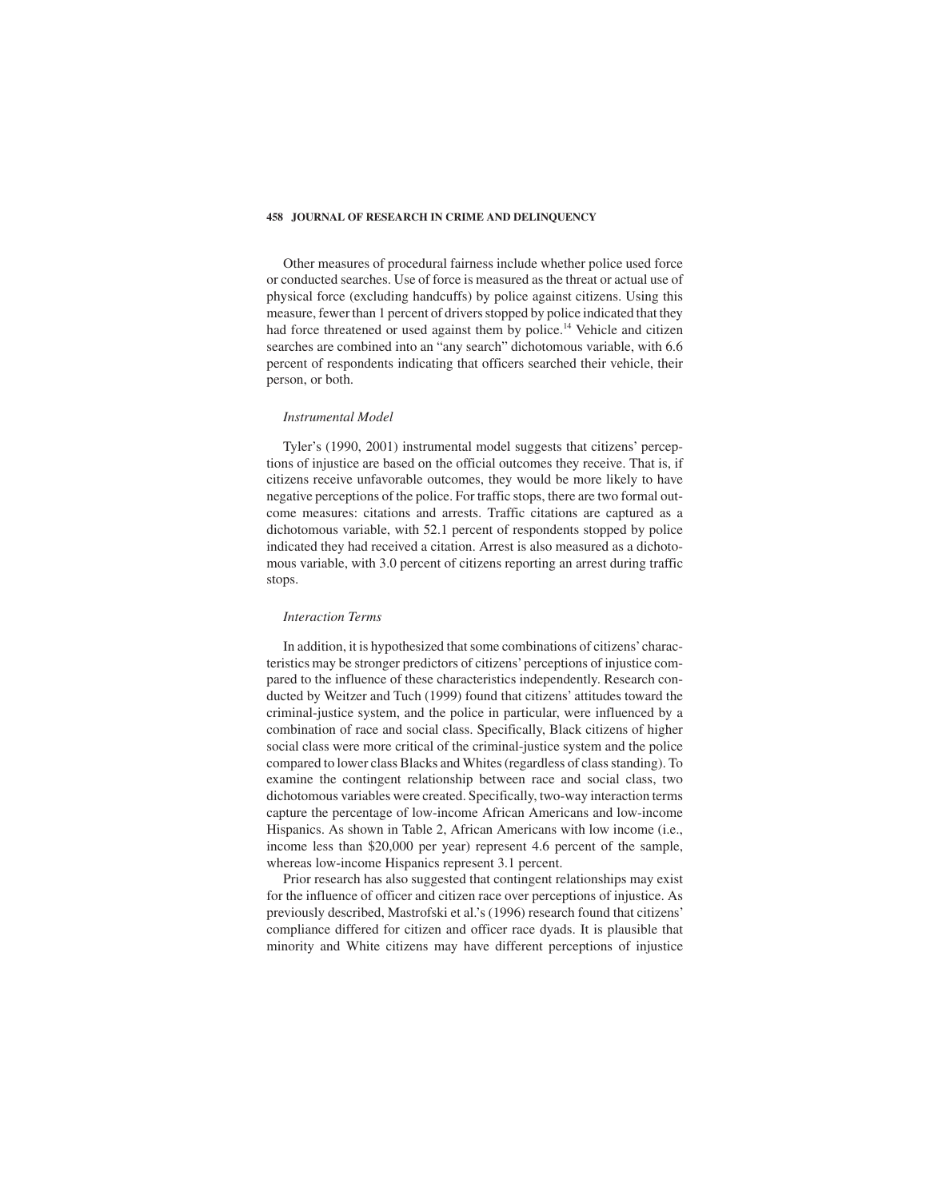Other measures of procedural fairness include whether police used force or conducted searches. Use of force is measured as the threat or actual use of physical force (excluding handcuffs) by police against citizens. Using this measure, fewer than 1 percent of drivers stopped by police indicated that they had force threatened or used against them by police.<sup>14</sup> Vehicle and citizen searches are combined into an "any search" dichotomous variable, with 6.6 percent of respondents indicating that officers searched their vehicle, their person, or both.

#### *Instrumental Model*

Tyler's (1990, 2001) instrumental model suggests that citizens' perceptions of injustice are based on the official outcomes they receive. That is, if citizens receive unfavorable outcomes, they would be more likely to have negative perceptions of the police. For traffic stops, there are two formal outcome measures: citations and arrests. Traffic citations are captured as a dichotomous variable, with 52.1 percent of respondents stopped by police indicated they had received a citation. Arrest is also measured as a dichotomous variable, with 3.0 percent of citizens reporting an arrest during traffic stops.

#### *Interaction Terms*

In addition, it is hypothesized that some combinations of citizens'characteristics may be stronger predictors of citizens'perceptions of injustice compared to the influence of these characteristics independently. Research conducted by Weitzer and Tuch (1999) found that citizens' attitudes toward the criminal-justice system, and the police in particular, were influenced by a combination of race and social class. Specifically, Black citizens of higher social class were more critical of the criminal-justice system and the police compared to lower class Blacks and Whites (regardless of class standing). To examine the contingent relationship between race and social class, two dichotomous variables were created. Specifically, two-way interaction terms capture the percentage of low-income African Americans and low-income Hispanics. As shown in Table 2, African Americans with low income (i.e., income less than \$20,000 per year) represent 4.6 percent of the sample, whereas low-income Hispanics represent 3.1 percent.

Prior research has also suggested that contingent relationships may exist for the influence of officer and citizen race over perceptions of injustice. As previously described, Mastrofski et al.'s (1996) research found that citizens' compliance differed for citizen and officer race dyads. It is plausible that minority and White citizens may have different perceptions of injustice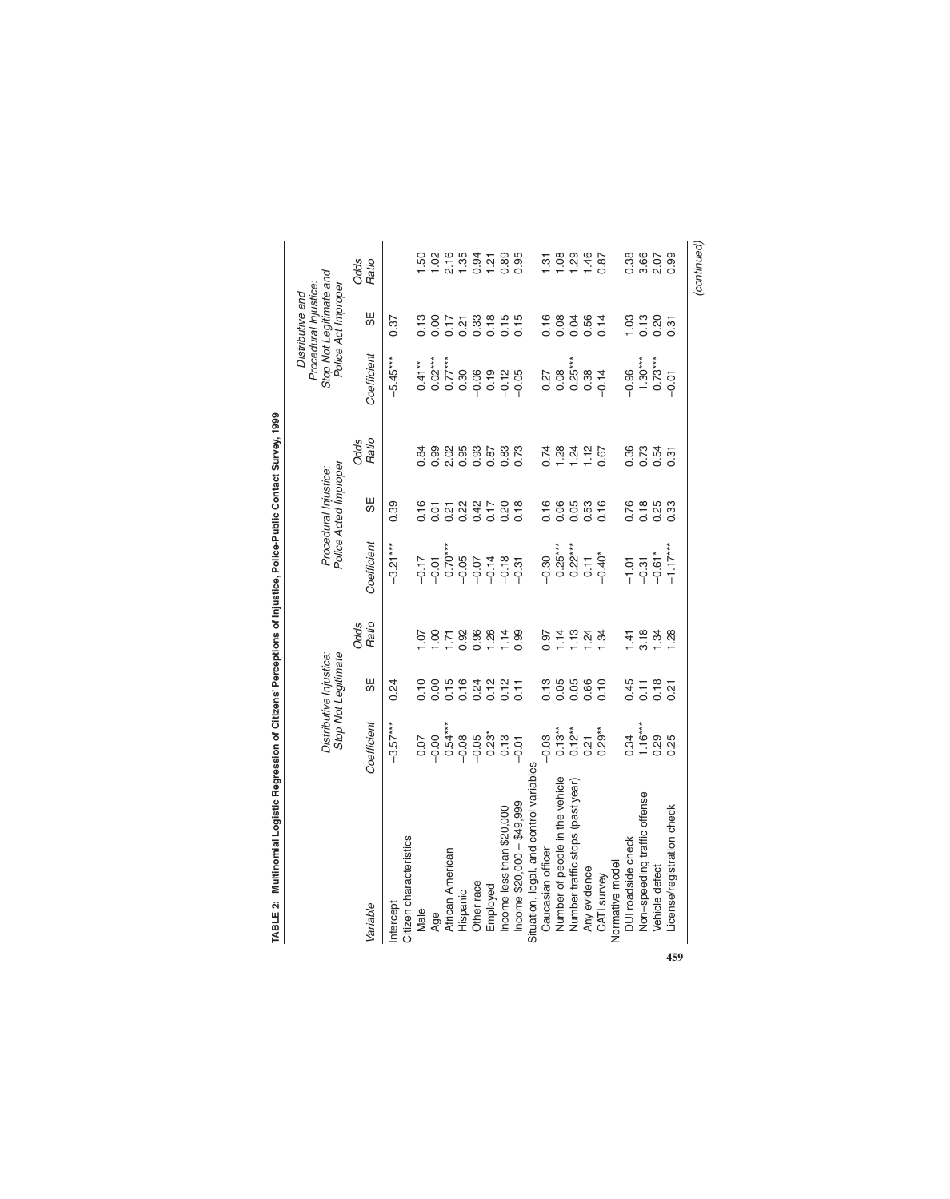| 27<br>0.08<br>0.03.88<br>0.0000<br>$-0.96$<br>1.30***<br>0.73****<br>$889928$<br>$0000000$<br>Ratio<br>Odds<br>8 8 8<br>0 9 8<br>0 9 9<br>$7.34$<br>$7.42$<br>$7.67$<br>0.36<br>0.73<br>0.93<br>$0.54$<br>0.31<br>0.84<br>87<br>0.88<br>0.0<br>0.74<br>Police Acted Improper<br>Procedural Injustice:<br>55<br>0.39<br>0.76<br>0.18<br>0.16<br>0.22<br>0.47<br>0.0<br>9<br>0<br>0<br>0<br>0<br>0<br>0<br>0.16<br>0.25<br>0.33<br>0.78<br>0.53<br>0.21<br>Coefficient<br>$-3.21***$<br>$0.25***$<br>$0.22***$<br>= *<br>5,05<br>5,055<br>5,0566<br>$-1.17***$<br>$\frac{5}{7}$ $\frac{5}{9}$ $\frac{5}{9}$<br>$-0.40*$<br>$-0.30$<br>$-0.17$<br>0.11<br>Ratio<br>Odds<br>3.18<br>0.92<br>0.96<br>1.26<br>1.14<br>1.13<br>1.24<br>$\frac{34}{28}$<br>$-0.1$<br>$\frac{00}{1.71}$<br>0.99<br>1.34<br>0.97<br>1.41<br>Stop Not Legitimate<br>Distributive Injustice:<br>58<br>0.24<br>$0.588827$<br>0.000000<br>845<br>0.0.21<br>0.0.0<br>0.10<br>$\begin{array}{c}\n 28 \\  \hline\n 28 \\  \hline\n 0\n \end{array}$<br>0.66<br>0.10<br>Coefficient<br>$-3.57***$<br>$0.54***$<br>$1.16***$<br>$0.12***$<br>$0.29**$<br>$0.13**$<br>$0.23*$<br>$-0.00$<br>$-0.08$<br>$-0.05$<br>$-0.03$<br>0.21<br>0.34<br>0.29<br>0.07<br>0.25<br>0.13<br>$-0.01$<br>Situation, legal, and control variables<br>Number of people in the vehicle<br>Number traffic stops (past year)<br>Non-speeding traffic offense<br>Income \$20,000 - \$49,999<br>Income less than \$20,000<br>License/registration check<br>Citizen characteristics<br>DUI roadside check<br>African American<br>Caucasian officer<br>Normative model<br>Vehicle defect<br>Any evidence<br>CATI survey<br>Other race<br>Employed<br>Hispanic<br>ntercept<br>Variable<br>Male<br>Age |  |  |  |  |             | Procedural Injustice:<br>Distributive and                    |                                      |
|----------------------------------------------------------------------------------------------------------------------------------------------------------------------------------------------------------------------------------------------------------------------------------------------------------------------------------------------------------------------------------------------------------------------------------------------------------------------------------------------------------------------------------------------------------------------------------------------------------------------------------------------------------------------------------------------------------------------------------------------------------------------------------------------------------------------------------------------------------------------------------------------------------------------------------------------------------------------------------------------------------------------------------------------------------------------------------------------------------------------------------------------------------------------------------------------------------------------------------------------------------------------------------------------------------------------------------------------------------------------------------------------------------------------------------------------------------------------------------------------------------------------------------------------------------------------------------------------------------------------------------------------------------------------------------------------------------------------------------------|--|--|--|--|-------------|--------------------------------------------------------------|--------------------------------------|
|                                                                                                                                                                                                                                                                                                                                                                                                                                                                                                                                                                                                                                                                                                                                                                                                                                                                                                                                                                                                                                                                                                                                                                                                                                                                                                                                                                                                                                                                                                                                                                                                                                                                                                                                        |  |  |  |  |             | Stop Not Legitimate and<br>Police Act Improper               |                                      |
|                                                                                                                                                                                                                                                                                                                                                                                                                                                                                                                                                                                                                                                                                                                                                                                                                                                                                                                                                                                                                                                                                                                                                                                                                                                                                                                                                                                                                                                                                                                                                                                                                                                                                                                                        |  |  |  |  | Coefficient | 55                                                           | <b>Odds</b><br>Ratio                 |
|                                                                                                                                                                                                                                                                                                                                                                                                                                                                                                                                                                                                                                                                                                                                                                                                                                                                                                                                                                                                                                                                                                                                                                                                                                                                                                                                                                                                                                                                                                                                                                                                                                                                                                                                        |  |  |  |  | $-5.45***$  | 0.37                                                         |                                      |
|                                                                                                                                                                                                                                                                                                                                                                                                                                                                                                                                                                                                                                                                                                                                                                                                                                                                                                                                                                                                                                                                                                                                                                                                                                                                                                                                                                                                                                                                                                                                                                                                                                                                                                                                        |  |  |  |  |             |                                                              |                                      |
|                                                                                                                                                                                                                                                                                                                                                                                                                                                                                                                                                                                                                                                                                                                                                                                                                                                                                                                                                                                                                                                                                                                                                                                                                                                                                                                                                                                                                                                                                                                                                                                                                                                                                                                                        |  |  |  |  | $0.41**$    | 0.13                                                         | $-50$                                |
|                                                                                                                                                                                                                                                                                                                                                                                                                                                                                                                                                                                                                                                                                                                                                                                                                                                                                                                                                                                                                                                                                                                                                                                                                                                                                                                                                                                                                                                                                                                                                                                                                                                                                                                                        |  |  |  |  |             |                                                              |                                      |
|                                                                                                                                                                                                                                                                                                                                                                                                                                                                                                                                                                                                                                                                                                                                                                                                                                                                                                                                                                                                                                                                                                                                                                                                                                                                                                                                                                                                                                                                                                                                                                                                                                                                                                                                        |  |  |  |  | $0.02***$   |                                                              |                                      |
|                                                                                                                                                                                                                                                                                                                                                                                                                                                                                                                                                                                                                                                                                                                                                                                                                                                                                                                                                                                                                                                                                                                                                                                                                                                                                                                                                                                                                                                                                                                                                                                                                                                                                                                                        |  |  |  |  |             | 001033845<br>00000000                                        | $0.6837088$<br>$-0.707088$           |
|                                                                                                                                                                                                                                                                                                                                                                                                                                                                                                                                                                                                                                                                                                                                                                                                                                                                                                                                                                                                                                                                                                                                                                                                                                                                                                                                                                                                                                                                                                                                                                                                                                                                                                                                        |  |  |  |  |             |                                                              |                                      |
|                                                                                                                                                                                                                                                                                                                                                                                                                                                                                                                                                                                                                                                                                                                                                                                                                                                                                                                                                                                                                                                                                                                                                                                                                                                                                                                                                                                                                                                                                                                                                                                                                                                                                                                                        |  |  |  |  |             |                                                              |                                      |
|                                                                                                                                                                                                                                                                                                                                                                                                                                                                                                                                                                                                                                                                                                                                                                                                                                                                                                                                                                                                                                                                                                                                                                                                                                                                                                                                                                                                                                                                                                                                                                                                                                                                                                                                        |  |  |  |  |             |                                                              |                                      |
|                                                                                                                                                                                                                                                                                                                                                                                                                                                                                                                                                                                                                                                                                                                                                                                                                                                                                                                                                                                                                                                                                                                                                                                                                                                                                                                                                                                                                                                                                                                                                                                                                                                                                                                                        |  |  |  |  |             |                                                              |                                      |
| 459                                                                                                                                                                                                                                                                                                                                                                                                                                                                                                                                                                                                                                                                                                                                                                                                                                                                                                                                                                                                                                                                                                                                                                                                                                                                                                                                                                                                                                                                                                                                                                                                                                                                                                                                    |  |  |  |  |             |                                                              |                                      |
|                                                                                                                                                                                                                                                                                                                                                                                                                                                                                                                                                                                                                                                                                                                                                                                                                                                                                                                                                                                                                                                                                                                                                                                                                                                                                                                                                                                                                                                                                                                                                                                                                                                                                                                                        |  |  |  |  |             |                                                              | $\frac{5}{2}$                        |
|                                                                                                                                                                                                                                                                                                                                                                                                                                                                                                                                                                                                                                                                                                                                                                                                                                                                                                                                                                                                                                                                                                                                                                                                                                                                                                                                                                                                                                                                                                                                                                                                                                                                                                                                        |  |  |  |  |             |                                                              |                                      |
|                                                                                                                                                                                                                                                                                                                                                                                                                                                                                                                                                                                                                                                                                                                                                                                                                                                                                                                                                                                                                                                                                                                                                                                                                                                                                                                                                                                                                                                                                                                                                                                                                                                                                                                                        |  |  |  |  |             |                                                              |                                      |
|                                                                                                                                                                                                                                                                                                                                                                                                                                                                                                                                                                                                                                                                                                                                                                                                                                                                                                                                                                                                                                                                                                                                                                                                                                                                                                                                                                                                                                                                                                                                                                                                                                                                                                                                        |  |  |  |  |             | $\begin{array}{c} 0.80000 \\ 0.00000 \\ 0.00000 \end{array}$ | $1.88$<br>$1.46$<br>$1.68$<br>$0.87$ |
|                                                                                                                                                                                                                                                                                                                                                                                                                                                                                                                                                                                                                                                                                                                                                                                                                                                                                                                                                                                                                                                                                                                                                                                                                                                                                                                                                                                                                                                                                                                                                                                                                                                                                                                                        |  |  |  |  |             |                                                              |                                      |
|                                                                                                                                                                                                                                                                                                                                                                                                                                                                                                                                                                                                                                                                                                                                                                                                                                                                                                                                                                                                                                                                                                                                                                                                                                                                                                                                                                                                                                                                                                                                                                                                                                                                                                                                        |  |  |  |  |             |                                                              |                                      |
|                                                                                                                                                                                                                                                                                                                                                                                                                                                                                                                                                                                                                                                                                                                                                                                                                                                                                                                                                                                                                                                                                                                                                                                                                                                                                                                                                                                                                                                                                                                                                                                                                                                                                                                                        |  |  |  |  |             | 1.03                                                         | 0.38                                 |
|                                                                                                                                                                                                                                                                                                                                                                                                                                                                                                                                                                                                                                                                                                                                                                                                                                                                                                                                                                                                                                                                                                                                                                                                                                                                                                                                                                                                                                                                                                                                                                                                                                                                                                                                        |  |  |  |  |             | 0.13                                                         |                                      |
|                                                                                                                                                                                                                                                                                                                                                                                                                                                                                                                                                                                                                                                                                                                                                                                                                                                                                                                                                                                                                                                                                                                                                                                                                                                                                                                                                                                                                                                                                                                                                                                                                                                                                                                                        |  |  |  |  |             | 0.31                                                         |                                      |
|                                                                                                                                                                                                                                                                                                                                                                                                                                                                                                                                                                                                                                                                                                                                                                                                                                                                                                                                                                                                                                                                                                                                                                                                                                                                                                                                                                                                                                                                                                                                                                                                                                                                                                                                        |  |  |  |  | $-0.01$     |                                                              |                                      |
|                                                                                                                                                                                                                                                                                                                                                                                                                                                                                                                                                                                                                                                                                                                                                                                                                                                                                                                                                                                                                                                                                                                                                                                                                                                                                                                                                                                                                                                                                                                                                                                                                                                                                                                                        |  |  |  |  |             |                                                              | (continued)                          |

TABLE 2: Multinomial Logistic Regression of Citizens' Perceptions of Injustice, Police-Public Contact Survey, 1999 **TABLE 2: Multinomial Logistic Regression of Citizens' Perceptions of Injustice, Police-Public Contact Survey, 1999**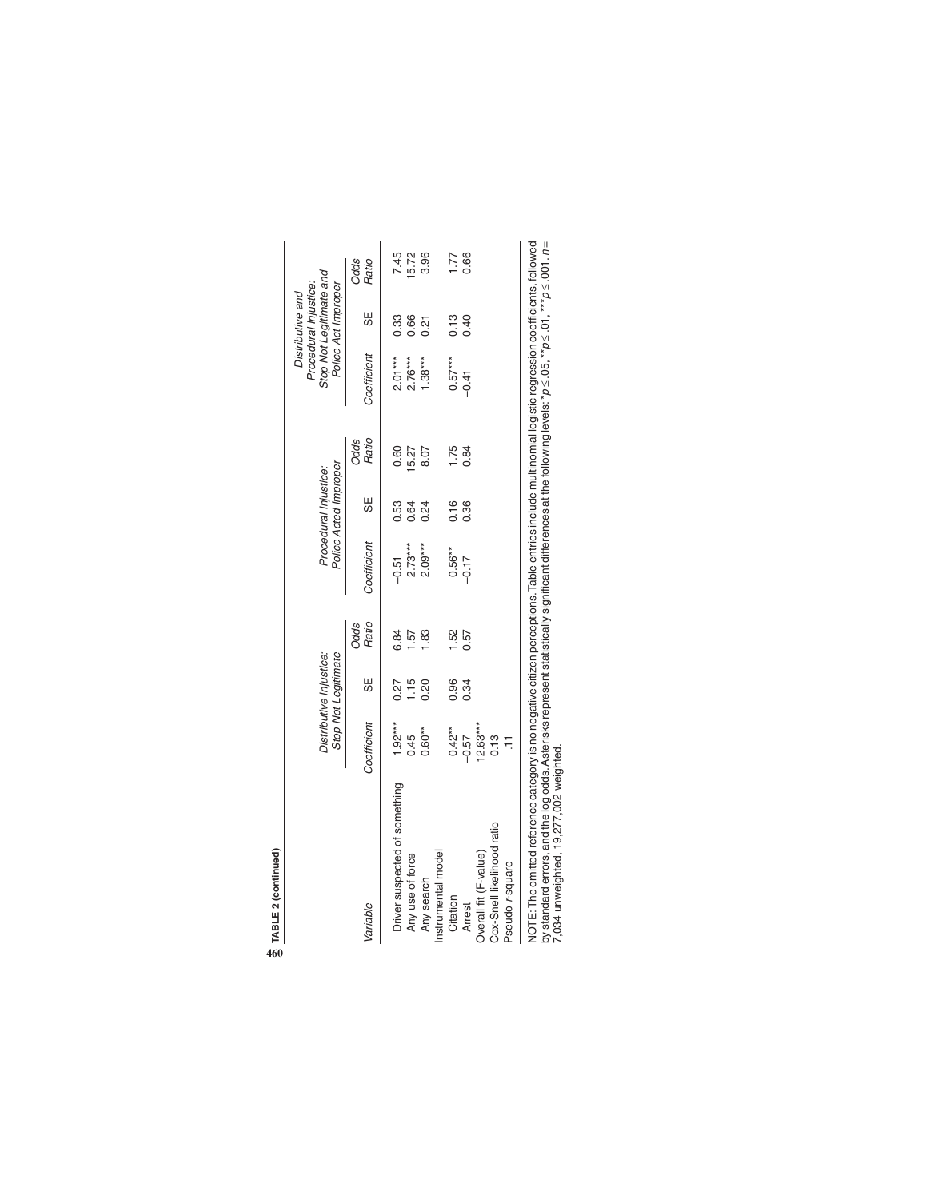$\frac{4}{5}$  TABLE 2 (continued) **TABLE 2 (continued)**

|                                                                                                                |             | Stop Not Legitimate<br>Distributive Injustice: |                      |             | Police Acted Improper<br>Procedural Injustice: |               |             | Stop Not Legitimate and<br>Procedural Injustice:<br>Police Act Improper<br>Distributive and |                      |
|----------------------------------------------------------------------------------------------------------------|-------------|------------------------------------------------|----------------------|-------------|------------------------------------------------|---------------|-------------|---------------------------------------------------------------------------------------------|----------------------|
| Variable                                                                                                       | Coefficient | 58                                             | Ratio<br><b>Odds</b> | Coefficient | 59                                             | Ratio<br>Odds | Coefficient | 59                                                                                          | <b>Odds</b><br>Ratio |
| Driver suspected of something                                                                                  | $1.92***$   | 0.27                                           | 6.84                 | $-0.51$     | 0.53                                           | 0.60          | $2.01***$   | 0.33                                                                                        | 7.45                 |
| Any use of force                                                                                               | 0.45        | 1.15                                           | 57                   | $2.73***$   | 0.64                                           | 15.27         | $2.76***$   | 0.66                                                                                        | 15.72                |
| Any search                                                                                                     | $0.60**$    | 0.20                                           | <u>යි</u>            | $2.09***$   | 0.24                                           | 8.07          | $1.38***$   | 0.21                                                                                        | 3.96                 |
| Instrumental model                                                                                             |             |                                                |                      |             |                                                |               |             |                                                                                             |                      |
| Citation                                                                                                       | $0.42**$    | 0.96                                           | ξŚ.                  | $0.56**$    | 0.16                                           | 1.75          | $0.57***$   | 0.13                                                                                        | -77                  |
| <b>Arrest</b>                                                                                                  | $-0.57$     | 0.34                                           | 0.57                 | $-0.17$     | 0.36                                           | 0.84          | $-0.41$     | 0.40                                                                                        | 0.66                 |
| Overall fit (F-value)                                                                                          | $12.63***$  |                                                |                      |             |                                                |               |             |                                                                                             |                      |
| Cox-Snell likelihood ratio                                                                                     | 0.13        |                                                |                      |             |                                                |               |             |                                                                                             |                      |
| Pseudo r-square                                                                                                |             |                                                |                      |             |                                                |               |             |                                                                                             |                      |
| ていことには、それにころいろのことであることである。 こうごう こうしょう こうしょう こうしょう こうしょう こうしょう こうしょう こうしょう こうしょう こうしょう こうしょう こうしょう こうこうしょう こうこう |             |                                                |                      |             |                                                |               |             |                                                                                             |                      |

NOTE: The omitted reference category is no negative citizen perceptions. Table entries include multinomial logistic regression coefficients, followed<br>by standard errors, and the log odds. Asterisks represent statistically NOTE: The omitted reference category is no negative citizen perceptions. Table entries include multinomial logistic regression coefficients, followed by standard errors, and the log odds. Asterisks represent statistically significant differences at the following levels: \* $\rho$  ≤ .05, \*\* $\rho$  ≤ .01, \*\*\* $\rho$  ≤ .001.  $n$  = *7,034 unweighted, 19,277,002 weighted.*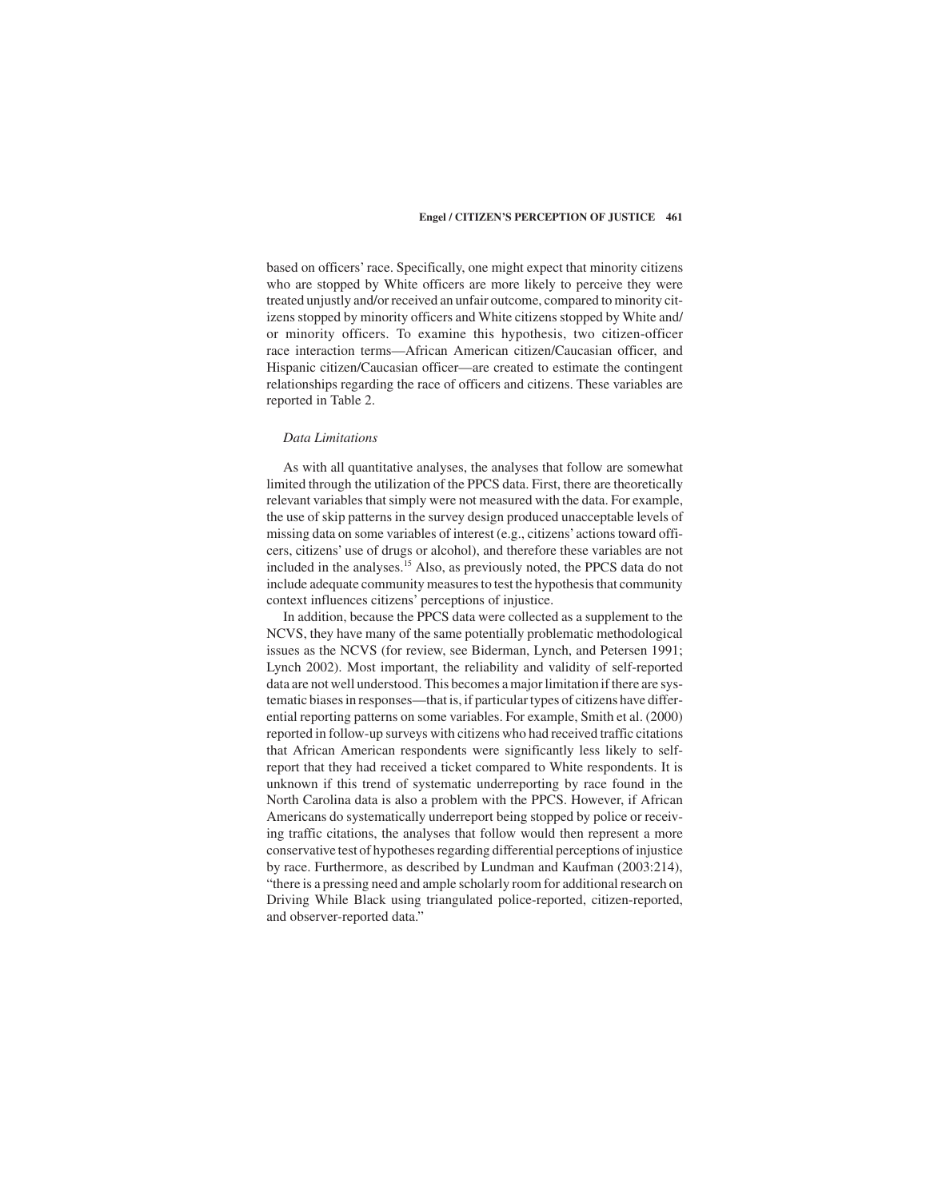based on officers' race. Specifically, one might expect that minority citizens who are stopped by White officers are more likely to perceive they were treated unjustly and/or received an unfair outcome, compared to minority citizens stopped by minority officers and White citizens stopped by White and/ or minority officers. To examine this hypothesis, two citizen-officer race interaction terms—African American citizen/Caucasian officer, and Hispanic citizen/Caucasian officer—are created to estimate the contingent relationships regarding the race of officers and citizens. These variables are reported in Table 2.

## *Data Limitations*

As with all quantitative analyses, the analyses that follow are somewhat limited through the utilization of the PPCS data. First, there are theoretically relevant variables that simply were not measured with the data. For example, the use of skip patterns in the survey design produced unacceptable levels of missing data on some variables of interest (e.g., citizens'actions toward officers, citizens' use of drugs or alcohol), and therefore these variables are not included in the analyses.<sup>15</sup> Also, as previously noted, the PPCS data do not include adequate community measures to test the hypothesis that community context influences citizens' perceptions of injustice.

In addition, because the PPCS data were collected as a supplement to the NCVS, they have many of the same potentially problematic methodological issues as the NCVS (for review, see Biderman, Lynch, and Petersen 1991; Lynch 2002). Most important, the reliability and validity of self-reported data are not well understood. This becomes a major limitation if there are systematic biases in responses—that is, if particular types of citizens have differential reporting patterns on some variables. For example, Smith et al. (2000) reported in follow-up surveys with citizens who had received traffic citations that African American respondents were significantly less likely to selfreport that they had received a ticket compared to White respondents. It is unknown if this trend of systematic underreporting by race found in the North Carolina data is also a problem with the PPCS. However, if African Americans do systematically underreport being stopped by police or receiving traffic citations, the analyses that follow would then represent a more conservative test of hypotheses regarding differential perceptions of injustice by race. Furthermore, as described by Lundman and Kaufman (2003:214), "there is a pressing need and ample scholarly room for additional research on Driving While Black using triangulated police-reported, citizen-reported, and observer-reported data."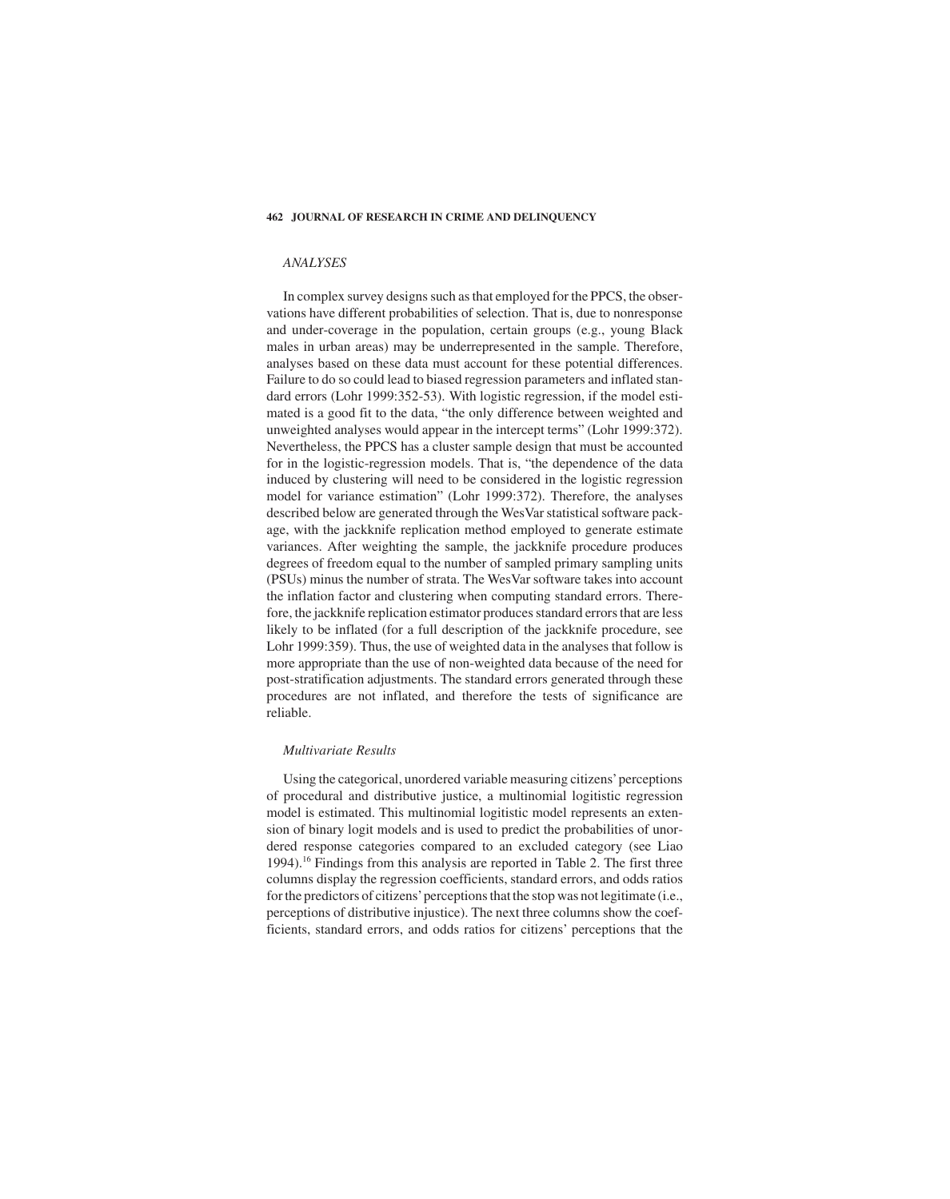## *ANALYSES*

In complex survey designs such as that employed for the PPCS, the observations have different probabilities of selection. That is, due to nonresponse and under-coverage in the population, certain groups (e.g., young Black males in urban areas) may be underrepresented in the sample. Therefore, analyses based on these data must account for these potential differences. Failure to do so could lead to biased regression parameters and inflated standard errors (Lohr 1999:352-53). With logistic regression, if the model estimated is a good fit to the data, "the only difference between weighted and unweighted analyses would appear in the intercept terms" (Lohr 1999:372). Nevertheless, the PPCS has a cluster sample design that must be accounted for in the logistic-regression models. That is, "the dependence of the data induced by clustering will need to be considered in the logistic regression model for variance estimation" (Lohr 1999:372). Therefore, the analyses described below are generated through the WesVar statistical software package, with the jackknife replication method employed to generate estimate variances. After weighting the sample, the jackknife procedure produces degrees of freedom equal to the number of sampled primary sampling units (PSUs) minus the number of strata. The WesVar software takes into account the inflation factor and clustering when computing standard errors. Therefore, the jackknife replication estimator produces standard errors that are less likely to be inflated (for a full description of the jackknife procedure, see Lohr 1999:359). Thus, the use of weighted data in the analyses that follow is more appropriate than the use of non-weighted data because of the need for post-stratification adjustments. The standard errors generated through these procedures are not inflated, and therefore the tests of significance are reliable.

# *Multivariate Results*

Using the categorical, unordered variable measuring citizens'perceptions of procedural and distributive justice, a multinomial logitistic regression model is estimated. This multinomial logitistic model represents an extension of binary logit models and is used to predict the probabilities of unordered response categories compared to an excluded category (see Liao 1994).16 Findings from this analysis are reported in Table 2. The first three columns display the regression coefficients, standard errors, and odds ratios for the predictors of citizens'perceptions that the stop was not legitimate (i.e., perceptions of distributive injustice). The next three columns show the coefficients, standard errors, and odds ratios for citizens' perceptions that the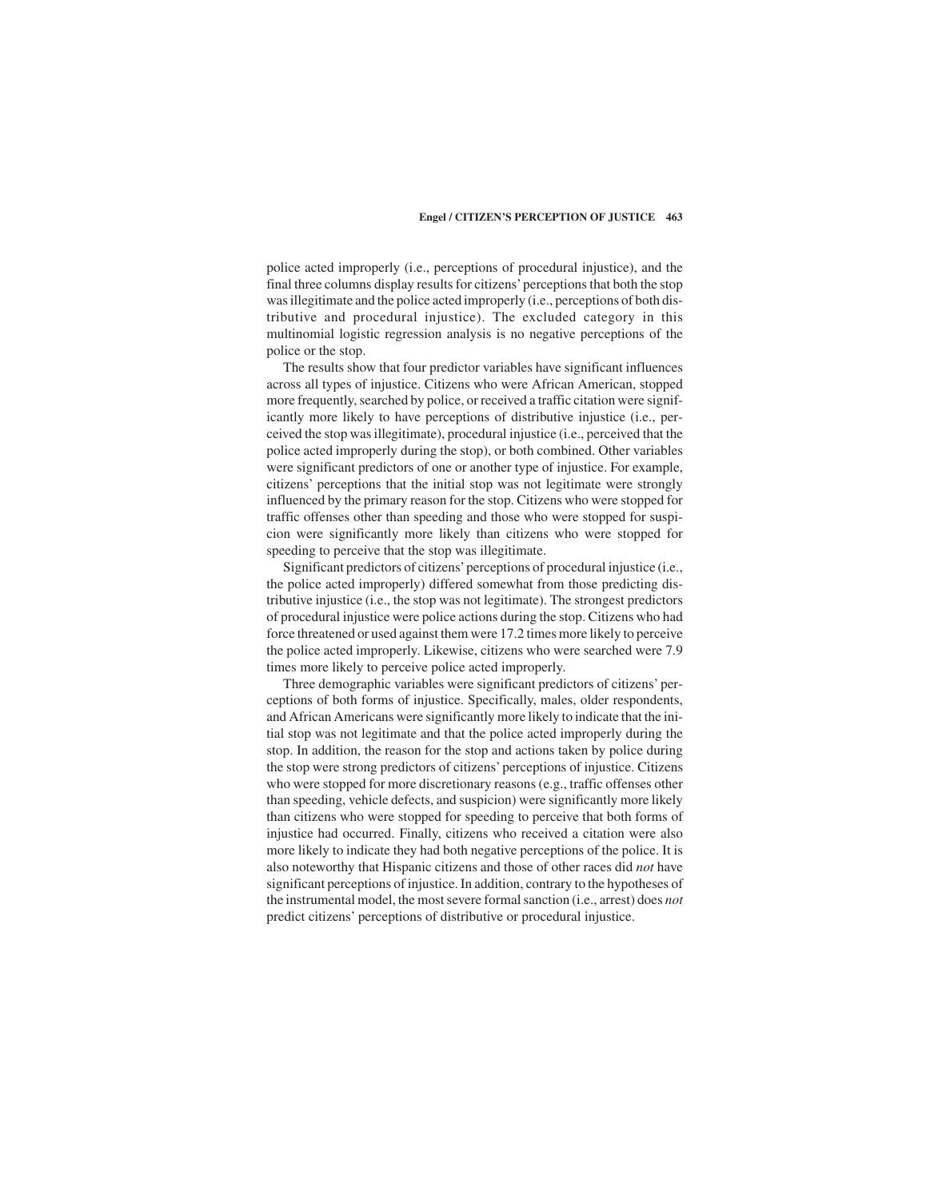police acted improperly (i.e., perceptions of procedural injustice), and the final three columns display results for citizens'perceptions that both the stop was illegitimate and the police acted improperly (i.e., perceptions of both distributive and procedural injustice). The excluded category in this multinomial logistic regression analysis is no negative perceptions of the police or the stop.

The results show that four predictor variables have significant influences across all types of injustice. Citizens who were African American, stopped more frequently, searched by police, or received a traffic citation were significantly more likely to have perceptions of distributive injustice (i.e., perceived the stop was illegitimate), procedural injustice (i.e., perceived that the police acted improperly during the stop), or both combined. Other variables were significant predictors of one or another type of injustice. For example, citizens' perceptions that the initial stop was not legitimate were strongly influenced by the primary reason for the stop. Citizens who were stopped for traffic offenses other than speeding and those who were stopped for suspicion were significantly more likely than citizens who were stopped for speeding to perceive that the stop was illegitimate.

Significant predictors of citizens'perceptions of procedural injustice (i.e., the police acted improperly) differed somewhat from those predicting distributive injustice (i.e., the stop was not legitimate). The strongest predictors of procedural injustice were police actions during the stop. Citizens who had force threatened or used against them were 17.2 times more likely to perceive the police acted improperly. Likewise, citizens who were searched were 7.9 times more likely to perceive police acted improperly.

Three demographic variables were significant predictors of citizens' perceptions of both forms of injustice. Specifically, males, older respondents, and African Americans were significantly more likely to indicate that the initial stop was not legitimate and that the police acted improperly during the stop. In addition, the reason for the stop and actions taken by police during the stop were strong predictors of citizens' perceptions of injustice. Citizens who were stopped for more discretionary reasons (e.g., traffic offenses other than speeding, vehicle defects, and suspicion) were significantly more likely than citizens who were stopped for speeding to perceive that both forms of injustice had occurred. Finally, citizens who received a citation were also more likely to indicate they had both negative perceptions of the police. It is also noteworthy that Hispanic citizens and those of other races did *not* have significant perceptions of injustice. In addition, contrary to the hypotheses of the instrumental model, the most severe formal sanction (i.e., arrest) does *not* predict citizens' perceptions of distributive or procedural injustice.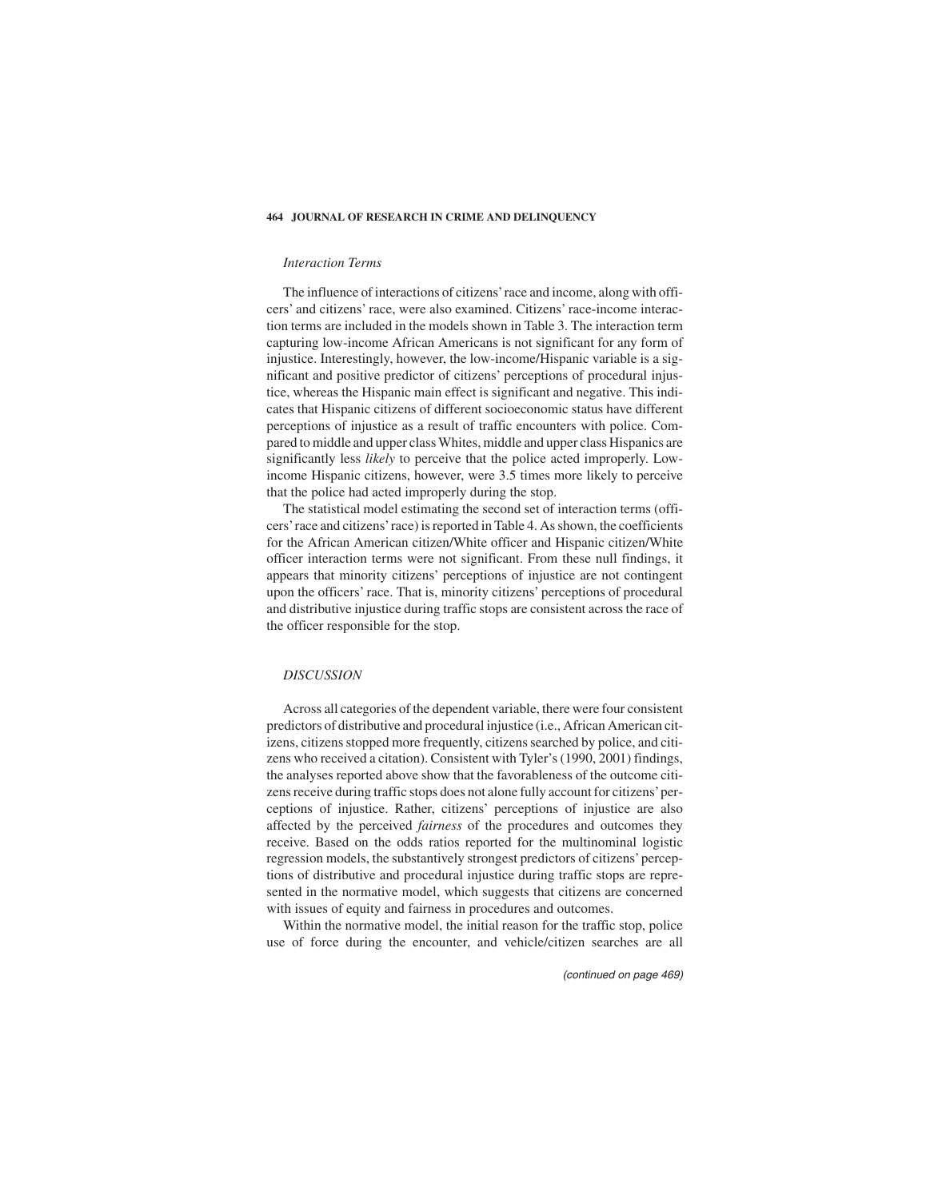# *Interaction Terms*

The influence of interactions of citizens'race and income, along with officers' and citizens' race, were also examined. Citizens' race-income interaction terms are included in the models shown in Table 3. The interaction term capturing low-income African Americans is not significant for any form of injustice. Interestingly, however, the low-income/Hispanic variable is a significant and positive predictor of citizens' perceptions of procedural injustice, whereas the Hispanic main effect is significant and negative. This indicates that Hispanic citizens of different socioeconomic status have different perceptions of injustice as a result of traffic encounters with police. Compared to middle and upper class Whites, middle and upper class Hispanics are significantly less *likely* to perceive that the police acted improperly. Lowincome Hispanic citizens, however, were 3.5 times more likely to perceive that the police had acted improperly during the stop.

The statistical model estimating the second set of interaction terms (officers'race and citizens'race) is reported in Table 4. As shown, the coefficients for the African American citizen/White officer and Hispanic citizen/White officer interaction terms were not significant. From these null findings, it appears that minority citizens' perceptions of injustice are not contingent upon the officers' race. That is, minority citizens' perceptions of procedural and distributive injustice during traffic stops are consistent across the race of the officer responsible for the stop.

#### *DISCUSSION*

Across all categories of the dependent variable, there were four consistent predictors of distributive and procedural injustice (i.e., African American citizens, citizens stopped more frequently, citizens searched by police, and citizens who received a citation). Consistent with Tyler's (1990, 2001) findings, the analyses reported above show that the favorableness of the outcome citizens receive during traffic stops does not alone fully account for citizens'perceptions of injustice. Rather, citizens' perceptions of injustice are also affected by the perceived *fairness* of the procedures and outcomes they receive. Based on the odds ratios reported for the multinominal logistic regression models, the substantively strongest predictors of citizens'perceptions of distributive and procedural injustice during traffic stops are represented in the normative model, which suggests that citizens are concerned with issues of equity and fairness in procedures and outcomes.

Within the normative model, the initial reason for the traffic stop, police use of force during the encounter, and vehicle/citizen searches are all

*(continued on page 469)*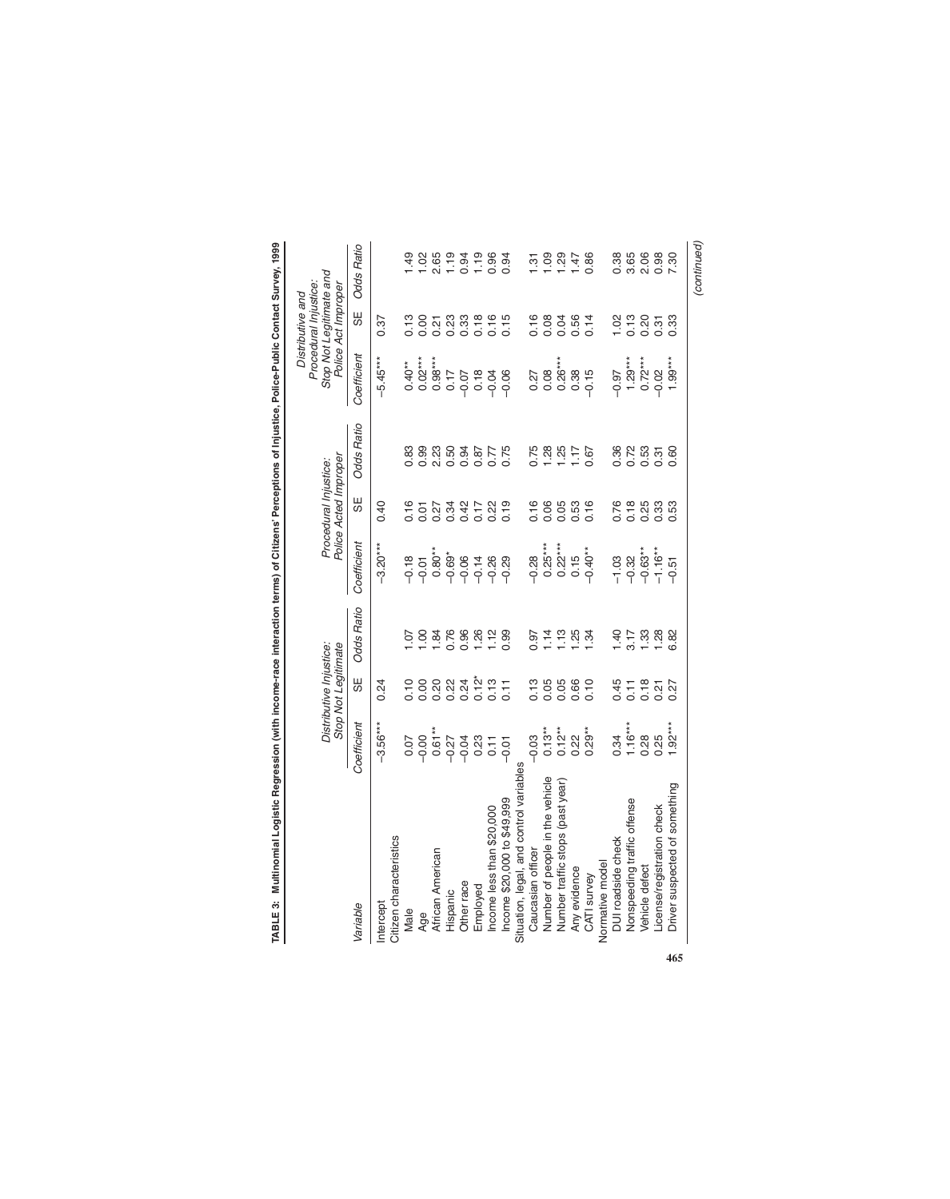| IABLE 3: MUNIC LOOPS LOOPS ON THE PRESSION WILL PRESSION WILL PRESSION WILL PRESSION WILL PRESSION WAS TRANSITY OF THE UPPER STRANGLY AND A STRANGLY WAS TRANGITY OF THE UPPER STRANGLY WAS TRANGITY OF THE UPPER STRANGLY WAS |             |                                                |                            |                      |                                                     |                   |                                |                                                                  |                                                         |
|--------------------------------------------------------------------------------------------------------------------------------------------------------------------------------------------------------------------------------|-------------|------------------------------------------------|----------------------------|----------------------|-----------------------------------------------------|-------------------|--------------------------------|------------------------------------------------------------------|---------------------------------------------------------|
|                                                                                                                                                                                                                                |             | Stop Not Legitimate<br>Distributive Injustice: |                            |                      | Police Acted Improper<br>Procedural Injustice:      |                   | Stop Not Legitimate and        | Procedural Injustice:<br>Police Act Improper<br>Distributive and |                                                         |
| Variable                                                                                                                                                                                                                       | Coefficient | 58                                             | <b>Odds Ratio</b>          | Coefficient          | 55                                                  | <b>Odds Ratio</b> | Coefficient                    | 58                                                               | <b>Odds Ratio</b>                                       |
| ntercept                                                                                                                                                                                                                       | $-3.56***$  | 0.24                                           |                            | $-3.20***$           | 0.40                                                |                   | $-5.45***$                     | 0.37                                                             |                                                         |
| Citizen characteristics                                                                                                                                                                                                        |             |                                                |                            |                      |                                                     |                   |                                |                                                                  |                                                         |
| Male                                                                                                                                                                                                                           | 0.07        | 0.10                                           | Ş                          |                      | 0.16                                                | 0.83              | $0.40**$                       | 0.13                                                             |                                                         |
| Age                                                                                                                                                                                                                            | $-0.00$     | 0.00                                           |                            |                      |                                                     | 0.99              | $0.02***$                      | 0.00                                                             | $\frac{9}{1}$ $\frac{8}{1}$ $\frac{8}{1}$ $\frac{8}{1}$ |
| African American                                                                                                                                                                                                               | $0.61***$   | 0.20                                           | $\frac{1.84}{0.84}$        | $0.80**$             | 5 2 3 3 4 5 2 9<br>5 2 3 4 4 5 2 9<br>6 6 6 6 6 6 6 | 2.23              | $0.98***$                      |                                                                  |                                                         |
| Hispanic                                                                                                                                                                                                                       | $-0.27$     | 0.22                                           | 0.76                       | $-0.69*$             |                                                     | 0.50              | 0.17                           |                                                                  |                                                         |
| Other race                                                                                                                                                                                                                     | $-0.04$     | 0.24                                           | 0.96                       | $-0.06$              |                                                     | 0.94              | $-0.07$                        |                                                                  | $7.37984$<br>$7.37984$                                  |
| Employed                                                                                                                                                                                                                       | 0.23        | $0.12*$                                        |                            |                      |                                                     | 0.87              |                                |                                                                  |                                                         |
| Income less than \$20,000                                                                                                                                                                                                      | 0.11        | 0.13                                           | $7.28$<br>$7.28$<br>$0.98$ | $7889$<br>$999$      |                                                     | 0.77              | $0.78$<br>$-0.06$              |                                                                  |                                                         |
| Income \$20,000 to \$49,999                                                                                                                                                                                                    | $-0.01$     | 0.11                                           |                            |                      |                                                     | 0.75              |                                |                                                                  |                                                         |
| Situation, legal, and control variables                                                                                                                                                                                        |             |                                                |                            |                      |                                                     |                   |                                |                                                                  |                                                         |
| Caucasian officer                                                                                                                                                                                                              | $-0.03$     | 0.13                                           | 0.97                       |                      | 0.16                                                | 0.75              |                                | 0.16                                                             | $\frac{5}{2}$                                           |
| Number of people in the vehicle                                                                                                                                                                                                | $0.13**$    | 0.05                                           | 1.14                       | $-0.28$<br>0.25**    |                                                     |                   |                                | 0.08                                                             |                                                         |
| Number traffic stops (past year)                                                                                                                                                                                               | $0.12***$   | 0.05                                           | 1.13                       | $0.22***$            | 0.05                                                | $1.28$<br>$1.25$  | $0.27$<br>$0.08$<br>$0.26$ *** | 0.56<br>0.56                                                     | $0.8748$<br>$-1.68$                                     |
| Any evidence                                                                                                                                                                                                                   | 0.22        | 0.66                                           | $1.\overline{34}$<br>1.34  | 0.15                 | 0.53                                                | 1.17              | 0.38                           |                                                                  |                                                         |
| CATI survey                                                                                                                                                                                                                    | $0.29**$    | 0.10                                           |                            | $-9.40**$            | 0.16                                                | 0.67              | $-0.15$                        | 0.14                                                             |                                                         |
| Normative model                                                                                                                                                                                                                |             |                                                |                            |                      |                                                     |                   |                                |                                                                  |                                                         |
| DUI roadside check                                                                                                                                                                                                             | 0.34        | 0.45                                           |                            | $-1.03$              |                                                     | 0.36              | $-0.97$                        | 1.02                                                             |                                                         |
| Nonspeeding traffic offense                                                                                                                                                                                                    | $1.16***$   | 0.11                                           | $\frac{40}{3.17}$          | $-0.32$<br>$-0.63**$ |                                                     | 0.53              | $1.29***$<br>0.72***           |                                                                  |                                                         |
| Vehicle defect                                                                                                                                                                                                                 | 0.28        | 0.18                                           | 1.33                       |                      | 0.000<br>0.000<br>0.000                             |                   |                                | $\begin{array}{c}\n 2858 \\  -2959\n \end{array}$                | 88<br>0. 80<br>0. 91                                    |
| icense/registration check                                                                                                                                                                                                      | 0.25        | 0.21                                           | $1.28$<br>6.82             | $-1.16**$            |                                                     | 0.31              | $-0.02$                        |                                                                  | 0.98                                                    |
| Driver suspected of something                                                                                                                                                                                                  | $1.92***$   | 0.27                                           |                            | $-0.51$              | 0.53                                                | 0.60              | $1.99***$                      |                                                                  | 7.30                                                    |
|                                                                                                                                                                                                                                |             |                                                |                            |                      |                                                     |                   |                                |                                                                  | (continued)                                             |

ay 1999 **TABLE 3: Multinomial Logistic Regression (with income-race interaction terms) of Citizens' Perceptions of Injustice, Police-Public Contact Survey, 1999** is<br>The Dublic C Police af Inimation ċ of Citia Ĵ j Analists Í anial I ogistic Be TABLE 3: Multin

**465**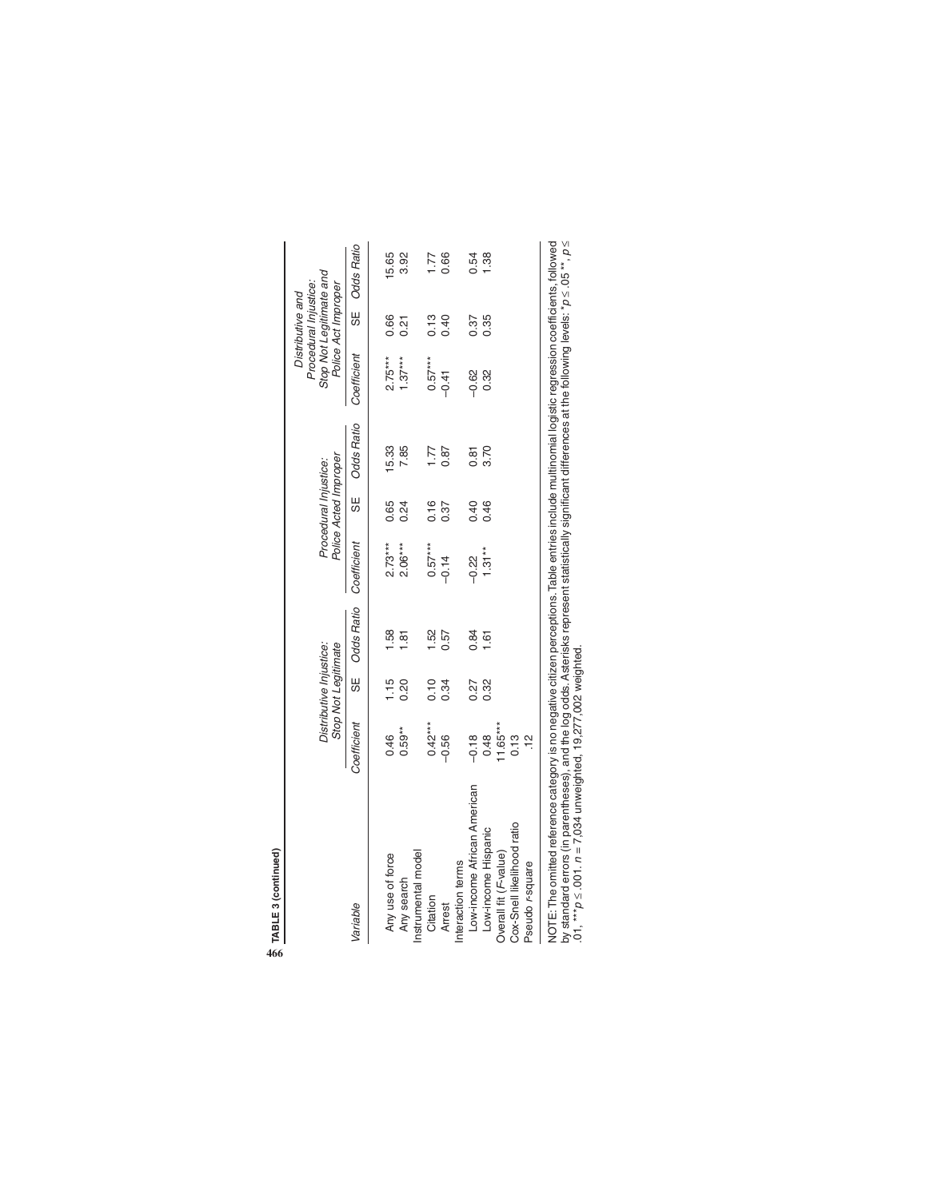$\frac{4}{66}$  TABLE 3 (continued) **TABLE 3 (continued)**

|                                                                                                                                           |             |                                                |                   |             |                                                |                   |                         | Procedural Injustice:<br>Distributive and |               |
|-------------------------------------------------------------------------------------------------------------------------------------------|-------------|------------------------------------------------|-------------------|-------------|------------------------------------------------|-------------------|-------------------------|-------------------------------------------|---------------|
|                                                                                                                                           |             | Stop Not Legitimate<br>Distributive Injustice: |                   |             | Police Acted Improper<br>Procedural Injustice: |                   | Stop Not Legitimate and | Police Act Improper                       |               |
| Variable                                                                                                                                  | Coefficient | 56                                             | <b>Odds Ratio</b> | Coefficient | မ္တ                                            | <b>Odds Ratio</b> | Coefficient             |                                           | SE Odds Ratio |
|                                                                                                                                           |             |                                                |                   |             |                                                |                   |                         |                                           |               |
| Any use of force                                                                                                                          | 0.46        | 1.15                                           | $-58$             | $2.73***$   | 0.65                                           | 15.33             | $2.75***$               | 0.66                                      | 15.65         |
| Any search                                                                                                                                | $0.59**$    | 0.20                                           | ā                 | $2.06***$   | 0.24                                           | 7.85              | $1.37***$               | 0.21                                      | 3.92          |
| Instrumental model                                                                                                                        |             |                                                |                   |             |                                                |                   |                         |                                           |               |
| Citation                                                                                                                                  | $0.42***$   | 0.10                                           | 1.52              | $0.57***$   | 0.16                                           | 1.77              | $0.57***$               | 0.13                                      | 1.77          |
| Arrest                                                                                                                                    | $-0.56$     | 0.34                                           | 0.57              | $-0.14$     | 0.37                                           | 0.87              | $-0.41$                 | 0.40                                      | 0.66          |
| Interaction terms                                                                                                                         |             |                                                |                   |             |                                                |                   |                         |                                           |               |
| Low-income African American                                                                                                               | $-0.18$     | 0.27                                           | 0.84              | $-0.22$     | 0.40                                           | 0.81              | $-0.62$                 | 0.37                                      | 0.54          |
| Low-income Hispanic                                                                                                                       | 0.48        | 0.32                                           | 1.61              | $1.31**$    | 0.46                                           | 3.70              | 0.32                    | 0.35                                      | 1.38          |
| Overall fit (F-value)                                                                                                                     | $1.65***$   |                                                |                   |             |                                                |                   |                         |                                           |               |
| Cox-Snell likelihood ratio                                                                                                                | 0.13        |                                                |                   |             |                                                |                   |                         |                                           |               |
| Pseudo r-square                                                                                                                           |             |                                                |                   |             |                                                |                   |                         |                                           |               |
| NATE: The craited reference category is no negative citizen perceptions. Table entrice include multinomial Indiction conficients followed |             |                                                |                   |             |                                                |                   |                         |                                           |               |

NOTE: The omitted reference category is no negative citzen perceptions. Table entries include multinomial logistic regression coefficients, followed<br>by standard errors (in parentheses), and the log odds. Asterisks represe NOTE: The omitted reference category is no negative citzen perceptions. Table entries include multinomial logistic regression coefficients, followed by standard errors (in parentheses), and the log odds. Asterisks represent statistically significant differences at the following levels: \*p ≤.05 \*\*, p ≤ *.01, \*\*\*p* ≤ *.001. n = 7,034 unweighted, 19,277,002 weighted.*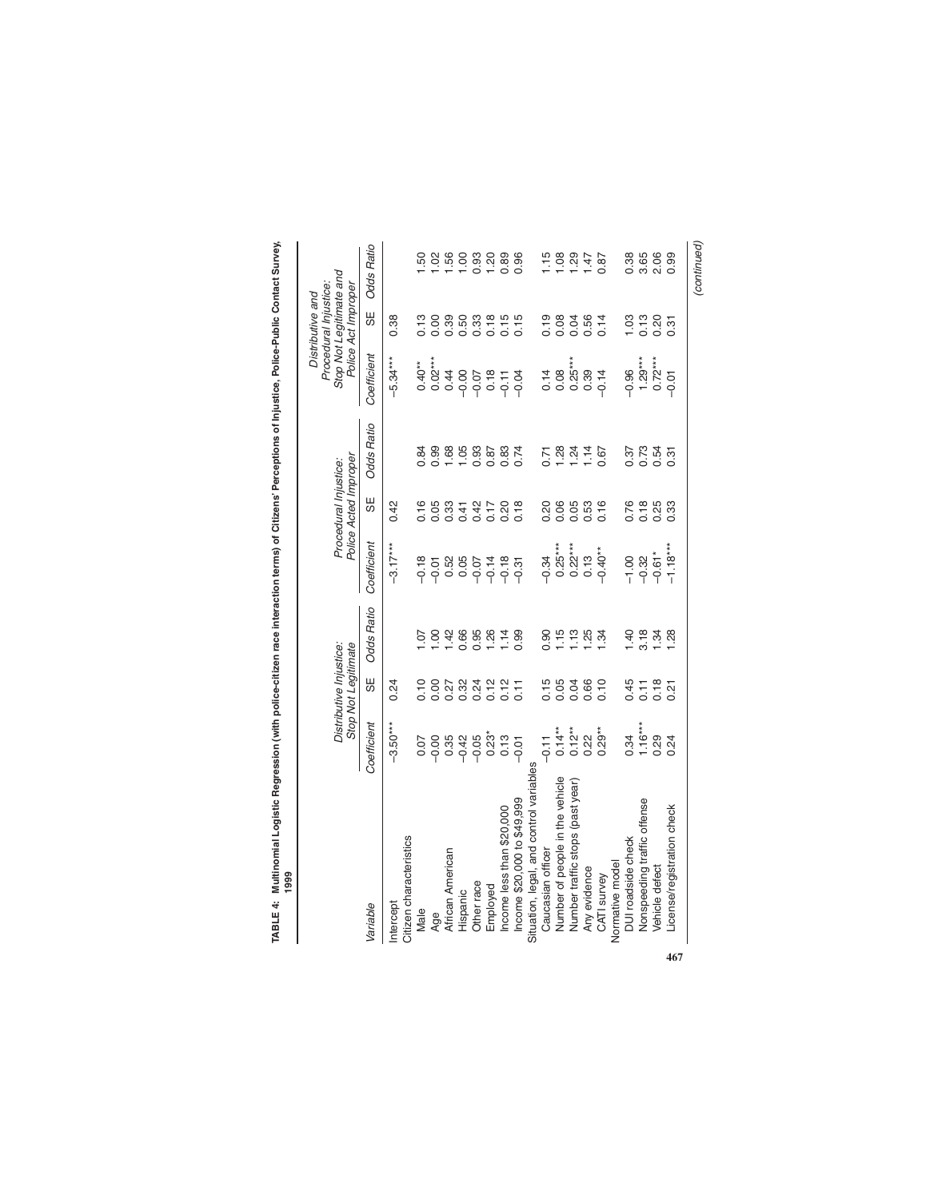| 1999                                    |                    |                                                |                             |                                                         |                                                |                      |                               |                                                                  |                   |
|-----------------------------------------|--------------------|------------------------------------------------|-----------------------------|---------------------------------------------------------|------------------------------------------------|----------------------|-------------------------------|------------------------------------------------------------------|-------------------|
|                                         |                    | Distributive Injustice:<br>Stop Not Legitimate |                             |                                                         | Police Acted Improper<br>Procedural Injustice: |                      | Stop Not Legitimate and       | Procedural Injustice:<br>Police Act Improper<br>Distributive and |                   |
| Variable                                | Coefficient        | 55                                             | Odds Ratio                  | Coefficient                                             | 58                                             | <b>Odds Ratio</b>    | Coefficient                   | 56                                                               | <b>Odds Ratio</b> |
| ntercept                                | $-3.50***$         | 0.24                                           |                             | $-3.17***$                                              | 0.42                                           |                      | $-5.34***$                    | 0.38                                                             |                   |
| Citizen characteristics                 |                    |                                                |                             |                                                         |                                                |                      |                               |                                                                  |                   |
| Male                                    | 0.07               | 0.10                                           | $\frac{5}{2}$               | $-0.18$                                                 | 0.16                                           | 0.84                 | $0.40**$                      | 0.13                                                             | 50                |
| Age                                     | $-0.00$            | 0.00                                           | $\frac{8}{1}$               |                                                         |                                                | 0.99                 | $0.02***$                     | 0.00                                                             |                   |
| African American                        | 0.35               | 0.27                                           | 1.42                        |                                                         | 0.33                                           | 1.68                 | 0.44                          | 0.39                                                             | $\frac{0}{1}$ .56 |
| Hispanic                                |                    | 0.32                                           | 0.66                        |                                                         |                                                |                      |                               |                                                                  | 00.1              |
| Other race                              | $-0.42$<br>$-0.05$ | 0.24                                           | 0.95                        |                                                         | $44208$<br>00000                               | $1.05$<br>0.93       |                               | 0.50<br>0.33                                                     | 0.93              |
| Employed                                | $0.23*$            |                                                |                             |                                                         |                                                |                      |                               |                                                                  | 1.20              |
| Income less than \$20,000               | 0.13               | $222$<br>$0.77$<br>$0.77$                      | $1, 26$<br>$1, 4$<br>$0.99$ | $\begin{array}{c} 7.8 \\ 7.9 \\ 7.9 \\ 9.7 \end{array}$ |                                                | 0.87<br>0.80<br>0.0  |                               | $0.15$<br>$0.15$                                                 | 0.89<br>0.96      |
| Income \$20,000 to \$49,999             | $-0.01$            |                                                |                             |                                                         |                                                |                      |                               |                                                                  |                   |
| Situation, legal, and control variables |                    |                                                |                             |                                                         |                                                |                      |                               |                                                                  |                   |
| Caucasian officer                       | $-0.11$            | 0.15                                           | 0.90                        | $-0.34$                                                 | 0.20                                           | 0.71                 |                               | 0.19                                                             | 1.15              |
| Number of people in the vehicle         | $0.14**$           | 0.05                                           | 1.15                        | $0.25***$                                               |                                                |                      |                               | 0.08                                                             | 1.08              |
| Number traffic stops (past year)        | $0.12**$           | 0.04                                           | $7.88$<br>$7.84$            | $0.22***$                                               | 0.05                                           | $1.28$<br>$-1.24$    | $0.14$<br>$0.08$<br>$0.25***$ | 0.04                                                             | 1.29              |
| Any evidence                            | 0.22               | 0.66                                           |                             | 0.13                                                    | 0.53<br>0.16                                   | 1.14                 | $0.39$<br>$-0.14$             | 0.56                                                             | 1.47              |
| CATI survey                             | $0.29**$           | 0.10                                           |                             | $-0.40**$                                               |                                                | 0.67                 |                               | 0.14                                                             | 0.87              |
| Normative model                         |                    |                                                |                             |                                                         |                                                |                      |                               |                                                                  |                   |
| DUI roadside check                      | 0.34               | 0.45                                           | 1.40                        | $-1.00$                                                 |                                                | 0.37                 | $-0.96$                       | 1.03                                                             | 0.38              |
| Nonspeeding traffic offense             | $1.16***$          | 0.11                                           | 3.18                        | $-0.32$                                                 |                                                |                      | $1.29***$                     | 0.13                                                             | 3.65              |
| Vehicle defect                          | 0.29               | 0.18                                           | $\frac{34}{38}$             | $-0.61*$                                                |                                                | 0.35<br>0.95<br>0.95 | $0.72***$                     | 0.31                                                             | 2.06              |
| License/registration check              | 0.24               | 0.21                                           |                             | $-1.18***$                                              |                                                |                      | $-0.01$                       |                                                                  | 0.99              |
|                                         |                    |                                                |                             |                                                         |                                                |                      |                               |                                                                  | (continued)       |

TABLE 4: Multinomial Logistic Regression (with police-citizen race interaction terms) of Citizens' Perceptions of Injustice, Police-Public Contact Survey, TABLE 4: Multinomial Logistic Regression (with police-citizen race interaction terms) of Citizens' Perceptions of Injustice, Police-Public Contact Survey,

**467**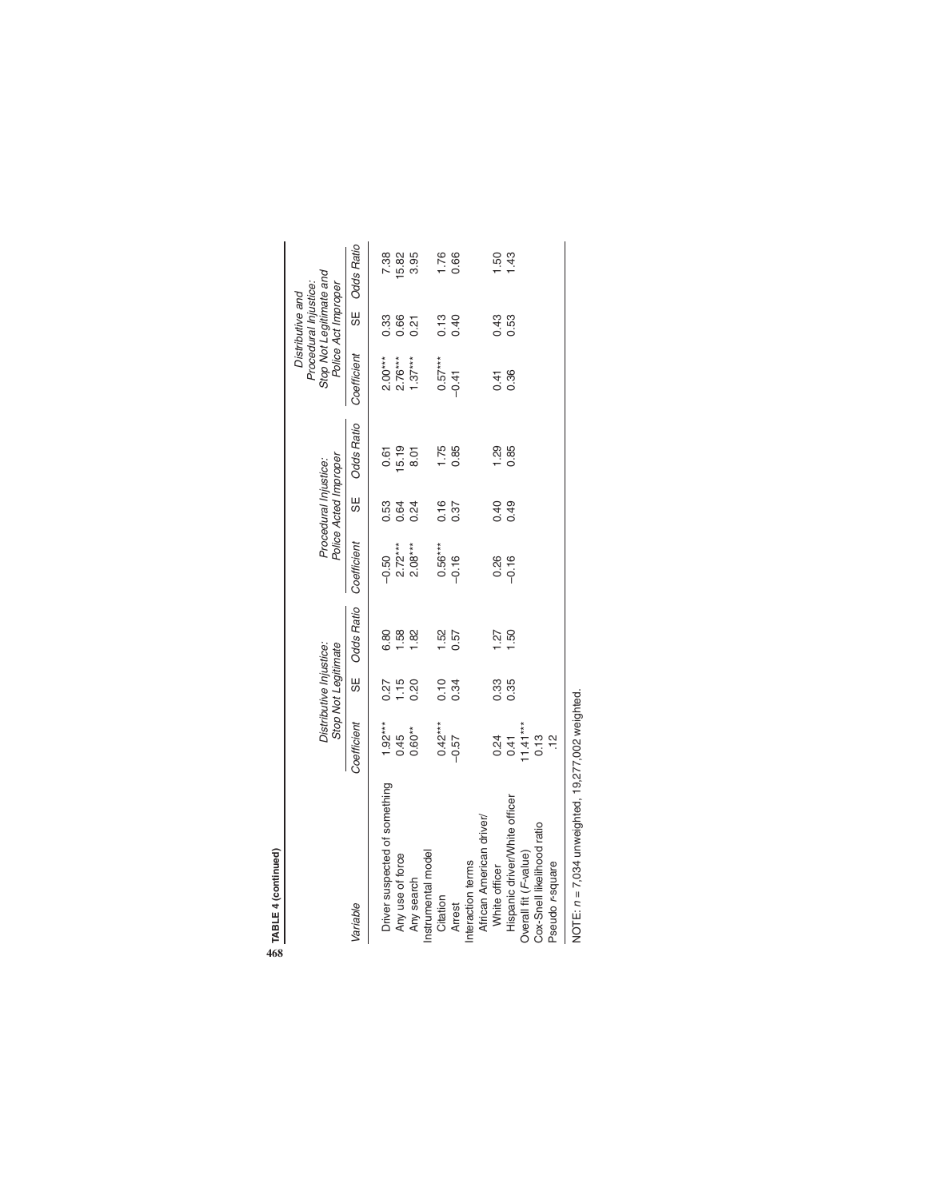| r            |
|--------------|
| ź<br>۰,<br>۷ |

| Stop Not Legitimate and<br>Procedural Injustice:<br>Police Act Improper<br>Distributive and<br>Police Acted Improper<br>Procedural Injustice: | SE Odds Ratio<br>Coefficient<br><b>Odds Ratio</b><br>56 | 0.33<br>$2.00***$<br>0.61<br>0.53 | 0.21<br>$1.37***$<br>8.01<br>0.24                                                                                                                                                                                                                                                                                                                                                                                                                                                                                                                                                                                                                                              | 0.13<br>$0.57***$<br>1.75<br>0.16 | 0.41 | 0.36 |  |
|-----------------------------------------------------------------------------------------------------------------------------------------------|---------------------------------------------------------|-----------------------------------|--------------------------------------------------------------------------------------------------------------------------------------------------------------------------------------------------------------------------------------------------------------------------------------------------------------------------------------------------------------------------------------------------------------------------------------------------------------------------------------------------------------------------------------------------------------------------------------------------------------------------------------------------------------------------------|-----------------------------------|------|------|--|
|                                                                                                                                               | Coefficient<br><b>Odds Ratio</b>                        | 6.80                              | 1.82                                                                                                                                                                                                                                                                                                                                                                                                                                                                                                                                                                                                                                                                           | 1.52                              | - 27 | 1.50 |  |
| Stop Not Legitimate<br>Distributive Injustice:                                                                                                | 56                                                      | 0.27                              | 0.20                                                                                                                                                                                                                                                                                                                                                                                                                                                                                                                                                                                                                                                                           | 0.10                              | 0.33 | 0.35 |  |
|                                                                                                                                               | Coefficient                                             | $1.92***$                         | 1.76<br>7.38<br>5.82<br>3.95<br>0.66<br>$-50$<br>1,43<br>0.43<br>0.53<br>0.66<br>0.40<br>$2.76***$<br>$-0.41$<br>15.19<br>0.85<br>$\frac{29}{0.85}$<br>0.40<br>0.49<br>0.37<br>0.64<br>$0.56***$<br>$2.08***$<br>$2.72***$<br>$-0.50$<br>$-0.16$<br>0.26<br>$-0.16$<br>.58<br>0.57<br>1.15<br>0.34<br>$0.42***$<br>$1.41***$<br>$0.60**$<br>0.45<br>$-0.57$<br>0.24<br>0.13<br>0.41<br>Driver suspected of something<br>Hispanic driver/White officer<br>African American driver<br>Cox-Snell likelihood ratio<br>Instrumental model<br>Overall fit (F-value)<br>Any use of force<br>Interaction terms<br>Pseudo r-square<br>White officer<br>Any search<br>Citation<br>Arrest |                                   |      |      |  |
|                                                                                                                                               | Variable                                                |                                   |                                                                                                                                                                                                                                                                                                                                                                                                                                                                                                                                                                                                                                                                                |                                   |      |      |  |

NOTE: n = 7,034 unweighted, 19,277,002 weighted. *NOTE: n = 7,034 unweighted, 19,277,002 weighted.*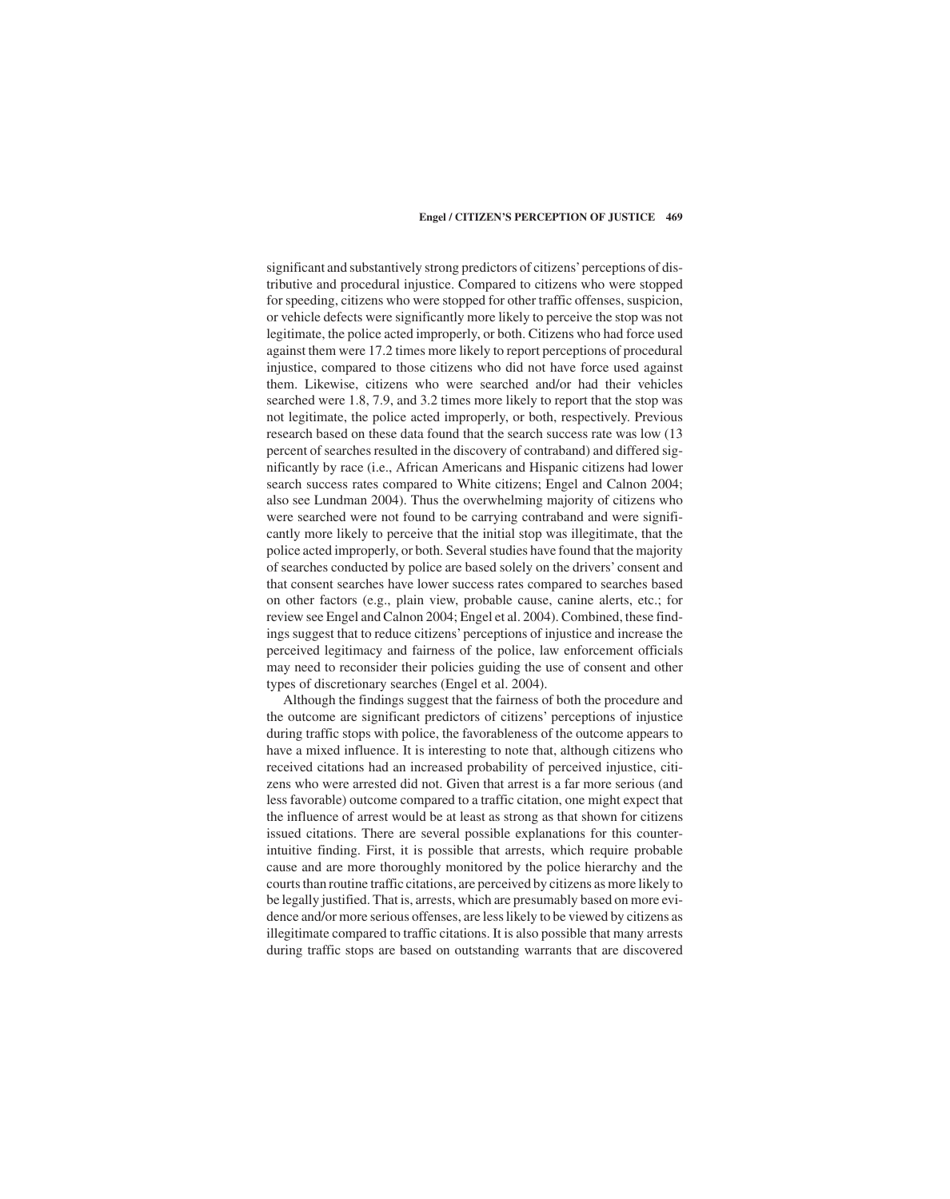significant and substantively strong predictors of citizens'perceptions of distributive and procedural injustice. Compared to citizens who were stopped for speeding, citizens who were stopped for other traffic offenses, suspicion, or vehicle defects were significantly more likely to perceive the stop was not legitimate, the police acted improperly, or both. Citizens who had force used against them were 17.2 times more likely to report perceptions of procedural injustice, compared to those citizens who did not have force used against them. Likewise, citizens who were searched and/or had their vehicles searched were 1.8, 7.9, and 3.2 times more likely to report that the stop was not legitimate, the police acted improperly, or both, respectively. Previous research based on these data found that the search success rate was low (13 percent of searches resulted in the discovery of contraband) and differed significantly by race (i.e., African Americans and Hispanic citizens had lower search success rates compared to White citizens; Engel and Calnon 2004; also see Lundman 2004). Thus the overwhelming majority of citizens who were searched were not found to be carrying contraband and were significantly more likely to perceive that the initial stop was illegitimate, that the police acted improperly, or both. Several studies have found that the majority of searches conducted by police are based solely on the drivers' consent and that consent searches have lower success rates compared to searches based on other factors (e.g., plain view, probable cause, canine alerts, etc.; for review see Engel and Calnon 2004; Engel et al. 2004). Combined, these findings suggest that to reduce citizens' perceptions of injustice and increase the perceived legitimacy and fairness of the police, law enforcement officials may need to reconsider their policies guiding the use of consent and other types of discretionary searches (Engel et al. 2004).

Although the findings suggest that the fairness of both the procedure and the outcome are significant predictors of citizens' perceptions of injustice during traffic stops with police, the favorableness of the outcome appears to have a mixed influence. It is interesting to note that, although citizens who received citations had an increased probability of perceived injustice, citizens who were arrested did not. Given that arrest is a far more serious (and less favorable) outcome compared to a traffic citation, one might expect that the influence of arrest would be at least as strong as that shown for citizens issued citations. There are several possible explanations for this counterintuitive finding. First, it is possible that arrests, which require probable cause and are more thoroughly monitored by the police hierarchy and the courts than routine traffic citations, are perceived by citizens as more likely to be legally justified. That is, arrests, which are presumably based on more evidence and/or more serious offenses, are less likely to be viewed by citizens as illegitimate compared to traffic citations. It is also possible that many arrests during traffic stops are based on outstanding warrants that are discovered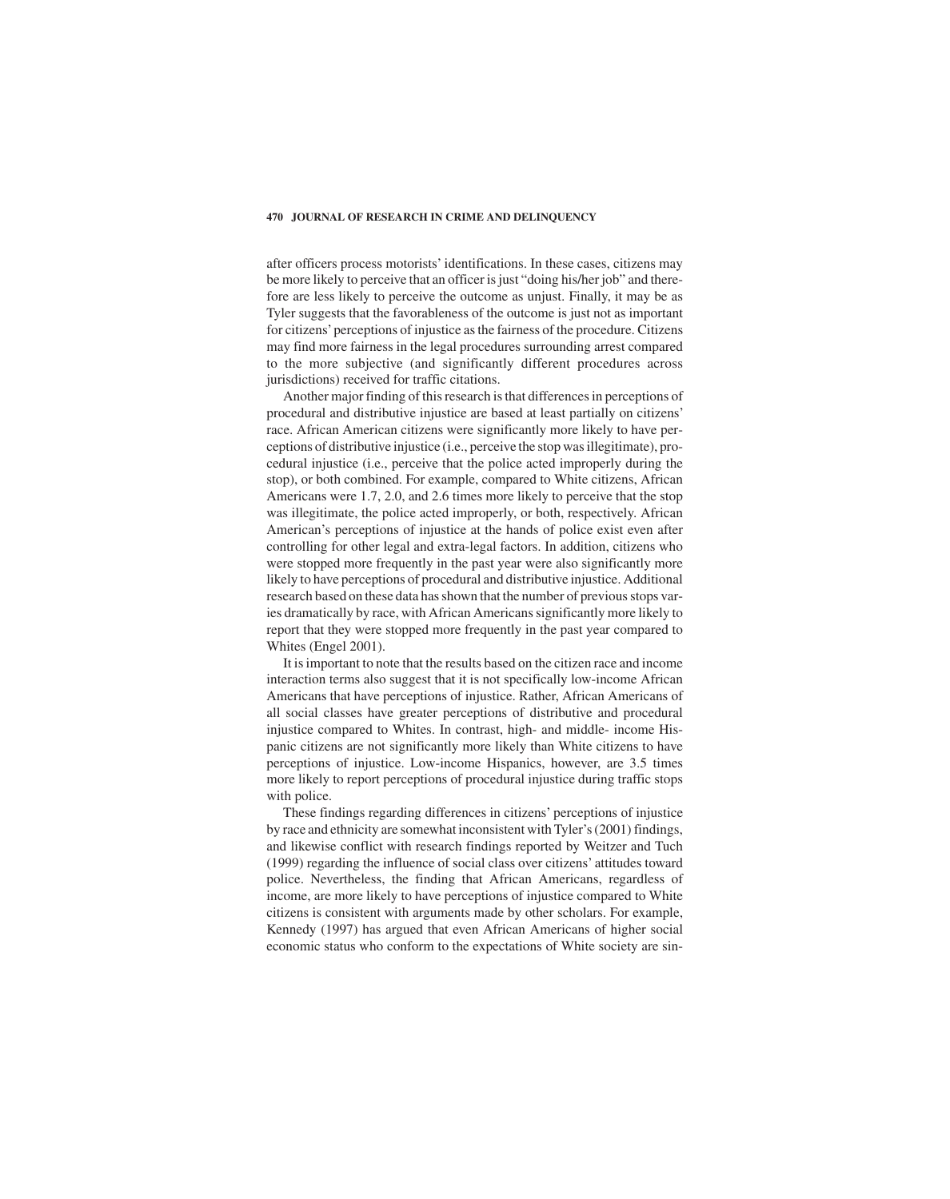after officers process motorists' identifications. In these cases, citizens may be more likely to perceive that an officer is just "doing his/her job" and therefore are less likely to perceive the outcome as unjust. Finally, it may be as Tyler suggests that the favorableness of the outcome is just not as important for citizens'perceptions of injustice as the fairness of the procedure. Citizens may find more fairness in the legal procedures surrounding arrest compared to the more subjective (and significantly different procedures across jurisdictions) received for traffic citations.

Another major finding of this research is that differences in perceptions of procedural and distributive injustice are based at least partially on citizens' race. African American citizens were significantly more likely to have perceptions of distributive injustice (i.e., perceive the stop was illegitimate), procedural injustice (i.e., perceive that the police acted improperly during the stop), or both combined. For example, compared to White citizens, African Americans were 1.7, 2.0, and 2.6 times more likely to perceive that the stop was illegitimate, the police acted improperly, or both, respectively. African American's perceptions of injustice at the hands of police exist even after controlling for other legal and extra-legal factors. In addition, citizens who were stopped more frequently in the past year were also significantly more likely to have perceptions of procedural and distributive injustice. Additional research based on these data has shown that the number of previous stops varies dramatically by race, with African Americans significantly more likely to report that they were stopped more frequently in the past year compared to Whites (Engel 2001).

It is important to note that the results based on the citizen race and income interaction terms also suggest that it is not specifically low-income African Americans that have perceptions of injustice. Rather, African Americans of all social classes have greater perceptions of distributive and procedural injustice compared to Whites. In contrast, high- and middle- income Hispanic citizens are not significantly more likely than White citizens to have perceptions of injustice. Low-income Hispanics, however, are 3.5 times more likely to report perceptions of procedural injustice during traffic stops with police.

These findings regarding differences in citizens' perceptions of injustice by race and ethnicity are somewhat inconsistent with Tyler's (2001) findings, and likewise conflict with research findings reported by Weitzer and Tuch (1999) regarding the influence of social class over citizens' attitudes toward police. Nevertheless, the finding that African Americans, regardless of income, are more likely to have perceptions of injustice compared to White citizens is consistent with arguments made by other scholars. For example, Kennedy (1997) has argued that even African Americans of higher social economic status who conform to the expectations of White society are sin-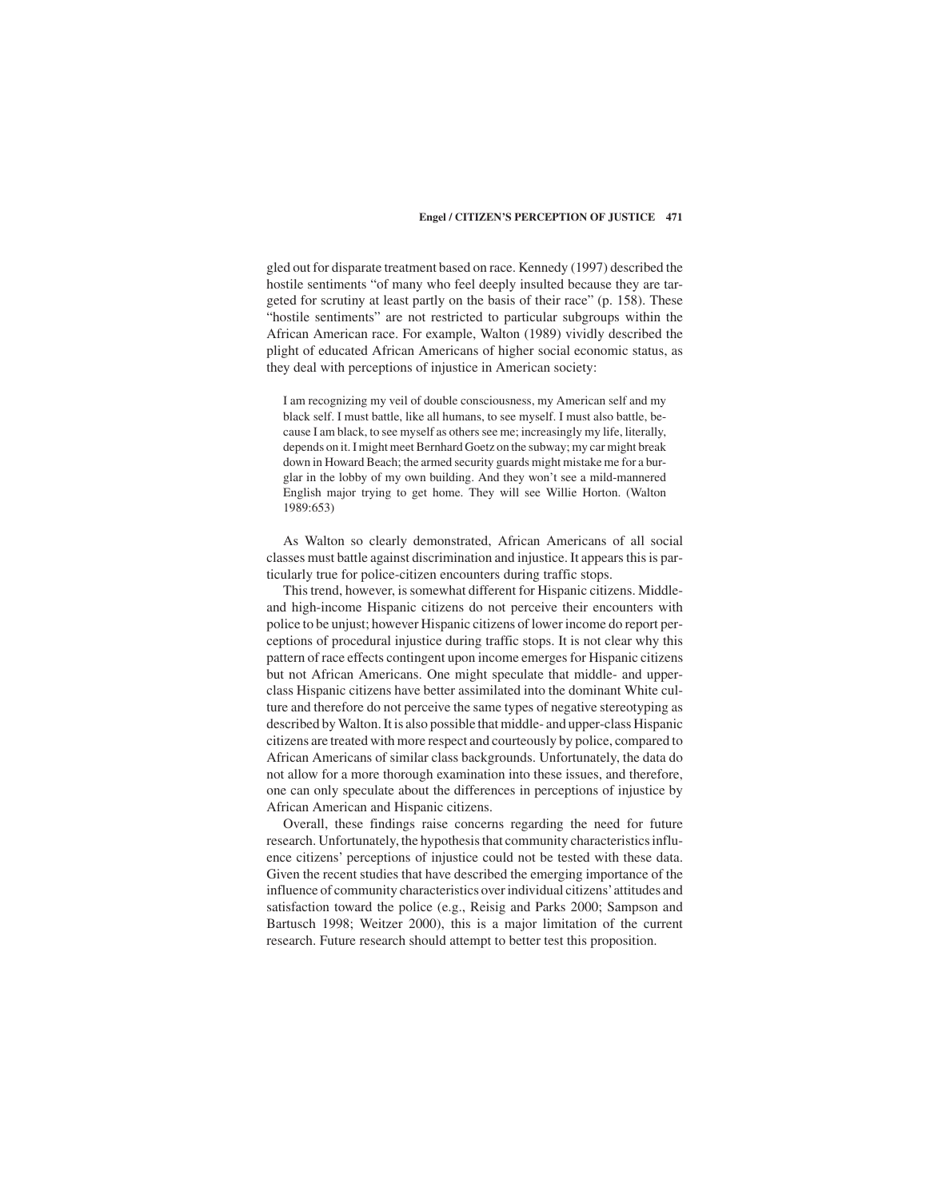gled out for disparate treatment based on race. Kennedy (1997) described the hostile sentiments "of many who feel deeply insulted because they are targeted for scrutiny at least partly on the basis of their race" (p. 158). These "hostile sentiments" are not restricted to particular subgroups within the African American race. For example, Walton (1989) vividly described the plight of educated African Americans of higher social economic status, as they deal with perceptions of injustice in American society:

I am recognizing my veil of double consciousness, my American self and my black self. I must battle, like all humans, to see myself. I must also battle, because I am black, to see myself as others see me; increasingly my life, literally, depends on it. I might meet Bernhard Goetz on the subway; my car might break down in Howard Beach; the armed security guards might mistake me for a burglar in the lobby of my own building. And they won't see a mild-mannered English major trying to get home. They will see Willie Horton. (Walton 1989:653)

As Walton so clearly demonstrated, African Americans of all social classes must battle against discrimination and injustice. It appears this is particularly true for police-citizen encounters during traffic stops.

This trend, however, is somewhat different for Hispanic citizens. Middleand high-income Hispanic citizens do not perceive their encounters with police to be unjust; however Hispanic citizens of lower income do report perceptions of procedural injustice during traffic stops. It is not clear why this pattern of race effects contingent upon income emerges for Hispanic citizens but not African Americans. One might speculate that middle- and upperclass Hispanic citizens have better assimilated into the dominant White culture and therefore do not perceive the same types of negative stereotyping as described by Walton. It is also possible that middle- and upper-class Hispanic citizens are treated with more respect and courteously by police, compared to African Americans of similar class backgrounds. Unfortunately, the data do not allow for a more thorough examination into these issues, and therefore, one can only speculate about the differences in perceptions of injustice by African American and Hispanic citizens.

Overall, these findings raise concerns regarding the need for future research. Unfortunately, the hypothesis that community characteristics influence citizens' perceptions of injustice could not be tested with these data. Given the recent studies that have described the emerging importance of the influence of community characteristics over individual citizens'attitudes and satisfaction toward the police (e.g., Reisig and Parks 2000; Sampson and Bartusch 1998; Weitzer 2000), this is a major limitation of the current research. Future research should attempt to better test this proposition.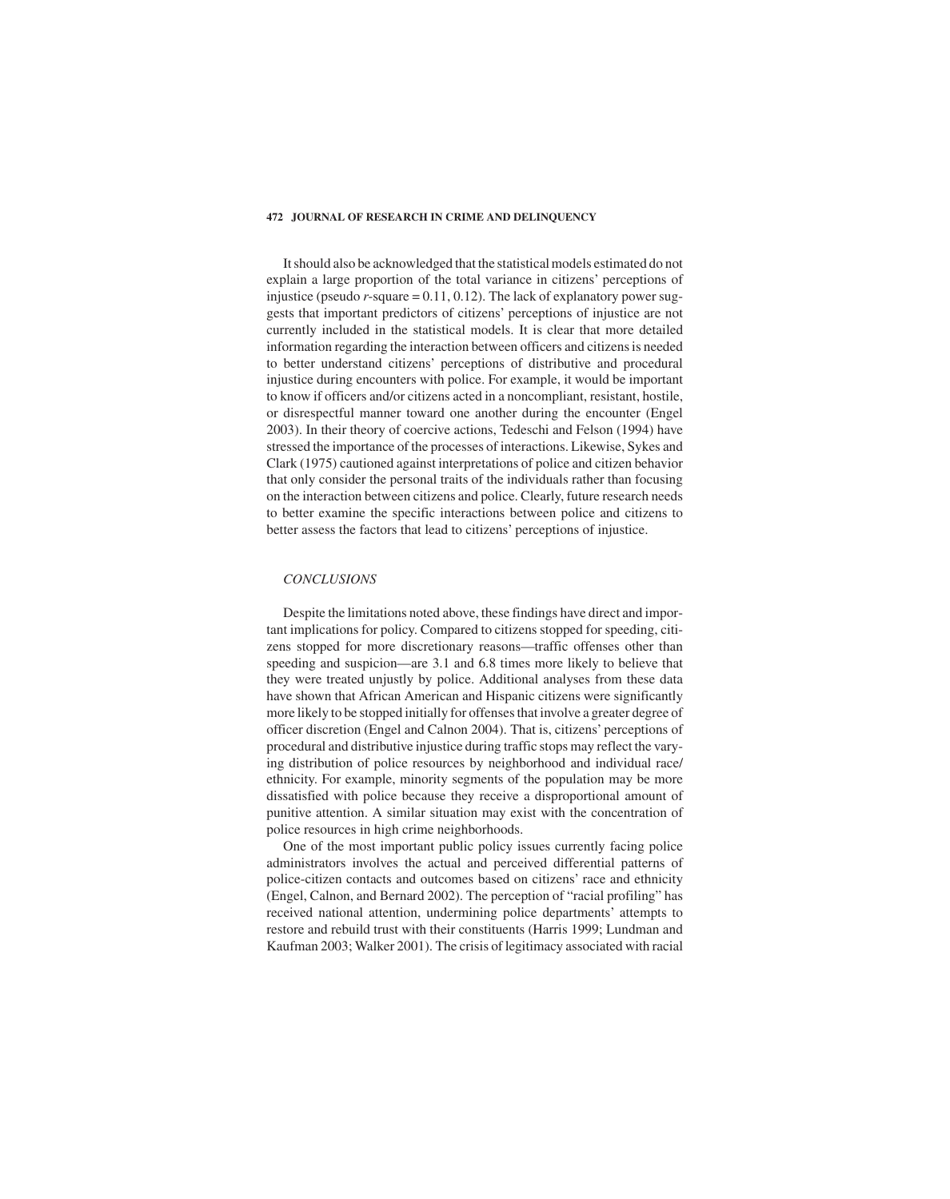It should also be acknowledged that the statistical models estimated do not explain a large proportion of the total variance in citizens' perceptions of injustice (pseudo  $r$ -square =  $0.11, 0.12$ ). The lack of explanatory power suggests that important predictors of citizens' perceptions of injustice are not currently included in the statistical models. It is clear that more detailed information regarding the interaction between officers and citizens is needed to better understand citizens' perceptions of distributive and procedural injustice during encounters with police. For example, it would be important to know if officers and/or citizens acted in a noncompliant, resistant, hostile, or disrespectful manner toward one another during the encounter (Engel 2003). In their theory of coercive actions, Tedeschi and Felson (1994) have stressed the importance of the processes of interactions. Likewise, Sykes and Clark (1975) cautioned against interpretations of police and citizen behavior that only consider the personal traits of the individuals rather than focusing on the interaction between citizens and police. Clearly, future research needs to better examine the specific interactions between police and citizens to better assess the factors that lead to citizens' perceptions of injustice.

## *CONCLUSIONS*

Despite the limitations noted above, these findings have direct and important implications for policy. Compared to citizens stopped for speeding, citizens stopped for more discretionary reasons—traffic offenses other than speeding and suspicion—are 3.1 and 6.8 times more likely to believe that they were treated unjustly by police. Additional analyses from these data have shown that African American and Hispanic citizens were significantly more likely to be stopped initially for offenses that involve a greater degree of officer discretion (Engel and Calnon 2004). That is, citizens' perceptions of procedural and distributive injustice during traffic stops may reflect the varying distribution of police resources by neighborhood and individual race/ ethnicity. For example, minority segments of the population may be more dissatisfied with police because they receive a disproportional amount of punitive attention. A similar situation may exist with the concentration of police resources in high crime neighborhoods.

One of the most important public policy issues currently facing police administrators involves the actual and perceived differential patterns of police-citizen contacts and outcomes based on citizens' race and ethnicity (Engel, Calnon, and Bernard 2002). The perception of "racial profiling" has received national attention, undermining police departments' attempts to restore and rebuild trust with their constituents (Harris 1999; Lundman and Kaufman 2003; Walker 2001). The crisis of legitimacy associated with racial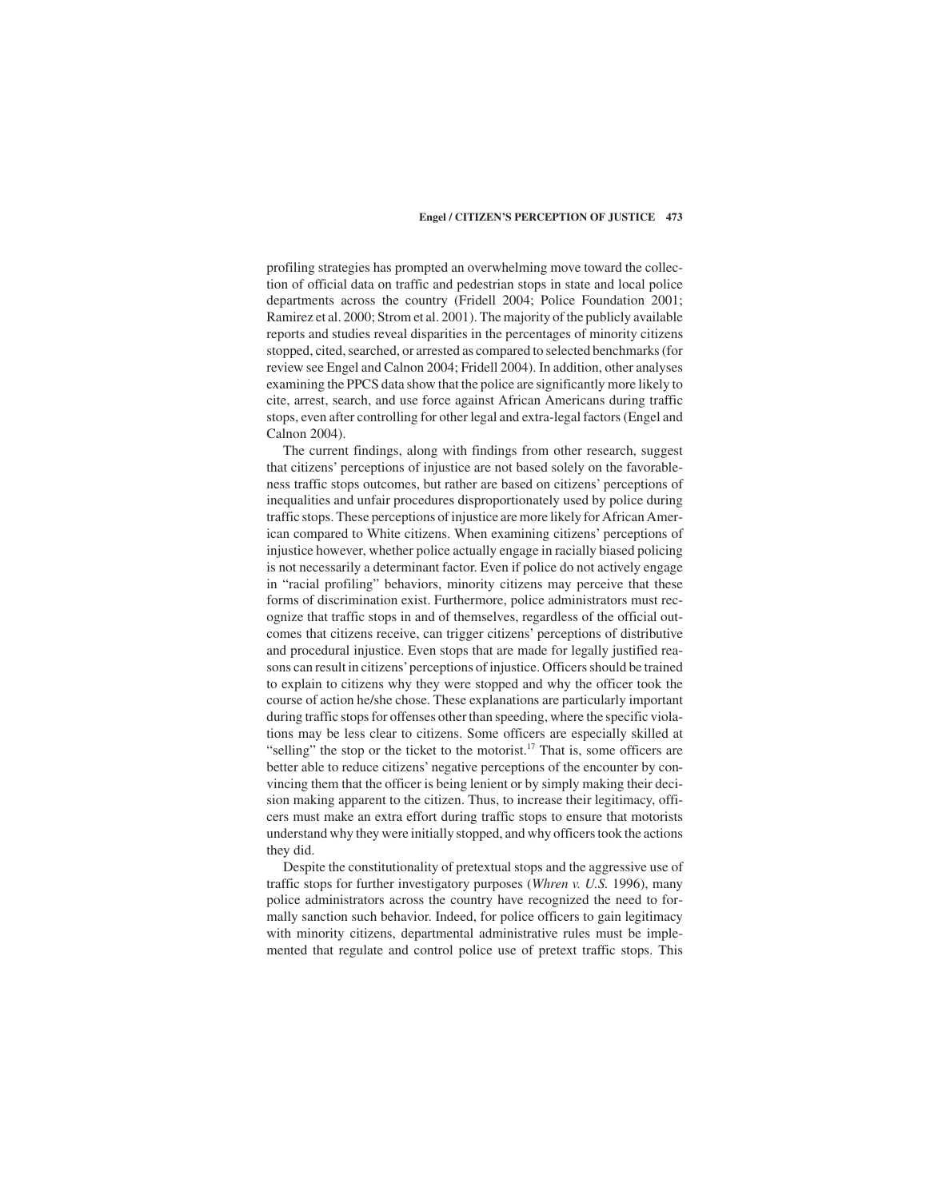profiling strategies has prompted an overwhelming move toward the collection of official data on traffic and pedestrian stops in state and local police departments across the country (Fridell 2004; Police Foundation 2001; Ramirez et al. 2000; Strom et al. 2001). The majority of the publicly available reports and studies reveal disparities in the percentages of minority citizens stopped, cited, searched, or arrested as compared to selected benchmarks(for review see Engel and Calnon 2004; Fridell 2004). In addition, other analyses examining the PPCS data show that the police are significantly more likely to cite, arrest, search, and use force against African Americans during traffic stops, even after controlling for other legal and extra-legal factors (Engel and Calnon 2004).

The current findings, along with findings from other research, suggest that citizens' perceptions of injustice are not based solely on the favorableness traffic stops outcomes, but rather are based on citizens' perceptions of inequalities and unfair procedures disproportionately used by police during traffic stops. These perceptions of injustice are more likely for African American compared to White citizens. When examining citizens' perceptions of injustice however, whether police actually engage in racially biased policing is not necessarily a determinant factor. Even if police do not actively engage in "racial profiling" behaviors, minority citizens may perceive that these forms of discrimination exist. Furthermore, police administrators must recognize that traffic stops in and of themselves, regardless of the official outcomes that citizens receive, can trigger citizens' perceptions of distributive and procedural injustice. Even stops that are made for legally justified reasons can result in citizens'perceptions of injustice. Officers should be trained to explain to citizens why they were stopped and why the officer took the course of action he/she chose. These explanations are particularly important during traffic stops for offenses other than speeding, where the specific violations may be less clear to citizens. Some officers are especially skilled at "selling" the stop or the ticket to the motorist.<sup>17</sup> That is, some officers are better able to reduce citizens' negative perceptions of the encounter by convincing them that the officer is being lenient or by simply making their decision making apparent to the citizen. Thus, to increase their legitimacy, officers must make an extra effort during traffic stops to ensure that motorists understand why they were initially stopped, and why officers took the actions they did.

Despite the constitutionality of pretextual stops and the aggressive use of traffic stops for further investigatory purposes (*Whren v. U.S.* 1996), many police administrators across the country have recognized the need to formally sanction such behavior. Indeed, for police officers to gain legitimacy with minority citizens, departmental administrative rules must be implemented that regulate and control police use of pretext traffic stops. This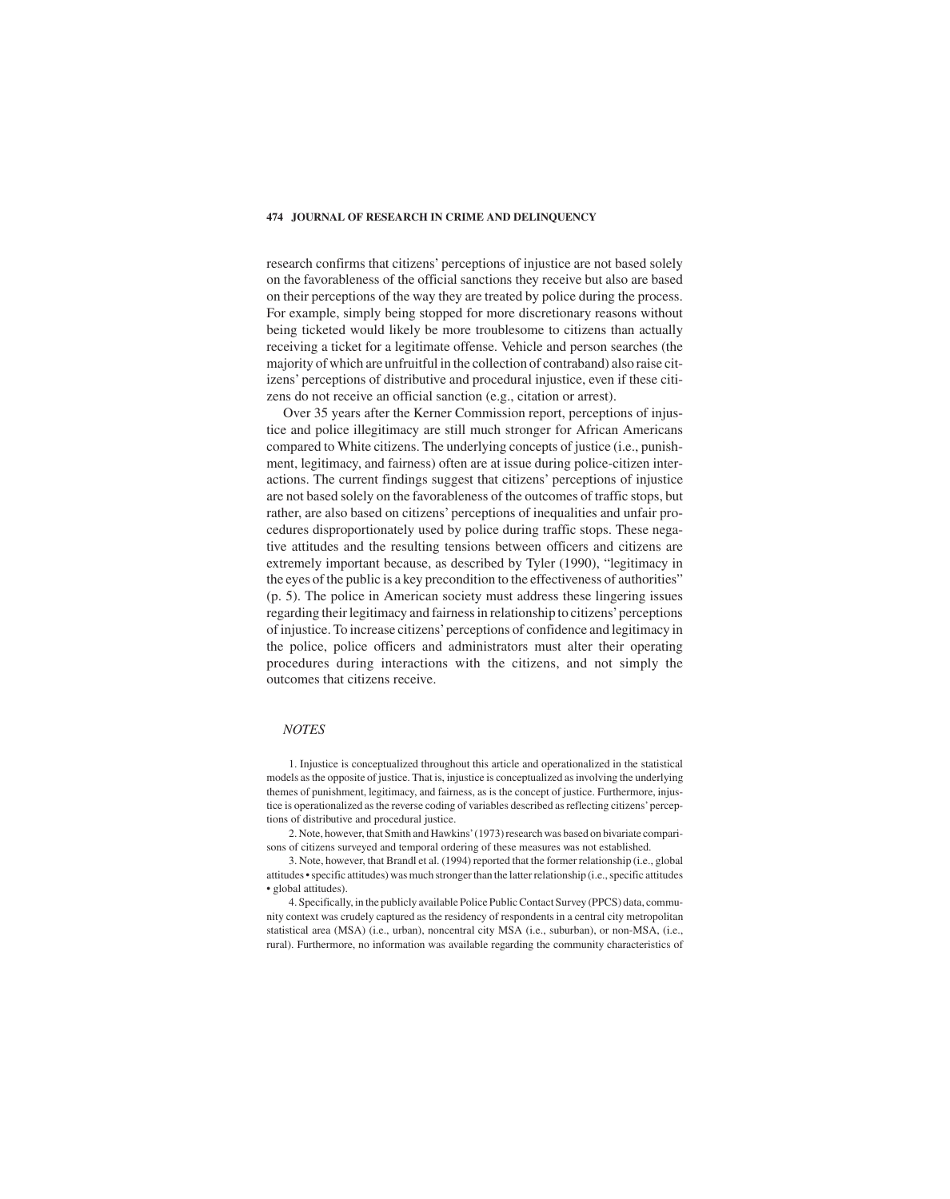research confirms that citizens' perceptions of injustice are not based solely on the favorableness of the official sanctions they receive but also are based on their perceptions of the way they are treated by police during the process. For example, simply being stopped for more discretionary reasons without being ticketed would likely be more troublesome to citizens than actually receiving a ticket for a legitimate offense. Vehicle and person searches (the majority of which are unfruitful in the collection of contraband) also raise citizens' perceptions of distributive and procedural injustice, even if these citizens do not receive an official sanction (e.g., citation or arrest).

Over 35 years after the Kerner Commission report, perceptions of injustice and police illegitimacy are still much stronger for African Americans compared to White citizens. The underlying concepts of justice (i.e., punishment, legitimacy, and fairness) often are at issue during police-citizen interactions. The current findings suggest that citizens' perceptions of injustice are not based solely on the favorableness of the outcomes of traffic stops, but rather, are also based on citizens' perceptions of inequalities and unfair procedures disproportionately used by police during traffic stops. These negative attitudes and the resulting tensions between officers and citizens are extremely important because, as described by Tyler (1990), "legitimacy in the eyes of the public is a key precondition to the effectiveness of authorities" (p. 5). The police in American society must address these lingering issues regarding their legitimacy and fairness in relationship to citizens'perceptions of injustice. To increase citizens'perceptions of confidence and legitimacy in the police, police officers and administrators must alter their operating procedures during interactions with the citizens, and not simply the outcomes that citizens receive.

# *NOTES*

1. Injustice is conceptualized throughout this article and operationalized in the statistical models as the opposite of justice. That is, injustice is conceptualized as involving the underlying themes of punishment, legitimacy, and fairness, as is the concept of justice. Furthermore, injustice is operationalized as the reverse coding of variables described as reflecting citizens'perceptions of distributive and procedural justice.

2. Note, however, that Smith and Hawkins'(1973) research was based on bivariate comparisons of citizens surveyed and temporal ordering of these measures was not established.

3. Note, however, that Brandl et al. (1994) reported that the former relationship (i.e., global attitudes • specific attitudes) was much stronger than the latter relationship (i.e., specific attitudes • global attitudes).

4. Specifically, in the publicly available Police Public Contact Survey (PPCS) data, community context was crudely captured as the residency of respondents in a central city metropolitan statistical area (MSA) (i.e., urban), noncentral city MSA (i.e., suburban), or non-MSA, (i.e., rural). Furthermore, no information was available regarding the community characteristics of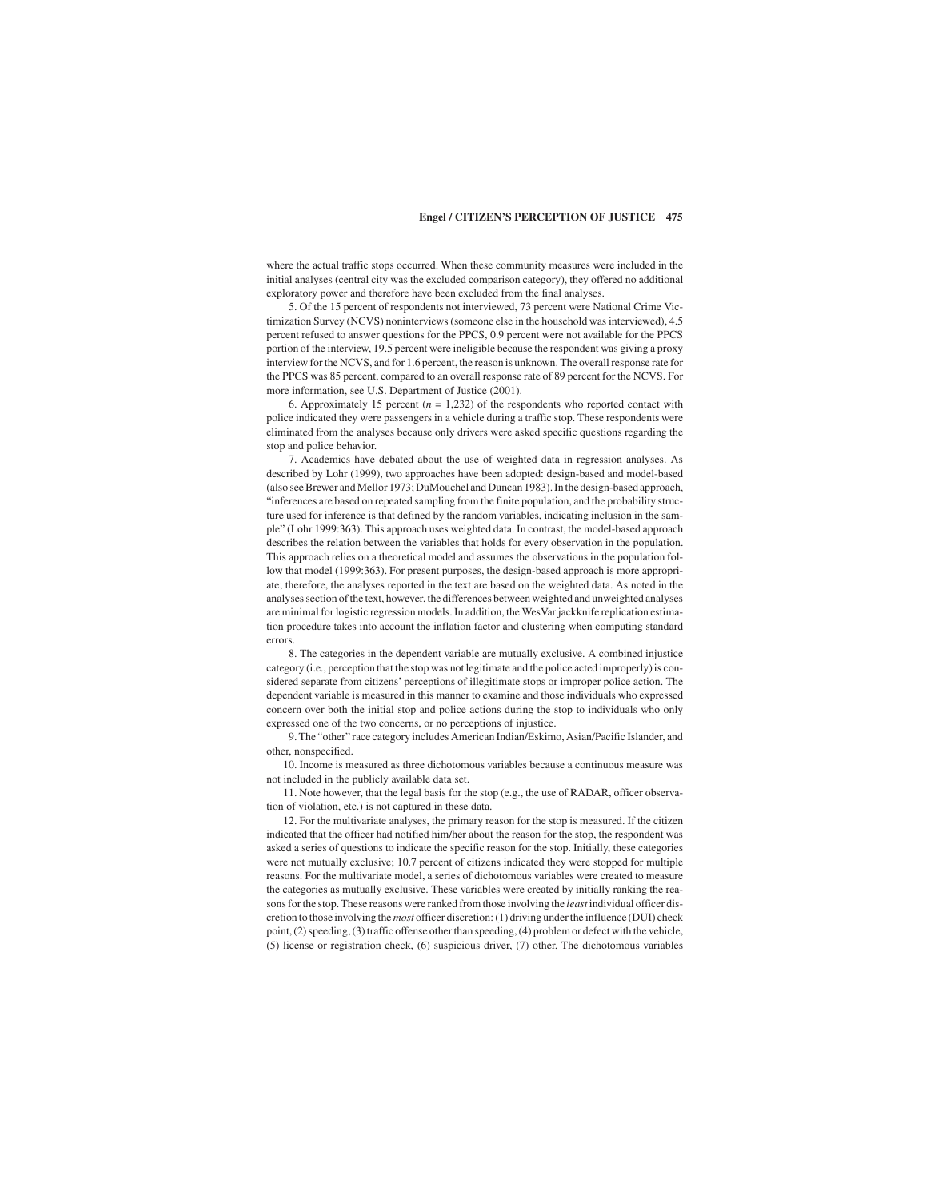where the actual traffic stops occurred. When these community measures were included in the initial analyses (central city was the excluded comparison category), they offered no additional exploratory power and therefore have been excluded from the final analyses.

5. Of the 15 percent of respondents not interviewed, 73 percent were National Crime Victimization Survey (NCVS) noninterviews (someone else in the household was interviewed), 4.5 percent refused to answer questions for the PPCS, 0.9 percent were not available for the PPCS portion of the interview, 19.5 percent were ineligible because the respondent was giving a proxy interview for the NCVS, and for 1.6 percent, the reason is unknown. The overall response rate for the PPCS was 85 percent, compared to an overall response rate of 89 percent for the NCVS. For more information, see U.S. Department of Justice (2001).

6. Approximately 15 percent  $(n = 1,232)$  of the respondents who reported contact with police indicated they were passengers in a vehicle during a traffic stop. These respondents were eliminated from the analyses because only drivers were asked specific questions regarding the stop and police behavior.

7. Academics have debated about the use of weighted data in regression analyses. As described by Lohr (1999), two approaches have been adopted: design-based and model-based (also see Brewer and Mellor 1973; DuMouchel and Duncan 1983). In the design-based approach, "inferences are based on repeated sampling from the finite population, and the probability structure used for inference is that defined by the random variables, indicating inclusion in the sample" (Lohr 1999:363). This approach uses weighted data. In contrast, the model-based approach describes the relation between the variables that holds for every observation in the population. This approach relies on a theoretical model and assumes the observations in the population follow that model (1999:363). For present purposes, the design-based approach is more appropriate; therefore, the analyses reported in the text are based on the weighted data. As noted in the analyses section of the text, however, the differences between weighted and unweighted analyses are minimal for logistic regression models. In addition, the WesVar jackknife replication estimation procedure takes into account the inflation factor and clustering when computing standard errors.

8. The categories in the dependent variable are mutually exclusive. A combined injustice category (i.e., perception that the stop was not legitimate and the police acted improperly) is considered separate from citizens' perceptions of illegitimate stops or improper police action. The dependent variable is measured in this manner to examine and those individuals who expressed concern over both the initial stop and police actions during the stop to individuals who only expressed one of the two concerns, or no perceptions of injustice.

9. The "other" race category includes American Indian/Eskimo, Asian/Pacific Islander, and other, nonspecified.

10. Income is measured as three dichotomous variables because a continuous measure was not included in the publicly available data set.

11. Note however, that the legal basis for the stop (e.g., the use of RADAR, officer observation of violation, etc.) is not captured in these data.

12. For the multivariate analyses, the primary reason for the stop is measured. If the citizen indicated that the officer had notified him/her about the reason for the stop, the respondent was asked a series of questions to indicate the specific reason for the stop. Initially, these categories were not mutually exclusive; 10.7 percent of citizens indicated they were stopped for multiple reasons. For the multivariate model, a series of dichotomous variables were created to measure the categories as mutually exclusive. These variables were created by initially ranking the reasons for the stop. These reasons were ranked from those involving the *least* individual officer discretion to those involving the *most* officer discretion: (1) driving under the influence (DUI) check point, (2) speeding, (3) traffic offense other than speeding, (4) problem or defect with the vehicle, (5) license or registration check, (6) suspicious driver, (7) other. The dichotomous variables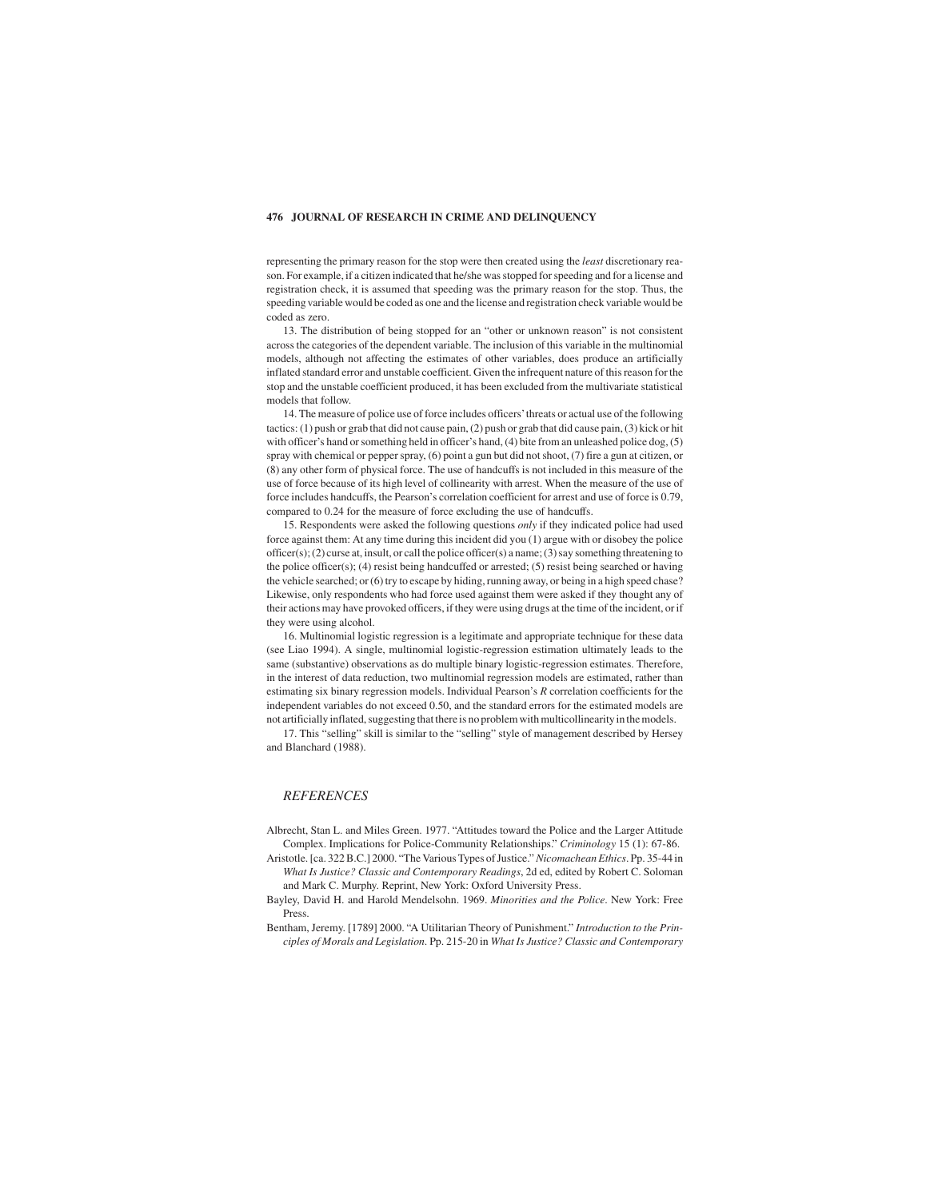representing the primary reason for the stop were then created using the *least* discretionary reason. For example, if a citizen indicated that he/she was stopped for speeding and for a license and registration check, it is assumed that speeding was the primary reason for the stop. Thus, the speeding variable would be coded as one and the license and registration check variable would be coded as zero.

13. The distribution of being stopped for an "other or unknown reason" is not consistent across the categories of the dependent variable. The inclusion of this variable in the multinomial models, although not affecting the estimates of other variables, does produce an artificially inflated standard error and unstable coefficient. Given the infrequent nature of this reason for the stop and the unstable coefficient produced, it has been excluded from the multivariate statistical models that follow.

14. The measure of police use of force includes officers'threats or actual use of the following tactics: (1) push or grab that did not cause pain, (2) push or grab that did cause pain, (3) kick or hit with officer's hand or something held in officer's hand, (4) bite from an unleashed police dog, (5) spray with chemical or pepper spray, (6) point a gun but did not shoot, (7) fire a gun at citizen, or (8) any other form of physical force. The use of handcuffs is not included in this measure of the use of force because of its high level of collinearity with arrest. When the measure of the use of force includes handcuffs, the Pearson's correlation coefficient for arrest and use of force is 0.79, compared to 0.24 for the measure of force excluding the use of handcuffs.

15. Respondents were asked the following questions *only* if they indicated police had used force against them: At any time during this incident did you (1) argue with or disobey the police officer(s); (2) curse at, insult, or call the police officer(s) a name; (3) say something threatening to the police officer(s); (4) resist being handcuffed or arrested; (5) resist being searched or having the vehicle searched; or (6) try to escape by hiding, running away, or being in a high speed chase? Likewise, only respondents who had force used against them were asked if they thought any of their actions may have provoked officers, if they were using drugs at the time of the incident, or if they were using alcohol.

16. Multinomial logistic regression is a legitimate and appropriate technique for these data (see Liao 1994). A single, multinomial logistic-regression estimation ultimately leads to the same (substantive) observations as do multiple binary logistic-regression estimates. Therefore, in the interest of data reduction, two multinomial regression models are estimated, rather than estimating six binary regression models. Individual Pearson's *R* correlation coefficients for the independent variables do not exceed 0.50, and the standard errors for the estimated models are not artificially inflated, suggesting that there is no problem with multicollinearity in the models.

17. This "selling" skill is similar to the "selling" style of management described by Hersey and Blanchard (1988).

# *REFERENCES*

Albrecht, Stan L. and Miles Green. 1977. "Attitudes toward the Police and the Larger Attitude Complex. Implications for Police-Community Relationships." *Criminology* 15 (1): 67-86.

Aristotle. [ca. 322 B.C.] 2000. "The Various Types of Justice."*Nicomachean Ethics*. Pp. 35-44 in *What Is Justice? Classic and Contemporary Readings*, 2d ed, edited by Robert C. Soloman and Mark C. Murphy. Reprint, New York: Oxford University Press.

Bayley, David H. and Harold Mendelsohn. 1969. *Minorities and the Police*. New York: Free Press.

Bentham, Jeremy. [1789] 2000. "A Utilitarian Theory of Punishment." *Introduction to the Principles of Morals and Legislation*. Pp. 215-20 in *What Is Justice? Classic and Contemporary*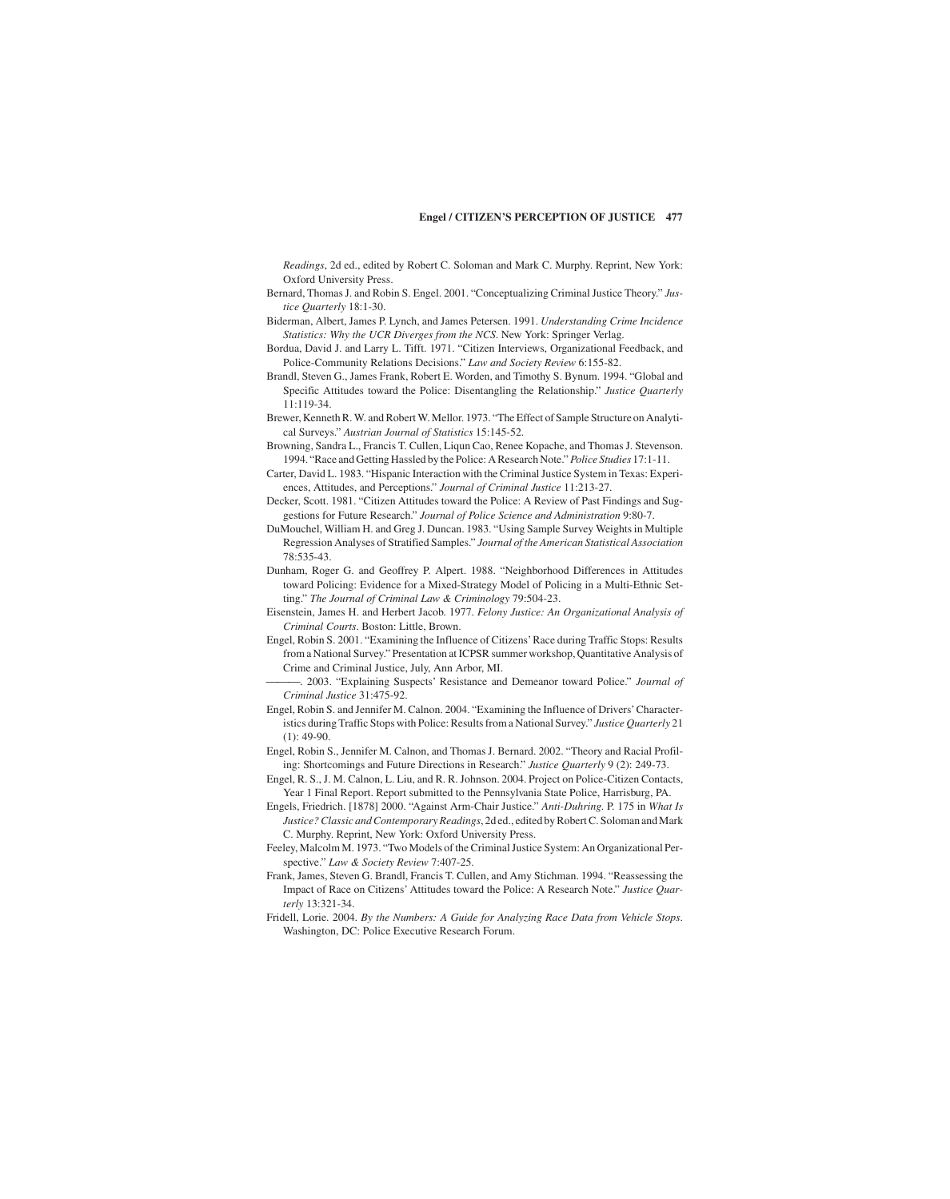*Readings*, 2d ed., edited by Robert C. Soloman and Mark C. Murphy. Reprint, New York: Oxford University Press.

- Bernard, Thomas J. and Robin S. Engel. 2001. "Conceptualizing Criminal Justice Theory." *Justice Quarterly* 18:1-30.
- Biderman, Albert, James P. Lynch, and James Petersen. 1991. *Understanding Crime Incidence Statistics: Why the UCR Diverges from the NCS*. New York: Springer Verlag.
- Bordua, David J. and Larry L. Tifft. 1971. "Citizen Interviews, Organizational Feedback, and Police-Community Relations Decisions." *Law and Society Review* 6:155-82.
- Brandl, Steven G., James Frank, Robert E. Worden, and Timothy S. Bynum. 1994. "Global and Specific Attitudes toward the Police: Disentangling the Relationship." *Justice Quarterly* 11:119-34.
- Brewer, Kenneth R. W. and Robert W. Mellor. 1973. "The Effect of Sample Structure on Analytical Surveys." *Austrian Journal of Statistics* 15:145-52.
- Browning, Sandra L., Francis T. Cullen, Liqun Cao, Renee Kopache, and Thomas J. Stevenson. 1994. "Race and Getting Hassled by the Police: A Research Note."*Police Studies* 17:1-11.
- Carter, David L. 1983. "Hispanic Interaction with the Criminal Justice System in Texas: Experiences, Attitudes, and Perceptions." *Journal of Criminal Justice* 11:213-27.
- Decker, Scott. 1981. "Citizen Attitudes toward the Police: A Review of Past Findings and Suggestions for Future Research." *Journal of Police Science and Administration* 9:80-7.
- DuMouchel, William H. and Greg J. Duncan. 1983. "Using Sample Survey Weights in Multiple Regression Analyses of Stratified Samples." *Journal of the American Statistical Association* 78:535-43.
- Dunham, Roger G. and Geoffrey P. Alpert. 1988. "Neighborhood Differences in Attitudes toward Policing: Evidence for a Mixed-Strategy Model of Policing in a Multi-Ethnic Setting." *The Journal of Criminal Law & Criminology* 79:504-23.
- Eisenstein, James H. and Herbert Jacob. 1977. *Felony Justice: An Organizational Analysis of Criminal Courts*. Boston: Little, Brown.
- Engel, Robin S. 2001. "Examining the Influence of Citizens'Race during Traffic Stops: Results from a National Survey." Presentation at ICPSR summer workshop, Quantitative Analysis of Crime and Criminal Justice, July, Ann Arbor, MI.
- . 2003. "Explaining Suspects' Resistance and Demeanor toward Police." *Journal of Criminal Justice* 31:475-92.
- Engel, Robin S. and Jennifer M. Calnon. 2004. "Examining the Influence of Drivers'Characteristics during Traffic Stops with Police: Results from a National Survey." *Justice Quarterly* 21  $(1)$ : 49-90.
- Engel, Robin S., Jennifer M. Calnon, and Thomas J. Bernard. 2002. "Theory and Racial Profiling: Shortcomings and Future Directions in Research." *Justice Quarterly* 9 (2): 249-73.
- Engel, R. S., J. M. Calnon, L. Liu, and R. R. Johnson. 2004. Project on Police-Citizen Contacts, Year 1 Final Report. Report submitted to the Pennsylvania State Police, Harrisburg, PA.
- Engels, Friedrich. [1878] 2000. "Against Arm-Chair Justice." *Anti-Duhring*. P. 175 in *What Is Justice? Classic and Contemporary Readings*, 2d ed., edited by Robert C. Soloman and Mark C. Murphy. Reprint, New York: Oxford University Press.
- Feeley, Malcolm M. 1973. "Two Models of the Criminal Justice System: An Organizational Perspective." *Law & Society Review* 7:407-25.
- Frank, James, Steven G. Brandl, Francis T. Cullen, and Amy Stichman. 1994. "Reassessing the Impact of Race on Citizens' Attitudes toward the Police: A Research Note." *Justice Quarterly* 13:321-34.
- Fridell, Lorie. 2004. *By the Numbers: A Guide for Analyzing Race Data from Vehicle Stops*. Washington, DC: Police Executive Research Forum.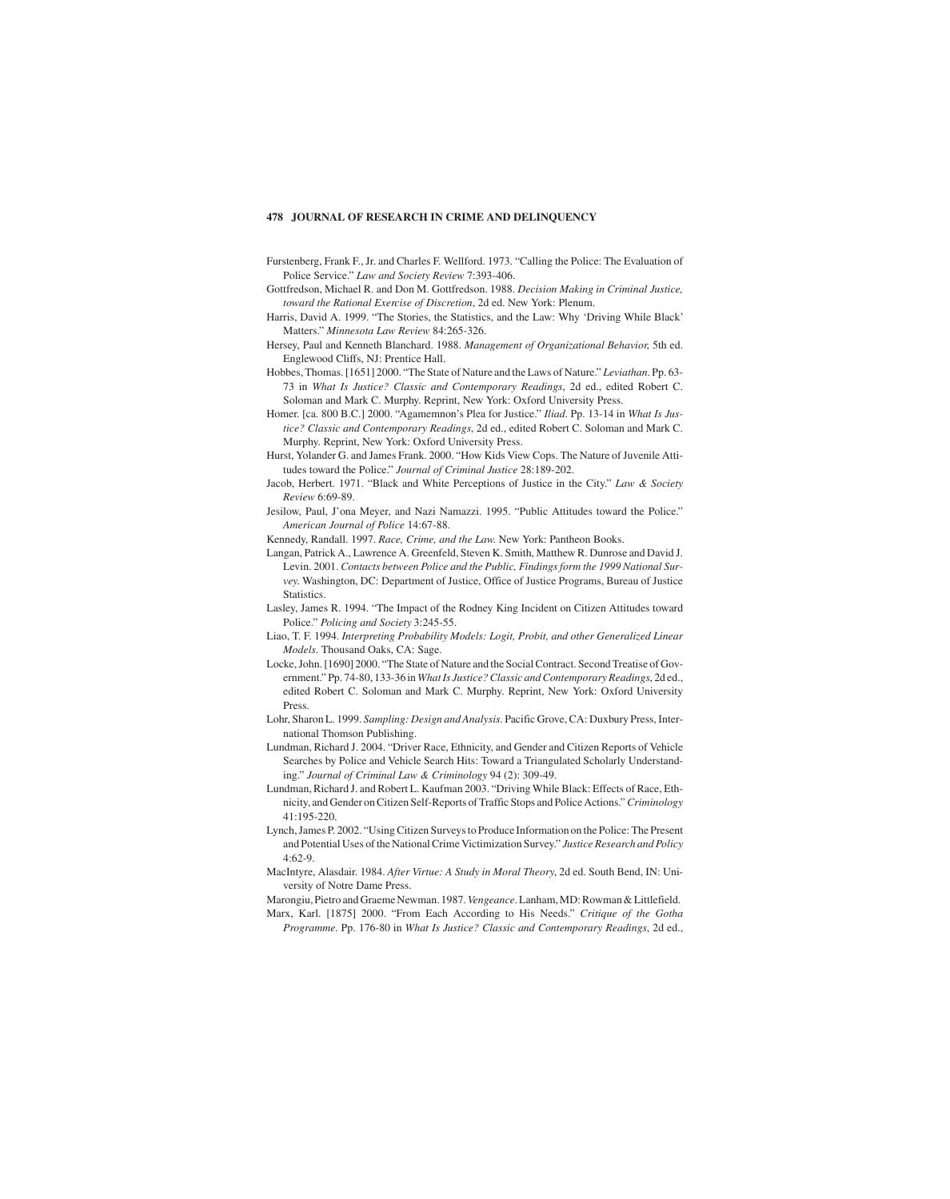- Furstenberg, Frank F., Jr. and Charles F. Wellford. 1973. "Calling the Police: The Evaluation of Police Service." *Law and Society Review* 7:393-406.
- Gottfredson, Michael R. and Don M. Gottfredson. 1988. *Decision Making in Criminal Justice, toward the Rational Exercise of Discretion*, 2d ed. New York: Plenum.
- Harris, David A. 1999. "The Stories, the Statistics, and the Law: Why 'Driving While Black' Matters." *Minnesota Law Review* 84:265-326.
- Hersey, Paul and Kenneth Blanchard. 1988. *Management of Organizational Behavior*, 5th ed. Englewood Cliffs, NJ: Prentice Hall.
- Hobbes, Thomas. [1651] 2000. "The State of Nature and the Laws of Nature." *Leviathan*. Pp. 63- 73 in *What Is Justice? Classic and Contemporary Readings*, 2d ed., edited Robert C. Soloman and Mark C. Murphy. Reprint, New York: Oxford University Press.
- Homer. [ca. 800 B.C.] 2000. "Agamemnon's Plea for Justice." *Iliad*. Pp. 13-14 in *What Is Justice? Classic and Contemporary Readings*, 2d ed., edited Robert C. Soloman and Mark C. Murphy. Reprint, New York: Oxford University Press.
- Hurst, Yolander G. and James Frank. 2000. "How Kids View Cops. The Nature of Juvenile Attitudes toward the Police." *Journal of Criminal Justice* 28:189-202.
- Jacob, Herbert. 1971. "Black and White Perceptions of Justice in the City." *Law & Society Review* 6:69-89.
- Jesilow, Paul, J'ona Meyer, and Nazi Namazzi. 1995. "Public Attitudes toward the Police." *American Journal of Police* 14:67-88.
- Kennedy, Randall. 1997. *Race, Crime, and the Law*. New York: Pantheon Books.
- Langan, Patrick A., Lawrence A. Greenfeld, Steven K. Smith, Matthew R. Dunrose and David J. Levin. 2001. *Contacts between Police and the Public, Findings form the 1999 National Survey*. Washington, DC: Department of Justice, Office of Justice Programs, Bureau of Justice Statistics.
- Lasley, James R. 1994. "The Impact of the Rodney King Incident on Citizen Attitudes toward Police." *Policing and Society* 3:245-55.
- Liao, T. F. 1994. *Interpreting Probability Models: Logit, Probit, and other Generalized Linear Models*. Thousand Oaks, CA: Sage.
- Locke, John. [1690] 2000. "The State of Nature and the Social Contract. Second Treatise of Government." Pp. 74-80, 133-36 in *What Is Justice? Classic and Contemporary Readings*, 2d ed., edited Robert C. Soloman and Mark C. Murphy. Reprint, New York: Oxford University Press.
- Lohr, Sharon L. 1999. *Sampling: Design and Analysis*. Pacific Grove, CA: Duxbury Press, International Thomson Publishing.
- Lundman, Richard J. 2004. "Driver Race, Ethnicity, and Gender and Citizen Reports of Vehicle Searches by Police and Vehicle Search Hits: Toward a Triangulated Scholarly Understanding." *Journal of Criminal Law & Criminology* 94 (2): 309-49.
- Lundman, Richard J. and Robert L. Kaufman 2003. "Driving While Black: Effects of Race, Ethnicity, and Gender on Citizen Self-Reports of Traffic Stops and Police Actions."*Criminology* 41:195-220.
- Lynch, James P. 2002. "Using Citizen Surveys to Produce Information on the Police: The Present and Potential Uses of the National Crime Victimization Survey." *Justice Research and Policy* 4:62-9.
- MacIntyre, Alasdair. 1984. *After Virtue: A Study in Moral Theory*, 2d ed. South Bend, IN: University of Notre Dame Press.

Marongiu, Pietro and Graeme Newman. 1987.*Vengeance*. Lanham, MD: Rowman & Littlefield.

Marx, Karl. [1875] 2000. "From Each According to His Needs." *Critique of the Gotha Programme*. Pp. 176-80 in *What Is Justice? Classic and Contemporary Readings*, 2d ed.,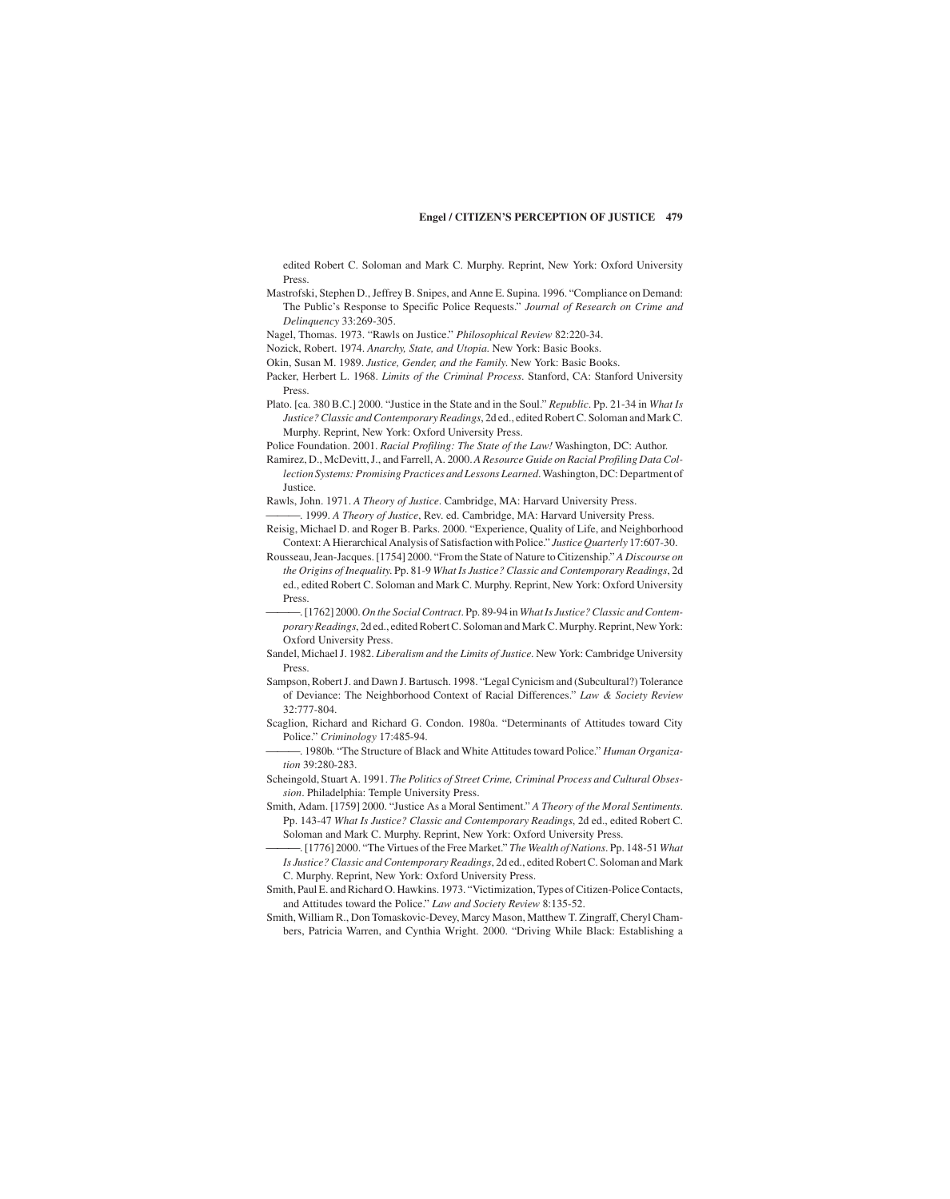edited Robert C. Soloman and Mark C. Murphy. Reprint, New York: Oxford University Press.

- Mastrofski, Stephen D., Jeffrey B. Snipes, and Anne E. Supina. 1996. "Compliance on Demand: The Public's Response to Specific Police Requests." *Journal of Research on Crime and Delinquency* 33:269-305.
- Nagel, Thomas. 1973. "Rawls on Justice." *Philosophical Review* 82:220-34.
- Nozick, Robert. 1974. *Anarchy, State, and Utopia*. New York: Basic Books.

Okin, Susan M. 1989. *Justice, Gender, and the Family*. New York: Basic Books.

- Packer, Herbert L. 1968. *Limits of the Criminal Process*. Stanford, CA: Stanford University Press.
- Plato. [ca. 380 B.C.] 2000. "Justice in the State and in the Soul." *Republic*. Pp. 21-34 in *What Is Justice? Classic and Contemporary Readings*, 2d ed., edited Robert C. Soloman and Mark C. Murphy. Reprint, New York: Oxford University Press.
- Police Foundation. 2001. *Racial Profiling: The State of the Law!* Washington, DC: Author.
- Ramirez, D., McDevitt, J., and Farrell, A. 2000. *A Resource Guide on Racial Profiling Data Collection Systems: Promising Practices and Lessons Learned*. Washington, DC: Department of Justice.
- Rawls, John. 1971. *A Theory of Justice*. Cambridge, MA: Harvard University Press.
- . 1999. *A Theory of Justice*, Rev. ed. Cambridge, MA: Harvard University Press.
- Reisig, Michael D. and Roger B. Parks. 2000. "Experience, Quality of Life, and Neighborhood Context: A Hierarchical Analysis of Satisfaction with Police." *Justice Quarterly* 17:607-30.
- Rousseau, Jean-Jacques. [1754] 2000. "From the State of Nature to Citizenship." *A Discourse on the Origins of Inequality*. Pp. 81-9 *What Is Justice? Classic and Contemporary Readings*, 2d ed., edited Robert C. Soloman and Mark C. Murphy. Reprint, New York: Oxford University Press.
- . [1762] 2000.*On the Social Contract*. Pp. 89-94 in *What Is Justice? Classic and Contemporary Readings*, 2d ed., edited Robert C. Soloman and Mark C. Murphy. Reprint, New York: Oxford University Press.
- Sandel, Michael J. 1982. *Liberalism and the Limits of Justice*. New York: Cambridge University Press.
- Sampson, Robert J. and Dawn J. Bartusch. 1998. "Legal Cynicism and (Subcultural?) Tolerance of Deviance: The Neighborhood Context of Racial Differences." *Law & Society Review* 32:777-804.
- Scaglion, Richard and Richard G. Condon. 1980a. "Determinants of Attitudes toward City Police." *Criminology* 17:485-94.
- . 1980b. "The Structure of Black and White Attitudes toward Police." *Human Organization* 39:280-283.
- Scheingold, Stuart A. 1991. *The Politics of Street Crime, Criminal Process and Cultural Obsession*. Philadelphia: Temple University Press.
- Smith, Adam. [1759] 2000. "Justice As a Moral Sentiment." *A Theory of the Moral Sentiments*. Pp. 143-47 *What Is Justice? Classic and Contemporary Readings*, 2d ed., edited Robert C. Soloman and Mark C. Murphy. Reprint, New York: Oxford University Press.
	- . [1776] 2000. "The Virtues of the Free Market." *The Wealth of Nations*. Pp. 148-51 *What Is Justice? Classic and Contemporary Readings*, 2d ed., edited Robert C. Soloman and Mark C. Murphy. Reprint, New York: Oxford University Press.
- Smith, Paul E. and Richard O. Hawkins. 1973. "Victimization, Types of Citizen-Police Contacts, and Attitudes toward the Police." *Law and Society Review* 8:135-52.
- Smith, William R., Don Tomaskovic-Devey, Marcy Mason, Matthew T. Zingraff, Cheryl Chambers, Patricia Warren, and Cynthia Wright. 2000. "Driving While Black: Establishing a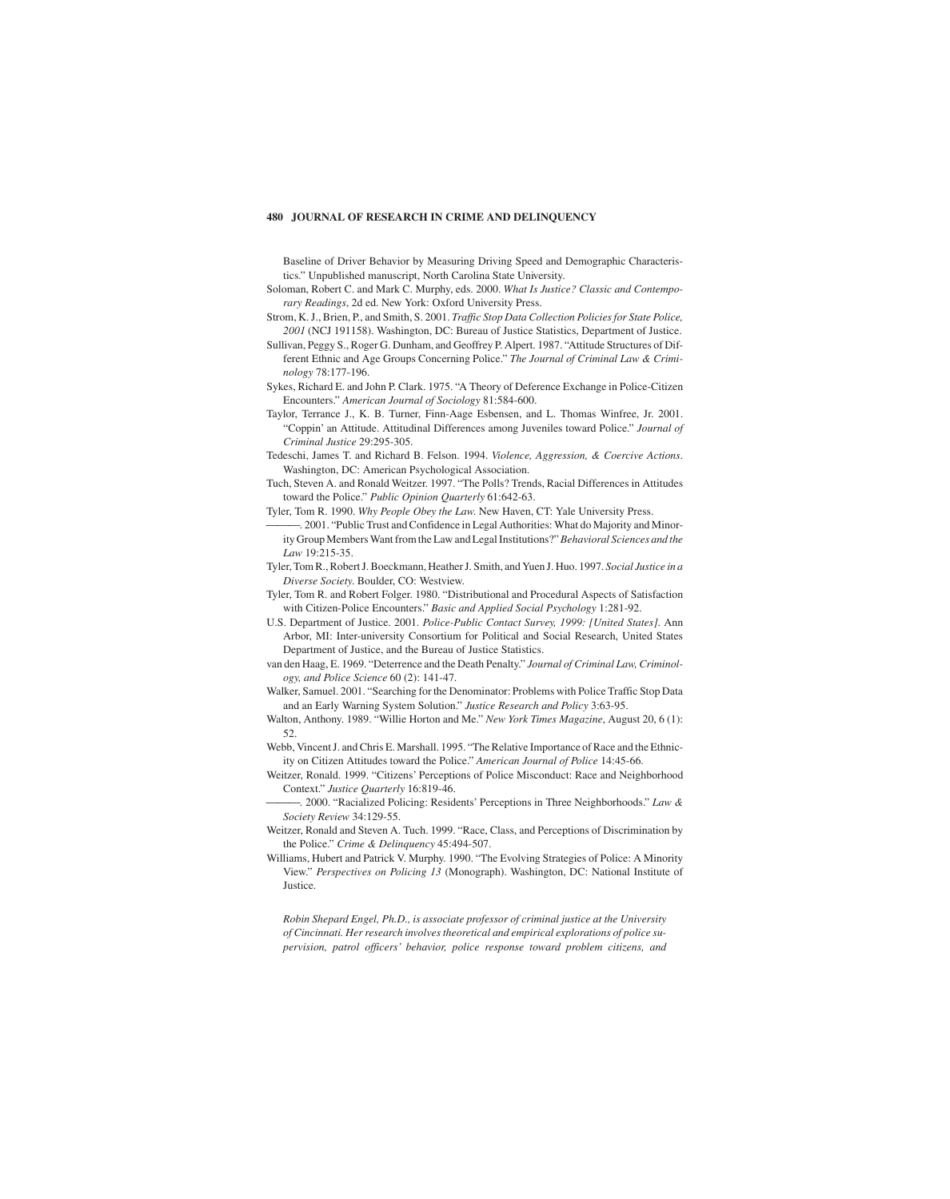Baseline of Driver Behavior by Measuring Driving Speed and Demographic Characteristics." Unpublished manuscript, North Carolina State University.

- Soloman, Robert C. and Mark C. Murphy, eds. 2000. *What Is Justice? Classic and Contemporary Readings*, 2d ed. New York: Oxford University Press.
- Strom, K. J., Brien, P., and Smith, S. 2001. *Traffic Stop Data Collection Policies for State Police, 2001* (NCJ 191158). Washington, DC: Bureau of Justice Statistics, Department of Justice.
- Sullivan, Peggy S., Roger G. Dunham, and Geoffrey P. Alpert. 1987. "Attitude Structures of Different Ethnic and Age Groups Concerning Police." *The Journal of Criminal Law & Criminology* 78:177-196.
- Sykes, Richard E. and John P. Clark. 1975. "A Theory of Deference Exchange in Police-Citizen Encounters." *American Journal of Sociology* 81:584-600.
- Taylor, Terrance J., K. B. Turner, Finn-Aage Esbensen, and L. Thomas Winfree, Jr. 2001. "Coppin' an Attitude. Attitudinal Differences among Juveniles toward Police." *Journal of Criminal Justice* 29:295-305.
- Tedeschi, James T. and Richard B. Felson. 1994. *Violence, Aggression, & Coercive Actions*. Washington, DC: American Psychological Association.
- Tuch, Steven A. and Ronald Weitzer. 1997. "The Polls? Trends, Racial Differences in Attitudes toward the Police." *Public Opinion Quarterly* 61:642-63.
- Tyler, Tom R. 1990. *Why People Obey the Law*. New Haven, CT: Yale University Press.
- . 2001. "Public Trust and Confidence in Legal Authorities: What do Majority and Minority Group Members Want from the Law and Legal Institutions?"*Behavioral Sciences and the Law* 19:215-35.
- Tyler, Tom R., Robert J. Boeckmann, Heather J. Smith, and Yuen J. Huo. 1997. *Social Justice in a Diverse Society*. Boulder, CO: Westview.
- Tyler, Tom R. and Robert Folger. 1980. "Distributional and Procedural Aspects of Satisfaction with Citizen-Police Encounters." *Basic and Applied Social Psychology* 1:281-92.
- U.S. Department of Justice. 2001. *Police-Public Contact Survey, 1999: [United States]*. Ann Arbor, MI: Inter-university Consortium for Political and Social Research, United States Department of Justice, and the Bureau of Justice Statistics.
- van den Haag, E. 1969. "Deterrence and the Death Penalty." *Journal of Criminal Law, Criminology, and Police Science* 60 (2): 141-47.
- Walker, Samuel. 2001. "Searching for the Denominator: Problems with Police Traffic Stop Data and an Early Warning System Solution." *Justice Research and Policy* 3:63-95.
- Walton, Anthony. 1989. "Willie Horton and Me." *New York Times Magazine*, August 20, 6 (1): 52.
- Webb, Vincent J. and Chris E. Marshall. 1995. "The Relative Importance of Race and the Ethnicity on Citizen Attitudes toward the Police." *American Journal of Police* 14:45-66.
- Weitzer, Ronald. 1999. "Citizens' Perceptions of Police Misconduct: Race and Neighborhood Context." *Justice Quarterly* 16:819-46.
- . 2000. "Racialized Policing: Residents' Perceptions in Three Neighborhoods." *Law & Society Review* 34:129-55.
- Weitzer, Ronald and Steven A. Tuch. 1999. "Race, Class, and Perceptions of Discrimination by the Police." *Crime & Delinquency* 45:494-507.
- Williams, Hubert and Patrick V. Murphy. 1990. "The Evolving Strategies of Police: A Minority View." *Perspectives on Policing 13* (Monograph). Washington, DC: National Institute of Justice.

*Robin Shepard Engel, Ph.D., is associate professor of criminal justice at the University of Cincinnati. Her research involves theoretical and empirical explorations of police supervision, patrol officers' behavior, police response toward problem citizens, and*